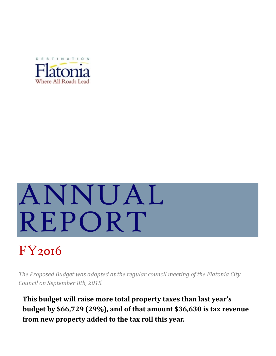

# ANNUAL REPORT

# FY2016

*The Proposed Budget was adopted at the regular council meeting of the Flatonia City Council on September 8th, 2015.*

**This budget will raise more total property taxes than last year's budget by \$66,729 (29%), and of that amount \$36,630 is tax revenue from new property added to the tax roll this year.**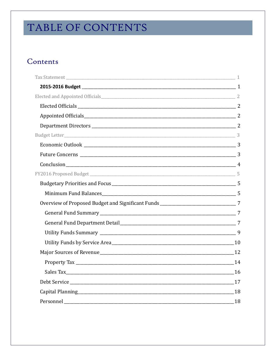# TABLE OF CONTENTS

# Contents

| Overview of Proposed Budget and Significant Funds _______________________________7 |    |
|------------------------------------------------------------------------------------|----|
|                                                                                    |    |
|                                                                                    |    |
|                                                                                    |    |
|                                                                                    |    |
|                                                                                    |    |
|                                                                                    |    |
|                                                                                    |    |
|                                                                                    |    |
|                                                                                    |    |
|                                                                                    | 18 |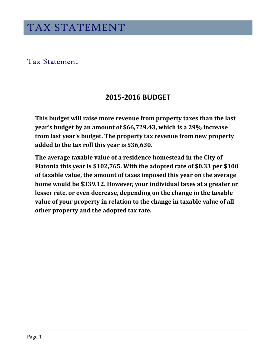# <span id="page-2-1"></span><span id="page-2-0"></span>Tax Statement

# **2015-2016 BUDGET**

**This budget will raise more revenue from property taxes than the last year's budget by an amount of \$66,729.43, which is a 29% increase from last year's budget. The property tax revenue from new property added to the tax roll this year is \$36,630.**

**The average taxable value of a residence homestead in the City of Flatonia this year is \$102,765. With the adopted rate of \$0.33 per \$100 of taxable value, the amount of taxes imposed this year on the average home would be \$339.12. However, your individual taxes at a greater or lesser rate, or even decrease, depending on the change in the taxable value of your property in relation to the change in taxable value of all other property and the adopted tax rate.**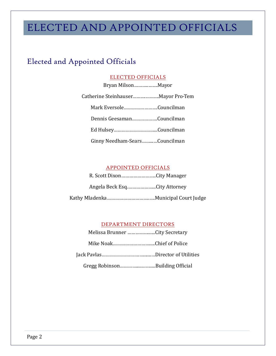# ELECTED AND APPOINTED OFFICIALS

# <span id="page-3-1"></span><span id="page-3-0"></span>Elected and Appointed Officials

# ELECTED OFFICIALS

| Bryan MilsonMayor                   |  |
|-------------------------------------|--|
| Catherine Steinhauser Mayor Pro-Tem |  |
| Mark EversoleCouncilman             |  |
| Dennis GeesamanCouncilman           |  |
|                                     |  |
| Ginny Needham-SearsCouncilman       |  |

# APPOINTED OFFICIALS

<span id="page-3-2"></span>

| R. Scott DixonCity Manager   |
|------------------------------|
| Angela Beck EsqCity Attorney |
|                              |

# DEPARTMENT DIRECTORS

<span id="page-3-3"></span>

| Melissa Brunner City Secretary |  |
|--------------------------------|--|
| Mike NoakChief of Police       |  |
|                                |  |
|                                |  |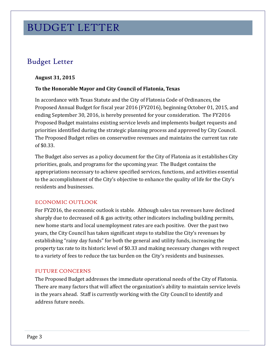# BUDGET LETTER

# <span id="page-4-0"></span>Budget Letter

### **August 31, 2015**

#### **To the Honorable Mayor and City Council of Flatonia, Texas**

In accordance with Texas Statute and the City of Flatonia Code of Ordinances, the Proposed Annual Budget for fiscal year 2016 (FY2016), beginning October 01, 2015, and ending September 30, 2016, is hereby presented for your consideration. The FY2016 Proposed Budget maintains existing service levels and implements budget requests and priorities identified during the strategic planning process and approved by City Council. The Proposed Budget relies on conservative revenues and maintains the current tax rate of \$0.33.

The Budget also serves as a policy document for the City of Flatonia as it establishes City priorities, goals, and programs for the upcoming year. The Budget contains the appropriations necessary to achieve specified services, functions, and activities essential to the accomplishment of the City's objective to enhance the quality of life for the City's residents and businesses.

#### <span id="page-4-1"></span>ECONOMIC OUTLOOK

For FY2016, the economic outlook is stable. Although sales tax revenues have declined sharply due to decreased oil & gas activity, other indicators including building permits, new home starts and local unemployment rates are each positive. Over the past two years, the City Council has taken significant steps to stabilize the City's revenues by establishing "rainy day funds" for both the general and utility funds, increasing the property tax rate to its historic level of \$0.33 and making necessary changes with respect to a variety of fees to reduce the tax burden on the City's residents and businesses.

#### <span id="page-4-2"></span>FUTURE CONCERNS

The Proposed Budget addresses the immediate operational needs of the City of Flatonia. There are many factors that will affect the organization's ability to maintain service levels in the years ahead. Staff is currently working with the City Council to identify and address future needs.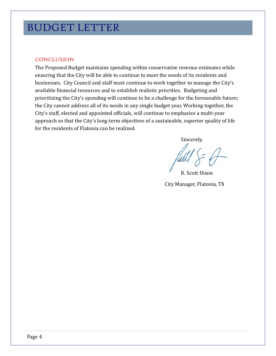# <span id="page-5-0"></span>**CONCLUSION**

The Proposed Budget maintains spending within conservative revenue estimates while ensuring that the City will be able to continue to meet the needs of its residents and businesses. City Council and staff must continue to work together to manage the City's available financial resources and to establish realistic priorities. Budgeting and prioritizing the City's spending will continue to be a challenge for the foreseeable future; the City cannot address all of its needs in any single budget year. Working together, the City's staff, elected and appointed officials, will continue to emphasize a multi-year approach so that the City's long-term objectives of a sustainable, superior quality of life for the residents of Flatonia can be realized.

Sincerely,

R. Scott Dixon City Manager, Flatonia, TX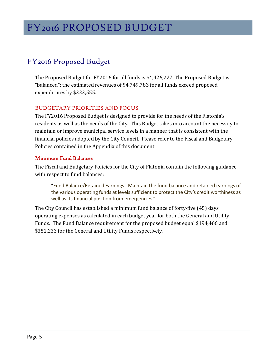# <span id="page-6-0"></span>FY2016 Proposed Budget

The Proposed Budget for FY2016 for all funds is \$4,426,227. The Proposed Budget is "balanced"; the estimated revenues of \$4,749,783 for all funds exceed proposed expenditures by \$323,555.

# <span id="page-6-1"></span>BUDGETARY PRIORITIES AND FOCUS

The FY2016 Proposed Budget is designed to provide for the needs of the Flatonia's residents as well as the needs of the City. This Budget takes into account the necessity to maintain or improve municipal service levels in a manner that is consistent with the financial policies adopted by the City Council. Please refer to the Fiscal and Budgetary Policies contained in the Appendix of this document.

### <span id="page-6-2"></span>Minimum Fund Balances

The Fiscal and Budgetary Policies for the City of Flatonia contain the following guidance with respect to fund balances:

"Fund Balance/Retained Earnings: Maintain the fund balance and retained earnings of the various operating funds at levels sufficient to protect the City's credit worthiness as well as its financial position from emergencies."

The City Council has established a minimum fund balance of forty-five (45) days operating expenses as calculated in each budget year for both the General and Utility Funds. The Fund Balance requirement for the proposed budget equal \$194,466 and \$351,233 for the General and Utility Funds respectively.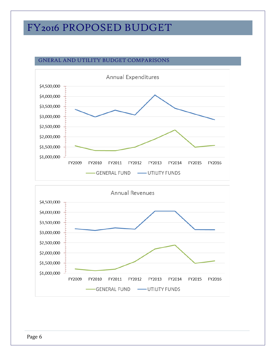# GNERAL AND UTILITY BUDGET COMPARISONS



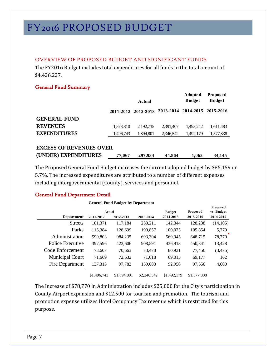# <span id="page-8-0"></span>OVERVIEW OF PROPOSED BUDGET AND SIGNIFICANT FUNDS

The FY2016 Budget includes total expenditures for all funds in the total amount of \$4,426,227.

# <span id="page-8-1"></span>General Fund Summary

|                                                        |           | Actual              | Adopted<br><b>Budget</b> | Proposed<br><b>Budget</b>     |           |
|--------------------------------------------------------|-----------|---------------------|--------------------------|-------------------------------|-----------|
|                                                        |           | 2011-2012 2012-2013 |                          | 2013-2014 2014-2015 2015-2016 |           |
| <b>GENERAL FUND</b>                                    |           |                     |                          |                               |           |
| <b>REVENUES</b>                                        | 1,573,810 | 2,192,735           | 2,391,407                | 1.493.242                     | 1,611,483 |
| <b>EXPENDITURES</b>                                    | 1,496,743 | 1,894,801           | 2,346,542                | 1,492,179                     | 1,577,338 |
| <b>EXCESS OF REVENUES OVER</b><br>(UNDER) EXPENDITURES | 77,067    | 297,934             | 44,864                   | 1,063                         | 34,145    |

The Proposed General Fund Budget increases the current adopted budget by \$85,159 or 5.7%. The increased expenditures are attributed to a number of different expenses including intergovernmental (County), services and personnel.

# <span id="page-8-2"></span>General Fund Department Detail

|                        | General Fund Dudget by Department |             |             |                            |                       |                                     |
|------------------------|-----------------------------------|-------------|-------------|----------------------------|-----------------------|-------------------------------------|
| <b>Department</b>      | Actual<br>2011-2012               | 2012-2013   | 2013-2014   | <b>Budget</b><br>2014-2015 | Proposed<br>2015-2016 | Proposed<br>vs. Budget<br>2014-2015 |
| <b>Streets</b>         | 101,371                           | 117,184     | 250,211     | 142,344                    | 128,238               | (14,105)                            |
| Parks                  | 115,384                           | 128,699     | 190,857     | 100,075                    | 105,854               | 5,779                               |
| Administration         | 599,803                           | 984,235     | 693.304     | 569,945                    | 648,715               | 78,770                              |
| Police Executive       | 397.596                           | 423,606     | 908.591     | 436,913                    | 450,341               | 13,428                              |
| Code Enforcement       | 73.607                            | 70,663      | 73,478      | 80,931                     | 77,456                | (3, 475)                            |
| <b>Municipal Court</b> | 71,669                            | 72,632      | 71,018      | 69,015                     | 69,177                | 162                                 |
| Fire Department        | 137,313                           | 97,782      | 159,083     | 92.956                     | 97,556                | 4,600                               |
|                        | \$1,496,743                       | \$1,894,801 | \$2,346,542 | \$1,492,179                | \$1,577,338           |                                     |

**General Fund Budget by Department**

The Increase of \$78,770 in Administration includes \$25,000 for the City's participation in County Airport expansion and \$12,500 for tourism and promotion. The tourism and promotion expense utilizes Hotel Occupancy Tax revenue which is restricted for this purpose.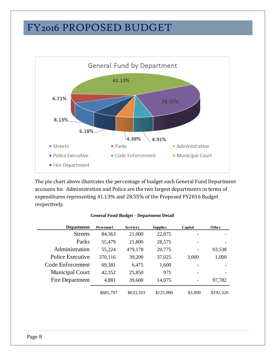

The pie chart above illustrates the percentage of budget each General Fund Department accounts for. Administration and Police are the two largest departments in terms of expenditures representing 41.13% and 28.55% of the Proposed FY2016 Budget respectively.

|  |  |  | <b>General Fund Budget - Department Detail</b> |  |
|--|--|--|------------------------------------------------|--|
|--|--|--|------------------------------------------------|--|

| <b>Department</b>      | <b>Personnel</b> | <b>Services</b> |           | Capital                  | Other     |
|------------------------|------------------|-----------------|-----------|--------------------------|-----------|
| <b>Streets</b>         | 84,363           | 21,000          | 22,875    |                          |           |
| Parks                  | 55,479           | 21,800          | 28,575    |                          |           |
| Administration         | 55,224           | 479,178         | 20,775    | $\overline{\phantom{a}}$ | 93,538    |
| Police Executive       | 370,116          | 39,200          | 37,025    | 3,000                    | 1,000     |
| Code Enforcement       | 69,381           | 6,475           | 1,600     |                          |           |
| <b>Municipal Court</b> | 42,352           | 25,850          | 975       | $\overline{\phantom{a}}$ |           |
| Fire Department        | 4,881            | 39,600          | 14,075    | $\overline{\phantom{a}}$ | 97,782    |
|                        | \$681,797        | \$633,103       | \$125,900 | \$3,000                  | \$192,320 |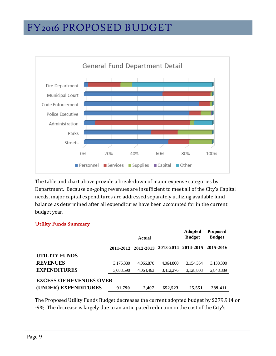

The table and chart above provide a break-down of major expense categories by Department. Because on-going revenues are insufficient to meet all of the City's Capital needs, major capital expenditures are addressed separately utilizing available fund balance as determined after all expenditures have been accounted for in the current budget year.

# <span id="page-10-0"></span>Utility Funds Summary

|                                |           | Actual              | <b>Adopted</b><br><b>Budget</b> | <b>Proposed</b><br><b>Budget</b> |           |  |  |
|--------------------------------|-----------|---------------------|---------------------------------|----------------------------------|-----------|--|--|
|                                |           | 2011-2012 2012-2013 |                                 | 2013-2014 2014-2015 2015-2016    |           |  |  |
| <b>UTILITY FUNDS</b>           |           |                     |                                 |                                  |           |  |  |
| <b>REVENUES</b>                | 3,175,380 | 4,066,870           | 4,064,800                       | 3,154,354                        | 3,138,300 |  |  |
| <b>EXPENDITURES</b>            | 3,083,590 | 4,064,463           | 3,412,276                       | 3,128,803                        | 2,848,889 |  |  |
| <b>EXCESS OF REVENUES OVER</b> |           |                     |                                 |                                  |           |  |  |
| (UNDER) EXPENDITURES           | 91.790    | 2.407               | 652,523                         | 25,551                           | 289,411   |  |  |

The Proposed Utility Funds Budget decreases the current adopted budget by \$279,914 or -9%. The decrease is largely due to an anticipated reduction in the cost of the City's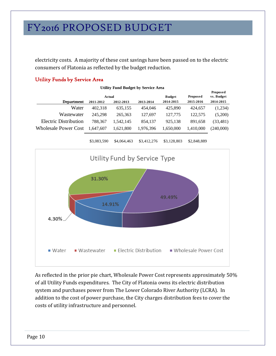electricity costs. A majority of these cost savings have been passed on to the electric consumers of Flatonia as reflected by the budget reduction.

**Utility Fund Budget by Service Area**

# <span id="page-11-0"></span>Utility Funds by Service Area

| $\mathbf{C}$ and $\mathbf{C}$ $\mathbf{C}$ $\mathbf{C}$ $\mathbf{C}$ $\mathbf{C}$ $\mathbf{C}$ $\mathbf{C}$ $\mathbf{C}$ $\mathbf{C}$ $\mathbf{C}$ $\mathbf{C}$ $\mathbf{C}$ $\mathbf{C}$ $\mathbf{C}$ $\mathbf{C}$ $\mathbf{C}$ $\mathbf{C}$ $\mathbf{C}$ $\mathbf{C}$ $\mathbf{C}$ $\mathbf{C}$ $\mathbf{C}$ $\mathbf{C}$ |           |           |           |               |           |                        |
|-----------------------------------------------------------------------------------------------------------------------------------------------------------------------------------------------------------------------------------------------------------------------------------------------------------------------------|-----------|-----------|-----------|---------------|-----------|------------------------|
| Actual                                                                                                                                                                                                                                                                                                                      |           |           |           | <b>Budget</b> | Proposed  | Proposed<br>vs. Budget |
| <b>Department</b>                                                                                                                                                                                                                                                                                                           | 2011-2012 | 2012-2013 | 2013-2014 | 2014-2015     | 2015-2016 | 2014-2015              |
| Water                                                                                                                                                                                                                                                                                                                       | 402,318   | 635,155   | 454,046   | 425,890       | 424,657   | (1,234)                |
| Wastewater                                                                                                                                                                                                                                                                                                                  | 245.298   | 265,363   | 127.697   | 127,775       | 122,575   | (5,200)                |
| <b>Electric Distribution</b>                                                                                                                                                                                                                                                                                                | 788.367   | 1.542.145 | 854.137   | 925.138       | 891.658   | (33, 481)              |
| <b>Wholesale Power Cost</b>                                                                                                                                                                                                                                                                                                 | 1.647.607 | 1,621,800 | 1,976,396 | 1,650,000     | 1,410,000 | (240,000)              |
|                                                                                                                                                                                                                                                                                                                             |           |           |           |               |           |                        |



As reflected in the prior pie chart, Wholesale Power Cost represents approximately 50% of all Utility Funds expenditures. The City of Flatonia owns its electric distribution system and purchases power from The Lower Colorado River Authority (LCRA). In addition to the cost of power purchase, the City charges distribution fees to cover the costs of utility infrastructure and personnel.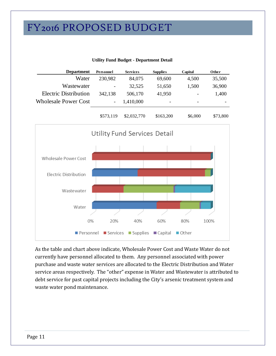| <b>Department</b>            | Personnel                | <b>Services</b> | <b>Supplies</b> | Capital                      | Other  |
|------------------------------|--------------------------|-----------------|-----------------|------------------------------|--------|
| Water                        | 230,982                  | 84,075          | 69,600          | 4,500                        | 35,500 |
| Wastewater                   | $\overline{\phantom{a}}$ | 32,525          | 51,650          | 1,500                        | 36,900 |
| <b>Electric Distribution</b> | 342,138                  | 506,170         | 41,950          | $\qquad \qquad \blacksquare$ | 1,400  |
| <b>Wholesale Power Cost</b>  | $\overline{\phantom{a}}$ | 1,410,000       |                 | $\overline{\phantom{a}}$     |        |





As the table and chart above indicate, Wholesale Power Cost and Waste Water do not currently have personnel allocated to them. Any personnel associated with power purchase and waste water services are allocated to the Electric Distribution and Water service areas respectively. The "other" expense in Water and Wastewater is attributed to debt service for past capital projects including the City's arsenic treatment system and waste water pond maintenance.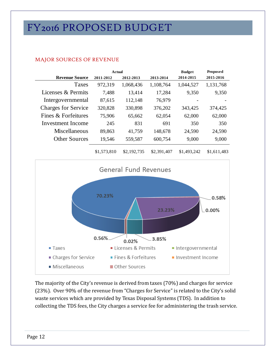|                            | <b>Actual</b> |             |             | <b>Budget</b> | Proposed    |
|----------------------------|---------------|-------------|-------------|---------------|-------------|
| <b>Revenue Source</b>      | 2011-2012     | 2012-2013   | 2013-2014   | 2014-2015     | 2015-2016   |
| Taxes                      | 972,319       | 1,068,436   | 1,108,764   | 1,044,527     | 1,131,768   |
| Licenses & Permits         | 7,488         | 13,414      | 17,284      | 9,350         | 9,350       |
| Intergovernmental          | 87,615        | 112,148     | 76,979      |               |             |
| <b>Charges for Service</b> | 320,828       | 330,898     | 376,202     | 343,425       | 374,425     |
| Fines & Forfeitures        | 75,906        | 65,662      | 62,054      | 62,000        | 62,000      |
| Investment Income          | 245           | 831         | 691         | 350           | 350         |
| Miscellaneous              | 89,863        | 41,759      | 148,678     | 24,590        | 24,590      |
| <b>Other Sources</b>       | 19,546        | 559,587     | 600,754     | 9,000         | 9,000       |
|                            | \$1,573,810   | \$2,192,735 | \$2,391,407 | \$1,493,242   | \$1,611,483 |

# <span id="page-13-0"></span>MAJOR SOURCES OF REVENUE



The majority of the City's revenue is derived from taxes (70%) and charges for service (23%). Over 90% of the revenue from "Charges for Service" is related to the City's solid waste services which are provided by Texas Disposal Systems (TDS). In addition to collecting the TDS fees, the City charges a service fee for administering the trash service.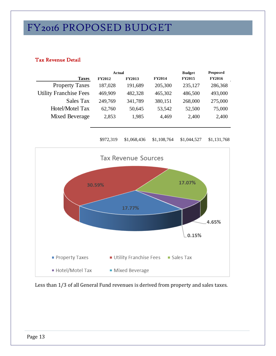# Tax Revenue Detail

|                               | Actual        |               |               | <b>Budget</b> | Proposed      |  |
|-------------------------------|---------------|---------------|---------------|---------------|---------------|--|
| <b>Taxes</b>                  | <b>FY2012</b> | <b>FY2013</b> | <b>FY2014</b> | <b>FY2015</b> | <b>FY2016</b> |  |
| <b>Property Taxes</b>         | 187,028       | 191,689       | 205,300       | 235,127       | 286,368       |  |
| <b>Utility Franchise Fees</b> | 469,909       | 482,328       | 465,302       | 486,500       | 493,000       |  |
| Sales Tax                     | 249,769       | 341,789       | 380,151       | 268,000       | 275,000       |  |
| Hotel/Motel Tax               | 62,760        | 50,645        | 53,542        | 52,500        | 75,000        |  |
| Mixed Beverage                | 2,853         | 1,985         | 4,469         | 2,400         | 2,400         |  |

\$972,319 \$1,068,436 \$1,108,764 \$1,044,527 \$1,131,768



Less than 1/3 of all General Fund revenues is derived from property and sales taxes.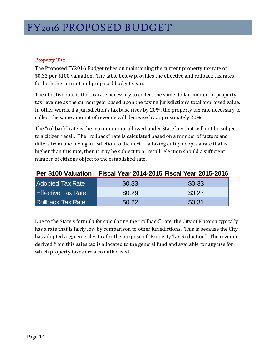# <span id="page-15-0"></span>Property Tax

The Proposed FY2016 Budget relies on maintaining the current property tax rate of \$0.33 per \$100 valuation. The table below provides the effective and rollback tax rates for both the current and proposed budget years.

The effective rate is the tax rate necessary to collect the same dollar amount of property tax revenue as the current year based upon the taxing jurisdiction's total appraised value. In other words, if a jurisdiction's tax base rises by 20%, the property tax rate necessary to collect the same amount of revenue will decrease by approximately 20%.

The "rollback" rate is the maximum rate allowed under State law that will not be subject to a citizen recall. The "rollback" rate is calculated based on a number of factors and differs from one taxing jurisdiction to the next. If a taxing entity adopts a rate that is higher than this rate, then it may be subject to a "recall" election should a sufficient number of citizens object to the established rate.

| <b>Per \$100 Valuation</b> | <b>Fiscal Year 2014-2015 Fiscal Year 2015-2016</b> |        |
|----------------------------|----------------------------------------------------|--------|
| <b>Adopted Tax Rate</b>    | \$0.33                                             | \$0.33 |
| <b>Effective Tax Rate</b>  | \$0.29                                             | \$0.27 |
| <b>Rollback Tax Rate</b>   | \$0.22                                             | \$0.31 |

Due to the State's formula for calculating the "rollback" rate, the City of Flatonia typically has a rate that is fairly low by comparison to other jurisdictions. This is because the City has adopted a ½ cent sales tax for the purpose of "Property Tax Reduction". The revenue derived from this sales tax is allocated to the general fund and available for any use for which property taxes are also authorized.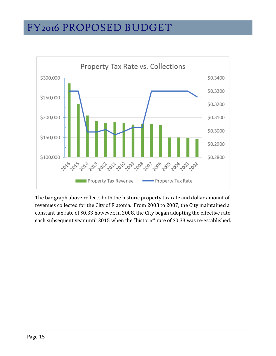

The bar graph above reflects both the historic property tax rate and dollar amount of revenues collected for the City of Flatonia. From 2003 to 2007, the City maintained a constant tax rate of \$0.33 however, in 2008, the City began adopting the effective rate each subsequent year until 2015 when the "historic" rate of \$0.33 was re-established.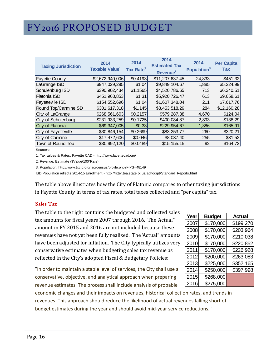| <b>Taxing Jurisdiction</b> | 2014<br>Taxable Value <sup>1</sup> | 2014<br>Tax Rate <sup>1</sup> | 2014<br><b>Estimated Tax</b><br>Revenue <sup>2</sup> | 2014<br>Population <sup>3</sup> | <b>Per Capita</b><br><b>Tax</b> |
|----------------------------|------------------------------------|-------------------------------|------------------------------------------------------|---------------------------------|---------------------------------|
| <b>Fayette County</b>      | \$2,672,940,006                    | \$0.4193                      | \$11,207,637.45                                      | 24,833                          | \$451.32                        |
| LaGrange ISD               | \$947,029,295                      | \$1.04                        | \$9,849,104.67                                       | 1,885                           | \$5,224.99                      |
| Schulenburg ISD            | \$390,902,434                      | \$1.1565                      | \$4,520,786.65                                       | 713                             | \$6,340.51                      |
| Flatonia ISD               | \$451,963,853                      | \$1.31                        | \$5,920,726.47                                       | 613                             | \$9,658.61                      |
| <b>Fayetteville ISD</b>    | \$154,552,696                      | \$1.04                        | \$1,607,348.04                                       | 211                             | \$7,617.76                      |
| Round Top/CarmineISD       | \$301,617,318                      | \$1.145                       | \$3,453,518.29                                       | 284                             | \$12,160.28                     |
| City of LaGrange           | \$268,561,603                      | \$0.2157                      | \$579,287.38                                         | 4,670                           | \$124.04                        |
| City of Schulenburg        | \$231,933,259                      | \$0.1725]                     | \$400,084.87                                         | 2,893                           | \$138.29                        |
| City of Flatonia           | \$69,347,005                       | \$0.33                        | \$229,954.67                                         | 1,386                           | \$165.91                        |
| City of Fayetteville       | \$30,846,154                       | \$0.2699                      | \$83,253.77                                          | 260                             | \$320.21                        |
| City of Carmine            | \$17,472,606                       | \$0.046                       | \$8,037.40                                           | 255                             | \$31.52                         |
| Town of Round Top          | \$30,992,120                       | \$0.0489                      | \$15, 155.15                                         | 92                              | \$164.73                        |

Sources:

1. Tax values & Rates: Fayette CAD - http://www.fayettecad.org/

2. Revenue: Estimate (\$Value/100\*Rate)

3. Population: http://www.txcip.org/tac/census/profile.php?FIPS=48149

ISD Population reflects 2014-15 Enrollment - http://ritter.tea.state.tx.us/adhocrpt/Standard\_Reports.html

The table above illustrates how the City of Flatonia compares to other taxing jurisdictions in Fayette County in terms of tax rates, total taxes collected and "per capita" tax.

# <span id="page-17-0"></span>Sales Tax

The table to the right contains the budgeted and collected sales tax amounts for fiscal years 2007 through 2016. The 'Actual" amount in FY 2015 and 2016 are not included because these revenues have not yet been fully realized. The 'Actual" amounts have been adjusted for inflation. The City typically utilizes very conservative estimates when budgeting sales tax revenue as reflected in the City's adopted Fiscal & Budgetary Policies:

"In order to maintain a stable level of services, the City shall use a conservative, objective, and analytical approach when preparing revenue estimates. The process shall include analysis of probable

economic changes and their impacts on revenues, historical collection rates, and trends in revenues. This approach should reduce the likelihood of actual revenues falling short of budget estimates during the year and should avoid mid-year service reductions. "

| Year | <b>Budget</b> | Actual    |
|------|---------------|-----------|
| 2007 | \$170,000     | \$199,270 |
| 2008 | \$170,000     | \$203,964 |
| 2009 | \$170,000     | \$210,038 |
| 2010 | \$170,000     | \$220,852 |
| 2011 | \$170,000     | \$226,928 |
| 2012 | \$200,000     | \$263,083 |
| 2013 | \$225,000     | \$352,165 |
| 2014 | \$250,000     | \$397,998 |
| 2015 | \$268,000     |           |
| 2016 | \$275,000     |           |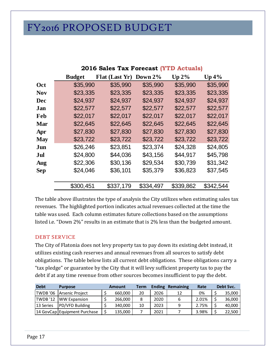|            |               | 2016 Sales Tax Forecast (YTD |            | <b>Actuals</b> |           |
|------------|---------------|------------------------------|------------|----------------|-----------|
|            | <b>Budget</b> | Flat (Last Yr)               | Down $2\%$ | $Up 2\%$       | $Up\,4\%$ |
| Oct        | \$35,990      | \$35,990                     | \$35,990   | \$35,990       | \$35,990  |
| <b>Nov</b> | \$23,335      | \$23,335                     | \$23,335   | \$23,335       | \$23,335  |
| Dec        | \$24,937      | \$24,937                     | \$24,937   | \$24,937       | \$24,937  |
| Jan        | \$22,577      | \$22,577                     | \$22,577   | \$22,577       | \$22,577  |
| Feb        | \$22,017      | \$22,017                     | \$22,017   | \$22,017       | \$22,017  |
| Mar        | \$22,645      | \$22,645                     | \$22,645   | \$22,645       | \$22,645  |
| Apr        | \$27,830      | \$27,830                     | \$27,830   | \$27,830       | \$27,830  |
| <b>May</b> | \$23,722      | \$23,722                     | \$23,722   | \$23,722       | \$23,722  |
| Jun        | \$26,246      | \$23,851                     | \$23,374   | \$24,328       | \$24,805  |
| Jul        | \$24,800      | \$44,036                     | \$43,156   | \$44,917       | \$45,798  |
| Aug        | \$22,306      | \$30,136                     | \$29,534   | \$30,739       | \$31,342  |
| <b>Sep</b> | \$24,046      | \$36,101                     | \$35,379   | \$36,823       | \$37,545  |
|            |               |                              |            |                |           |
|            | \$300,451     | \$337,179                    | \$334,497  | \$339,862      | \$342,544 |

**2016 Sales Tax Forecast (YTD Actuals)**

The table above illustrates the type of analysis the City utilizes when estimating sales tax revenues. The highlighted portion indicates actual revenues collected at the time the table was used. Each column estimates future collections based on the assumptions listed i.e. "Down 2%" results in an estimate that is 2% less than the budgeted amount.

# <span id="page-18-0"></span>DEBT SERVICE

The City of Flatonia does not levy property tax to pay down its existing debt instead, it utilizes existing cash reserves and annual revenues from all sources to satisfy debt obligations. The table below lists all current debt obligations. These obligations carry a "tax pledge" or guarantee by the City that it will levy sufficient property tax to pay the debt if at any time revenue from other sources becomes insufficient to pay the debt.

| <b>Debt</b> | <b>Purpose</b>               | <b>Amount</b> | Term | <b>Ending</b> | Remaining | Rate  | Debt Svc. |
|-------------|------------------------------|---------------|------|---------------|-----------|-------|-----------|
| TWDB '06    | Arsenic Project              | 660,000       | 20   | 2026          | 17        | 0%    | 35,000    |
| TWDB '12    | <b>IWW Expansion</b>         | 266.000       |      | 2020          | 6         | 2.01% | 36,000    |
| 13 Series   | PD/VFD Building              | 340,000       | 10   | 2023          | 9         | 2.75% | 40,000    |
|             | 14 GovCap Equipment Purchase | 135,000       |      | 2021          |           | 3.98% | 22,500    |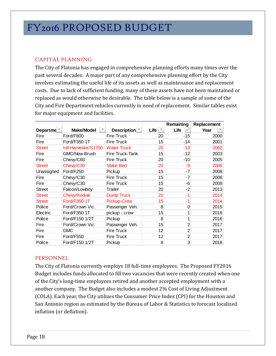# <span id="page-19-0"></span>CAPITAL PLANNING

The City of Flatonia has engaged in comprehensive planning efforts many times over the past several decades. A major part of any comprehensive planning effort by the City involves estimating the useful life of its assets as well as maintenance and replacement costs. Due to lack of sufficient funding, many of these assets have not been maintained or replaced as would otherwise be desirable. The table below is a sample of some of the City and Fire Department vehicles currently in need of replacement. Similar tables exist for major equipment and facilities.

|                       |                      |                        |                          | Remaining      | Replacement |
|-----------------------|----------------------|------------------------|--------------------------|----------------|-------------|
| Departme <sup>*</sup> | <b>Make/Model</b>    | Description            | Life $\vert \cdot \vert$ | Life<br>۳İ     | Year        |
| Fire                  | Ford/F800            | Fire Truck             | 20                       | -15            | 2000        |
| Fire                  | Ford/F350 1T         | <b>Fire Truck</b>      | 15                       | -14            | 2001        |
| <b>Street</b>         | Intl Harvestor/S1700 | <b>Water Truck</b>     | 20                       | $-13$          | 2002        |
| Fire                  | <b>GMC/New Brush</b> | <b>Fire Truck-Tank</b> | 15                       | $-12$          | 2003        |
| Fire                  | Chevy/C60            | <b>Fire Truck</b>      | 20                       | $-10$          | 2005        |
| <b>Street</b>         | Chevy/C30            | <b>Stake Bed</b>       | 20                       | -9             | 2006        |
| Unassigned            | Ford/F250            | Pickup                 | 15                       | -7             | 2008        |
| Fire                  | Chevy/C30            | <b>Fire Truck</b>      | 15                       | -7             | 2008        |
| Fire                  | Chevy/C30            | <b>Fire Truck</b>      | 15                       | -6             | 2009        |
| <b>Street</b>         | Falcon/Lowboy        | Trailer                | 20                       | -2             | 2013        |
| <b>Street</b>         | Chevy/Kodiak         | <b>Dump Truck</b>      | 20                       | -1             | 2014        |
| <b>Street</b>         | <b>Ford/F350 1T</b>  | <b>Pickup-Crew</b>     | 15                       | -1             | 2014        |
| Police                | Ford/Crown Vic.      | Passenger Veh.         | 8                        | 0              | 2015        |
| Electric              | Ford/F350 1T         | pickup - crew          | 15                       |                | 2016        |
| Police                | Ford/F150 1/2T       | Pickup                 | 8                        |                | 2016        |
| Fire                  | Ford/Crown Vic.      | Passenger Veh.         | 15                       | $\overline{2}$ | 2017        |
| Fire                  | <b>GMC</b>           | <b>Fire Truck</b>      | 12                       | $\overline{2}$ | 2017        |
| Fire                  | Ford/F550            | <b>Fire Truck</b>      | 12                       | $\overline{2}$ | 2017        |
| Police                | Ford/F150 1/2T       | Pickup                 | 8                        | 3              | 2018        |

# <span id="page-19-1"></span>PERSONNEL

The City of Flatonia currently employs 18 full-time employees. The Proposed FY2016 Budget includes funds allocated to fill two vacancies that were recently created when one of the City's long-time employees retired and another accepted employment with a another company. The Budget also includes a modest 2% Cost of Living Adjustment (COLA). Each year, the City utilizes the Consumer Price Index (CPI) for the Houston and San Antonio region as estimated by the Bureau of Labor & Statistics to forecast localized inflation (or deflation).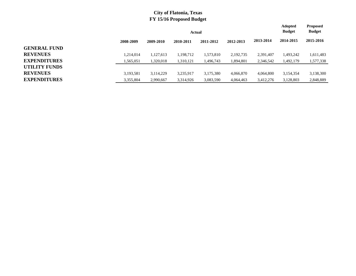|                     |           |           |           | <b>Adopted</b><br><b>Budget</b> | <b>Proposed</b><br><b>Budget</b> |           |           |           |
|---------------------|-----------|-----------|-----------|---------------------------------|----------------------------------|-----------|-----------|-----------|
|                     | 2008-2009 | 2009-2010 | 2010-2011 | 2011-2012                       | 2012-2013                        | 2013-2014 | 2014-2015 | 2015-2016 |
| <b>GENERAL FUND</b> |           |           |           |                                 |                                  |           |           |           |
| <b>REVENUES</b>     | 1,214,014 | 1,127,613 | 1,198,712 | 1,573,810                       | 2, 192, 735                      | 2,391,407 | 1,493,242 | 1,611,483 |
| <b>EXPENDITURES</b> | 1,565,051 | 1,320,018 | 1,310,121 | 1,496,743                       | 1,894,801                        | 2,346,542 | 1,492,179 | 1,577,338 |
| UTILITY FUNDS       |           |           |           |                                 |                                  |           |           |           |
| <b>REVENUES</b>     | 3,193,581 | 3,114,229 | 3,235,917 | 3,175,380                       | 4,066,870                        | 4,064,800 | 3,154,354 | 3,138,300 |
| <b>EXPENDITURES</b> | 3,355,804 | 2,990,667 | 3,314,926 | 3,083,590                       | 4,064,463                        | 3,412,276 | 3,128,803 | 2,848,889 |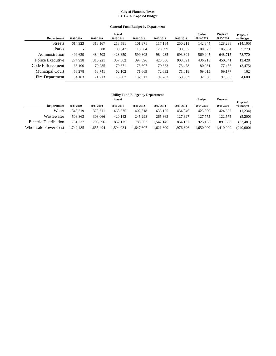#### **General Fund Budget by Department**

|                        |           |           | Actual    |           |           |           | <b>Budget</b> | Proposed  | Proposed   |
|------------------------|-----------|-----------|-----------|-----------|-----------|-----------|---------------|-----------|------------|
| <b>Department</b>      | 2008-2009 | 2009-2010 | 2010-2011 | 2011-2012 | 2012-2013 | 2013-2014 | 2014-2015     | 2015-2016 | vs. Budget |
| <b>Streets</b>         | 614.923   | 318.167   | 213,581   | 101,371   | 117.184   | 250,211   | 142,344       | 128,238   | (14, 105)  |
| Parks                  | ۰         | 388       | 108.643   | 115,384   | 128,699   | 190.857   | 100,075       | 105,854   | 5,779      |
| Administration         | 499.629   | 484,503   | 423,859   | 599,803   | 984,235   | 693,304   | 569,945       | 648,715   | 78,770     |
| Police Executive       | 274.938   | 316,221   | 357,662   | 397,596   | 423,606   | 908,591   | 436.913       | 450.341   | 13,428     |
| Code Enforcement       | 68,100    | 70,285    | 70,671    | 73,607    | 70,663    | 73,478    | 80,931        | 77.456    | (3, 475)   |
| <b>Municipal Court</b> | 53,278    | 58,741    | 62,102    | 71.669    | 72.632    | 71,018    | 69.015        | 69.177    | 162        |
| Fire Department        | 54,183    | 71,713    | 73,603    | 137,313   | 97,782    | 159,083   | 92,956        | 97,556    | 4,600      |

#### **Utility Fund Budget by Department**

|                             |           |           | Actual    |           |           |           | <b>Budget</b> | <b>Proposed</b> |                               |
|-----------------------------|-----------|-----------|-----------|-----------|-----------|-----------|---------------|-----------------|-------------------------------|
| <b>Department</b>           | 2008-2009 | 2009-2010 | 2010-2011 | 2011-2012 | 2012-2013 | 2013-2014 | 2014-2015     | 2015-2016       | <b>Proposed</b><br>vs. Budget |
| Water                       | 343.219   | 323.711   | 468.575   | 402.318   | 635.155   | 454,046   | 425,890       | 424,657         | (1,234)                       |
| Wastewater                  | 508.863   | 303,066   | 420.142   | 245.298   | 265,363   | 127.697   | 127,775       | 122.575         | (5,200)                       |
| Electric Distribution       | 761.237   | 708.396   | 832.175   | 788,367   | 1.542.145 | 854.137   | 925.138       | 891.658         | (33, 481)                     |
| <b>Wholesale Power Cost</b> | .742.485  | .655.494  | 1,594,034 | .647.607  | 1,621,800 | .976.396  | .650.000      | .410.000        | (240.000)                     |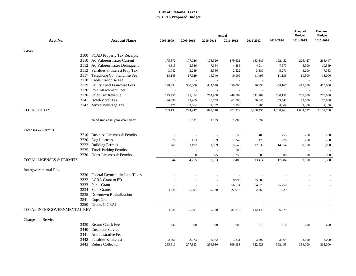|                             |                                    |                |                |           |                     |           |           | $\bf{Adopted}$<br><b>Budget</b> | <b>Proposed</b><br><b>Budget</b> |
|-----------------------------|------------------------------------|----------------|----------------|-----------|---------------------|-----------|-----------|---------------------------------|----------------------------------|
| Acct No.                    | <b>Account Name</b>                | 2008-2009      | 2009-2010      | 2010-2011 | Actual<br>2011-2012 | 2012-2013 | 2013-2014 | 2014-2015                       | 2015-2016                        |
|                             |                                    |                |                |           |                     |           |           |                                 |                                  |
| Taxes                       |                                    |                |                |           |                     |           |           |                                 |                                  |
|                             | 3100 FCAD Property Tax Receipts    |                |                |           |                     |           |           |                                 |                                  |
| 3110                        | Ad Valorem Taxes Current           | 175,372        | 177,026        | 178,520   | 179,621             | 183,386   | 192,452   | 226,427                         | 268,447                          |
|                             | 3112 Ad Valoren Taxes Delinquent   | 4,315          | 5,546          | 7,354     | 4,885               | 4,914     | 7,577     | 5,500                           | 10,569                           |
|                             | 3113 Penalties & Interest Prop Tax | 3,042          | 3,259          | 3,556     | 2,522               | 3,389     | 5,271     | 3,200                           | 7,353                            |
| 3117                        | Telephone Co. Franchise Fee        | 18,148         | 17,629         | 16,740    | 19,909              | 11,495    | 11,136    | 11,500                          | 18,000                           |
|                             | 3118 Cable Franchise Fee           |                |                |           |                     |           |           |                                 |                                  |
| 3119                        | <b>Utility Fund Franchise Fees</b> | 298,334        | 300,000        | 444,670   | 450,000             | 470,833   | 454,167   | 475,000                         | 475,000                          |
| 3120                        | Pole Attachment Fees               |                |                |           |                     |           |           |                                 |                                  |
| 3130                        | Sales Tax Revenue                  | 175,757        | 195,454        | 214,938   | 249,769             | 341,789   | 380,151   | 268,000                         | 275,000                          |
| 3141                        | Hotel/Motel Tax                    | 26,390         | 23,969         | 25,753    | 62,760              | 50,645    | 53,542    | 52,500                          | 75,000                           |
|                             | 3143 Mixed Beverage Tax            | 1,776          | 2,064          | 2,287     | 2,853               | 1,985     | 4,469     | 2,400                           | 2,400                            |
| <b>TOTAL TAXES</b>          |                                    | 703,134        | 724,947        | 893,818   | 972,319             | 1,068,436 | 1,108,764 | 1,044,527                       | 1,131,768                        |
|                             | % of increase year over year       |                | 1.031          | 1.233     | 1.088               | 1.099     |           |                                 |                                  |
| Licenses & Permits          |                                    |                |                |           |                     |           |           |                                 |                                  |
| 3210                        | Business Licenses & Permits        |                | $\sim$         |           | 150                 | 400       | 755       | 250                             | 250                              |
| 3220                        | Dog Licenses                       | 76             | 113            | 189       | 342                 | 176       | 276       | 200                             | 200                              |
| 3222                        | <b>Building Permits</b>            | 1,268          | 3,192          | 1,869     | 5,646               | 12,238    | 14,354    | 8,000                           | 8,000                            |
| 3225                        | <b>Truck Parking Permits</b>       |                | $\sim$         | $\sim$    | 100                 |           |           | ÷,                              |                                  |
| 3230                        | Other Licenses & Permits           |                | 950            | 875       | 1,250               | 600       | 1,900     | 900                             | 900                              |
| TOTAL LICENSES & PERMITS    |                                    | 1,344          | 4,255          | 2,933     | 7,488               | 13,414    | 17,284    | 9,350                           | 9.350                            |
| Intergovernmental Rev       |                                    |                |                |           |                     |           |           |                                 |                                  |
| 3330                        | Federal Payments in Lieu Taxes     |                |                |           |                     |           |           |                                 |                                  |
|                             | 3332 LCRA Grant to FD              |                |                | ÷.        | 8,995               | 25,000    |           |                                 |                                  |
|                             | 3333 Parks Grant                   |                |                | ÷.        | 56,574              | 84,779    | 75,750    |                                 |                                  |
|                             | 3334 State Grants                  | 4,028          | 21,091         | 9,530     | 22,046              | 2,369     | 1,229     |                                 |                                  |
|                             | 3335 Downtown Revitalization       |                |                |           |                     |           |           |                                 |                                  |
| 3341                        | Cops Grant                         |                |                |           |                     |           |           | ÷.                              | $\sim$                           |
|                             | 3350 Grants (LCRA)                 | $\overline{a}$ | $\overline{a}$ |           | ÷.                  | $\sim$    |           | $\sim$                          |                                  |
| TOTAL INTERGOVERNMENTAL REV |                                    | 4,028          | 21,091         | 9,530     | 87,615              | 112,148   | 76,979    |                                 |                                  |
| Charges for Service         |                                    |                |                |           |                     |           |           |                                 |                                  |
| 3430                        | Return Check Fee                   | 630            | 960            | 570       | 600                 | 870       | 510       | 600                             | 600                              |
| 3440                        | <b>Customer Service</b>            |                | $\sim$         |           | ÷.                  |           | $\sim$    |                                 |                                  |
| 3441                        | <b>Administrative Fee</b>          |                | $\sim$         |           |                     | $\sim$    |           | ÷.                              |                                  |
| 3442                        | Penalties & Interest               | 2,766          | 2,973          | 2,962     | 3,231               | 3,392     | 3,464     | 3,000                           | 3,000                            |
|                             | 3443 Refuse Collection             | 265,610        | 277,833        | 296,930   | 309,983             | 322,623   | 362,495   | 334,000                         | 365,000                          |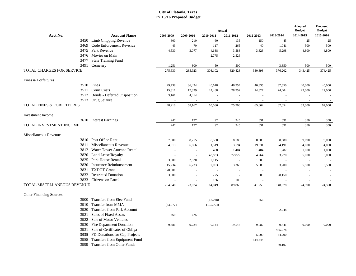|                                      |                                     | Actual    |                          |                          |                          |                          |                          |                            | <b>Proposed</b><br><b>Budget</b> |
|--------------------------------------|-------------------------------------|-----------|--------------------------|--------------------------|--------------------------|--------------------------|--------------------------|----------------------------|----------------------------------|
| Acct No.                             | <b>Account Name</b>                 | 2008-2009 | 2009-2010                | 2010-2011                | 2011-2012                | 2012-2013                | 2013-2014                | <b>Budget</b><br>2014-2015 | 2015-2016                        |
|                                      | 3450 Limb Chipping Revenue          | 800       | 210                      | 60                       | 135                      | 150                      | 45                       | 25                         | 25                               |
| 3469                                 | Code Enforcement Revenue            | 43        | 70                       | 117                      | 265                      | 40                       | 1,041                    | 500                        | 500                              |
| 3475                                 | Park Revenue                        | 4,530     | 3,077                    | 4,638                    | 3,588                    | 3,823                    | 5,298                    | 4,800                      | 4,800                            |
|                                      | 3476 Movies on Main                 | $\sim$    | ÷,                       | 2,775                    | 2,526                    | $\sim$                   |                          |                            |                                  |
| 3477                                 | <b>State Training Fund</b>          |           |                          |                          |                          |                          |                          |                            |                                  |
| 3491                                 | Cemetery                            | 1,251     | 800                      | 50                       | 500                      |                          | 3,350                    | 500                        | 500                              |
| TOTAL CHARGES FOR SERVICE            |                                     | 275,630   | 285,923                  | 308,102                  | 320,828                  | 330,898                  | 376,202                  | 343,425                    | 374,425                          |
| Fines & Forfeitures                  |                                     |           |                          |                          |                          |                          |                          |                            |                                  |
|                                      | 3510 Fines                          | 29,738    | 36,424                   | 40,618                   | 46,954                   | 40,835                   | 37,650                   | 40,000                     | 40,000                           |
|                                      | 3511 Court Costs                    | 15,311    | 17,329                   | 24,468                   | 28,952                   | 24,827                   | 24,404                   | 22,000                     | 22,000                           |
| 3512                                 | <b>Bonds</b> - Deferred Disposition | 3,161     | 4,414                    |                          |                          |                          |                          |                            | ÷,                               |
|                                      | 3513 Drug Seizure                   | $\sim$    | $\overline{\phantom{a}}$ | $\sim$                   | $\overline{\phantom{a}}$ | $\sim$                   | $\overline{\phantom{a}}$ | $\sim$                     | $\sim$                           |
| <b>TOTAL FINES &amp; FORFEITURES</b> |                                     | 48,210    | 58,167                   | 65,086                   | 75,906                   | 65,662                   | 62,054                   | 62,000                     | 62,000                           |
| <b>Investment</b> Income             |                                     |           |                          |                          |                          |                          |                          |                            |                                  |
|                                      | 3610 Interest Earnings              | 247       | 197                      | 92                       | 245                      | 831                      | 691                      | 350                        | 350                              |
| TOTAL INVESTMENT INCOME              |                                     | 247       | 197                      | 92                       | 245                      | 831                      | 691                      | 350                        | 350                              |
| Miscellaneous Revenue                |                                     |           |                          |                          |                          |                          |                          |                            |                                  |
| 3810                                 | Post Office Rent                    | 7,800     | 8,255                    | 8,580                    | 8,580                    | 8,580                    | 8,580                    | 9,090                      | 9,090                            |
| 3811                                 | Miscellaneous Revenue               | 4,913     | 6,066                    | 1,519                    | 3,594                    | 19,531                   | 24,191                   | 4,000                      | 4,000                            |
| 3812                                 | Water Tower Antenna Rental          | $\sim$    |                          | 498                      | 1,404                    | 1,404                    | 1,287                    | 1,000                      | 1,000                            |
| 3820                                 | Land Lease/Royalty                  | $\sim$    | J.                       | 43,833                   | 72,822                   | 4,764                    | 83,270                   | 5,000                      | 5,000                            |
|                                      | 3825 Park House Rental              | 3,600     | 2,520                    | 2,115                    | $\sim$                   | 1,500                    |                          |                            |                                  |
| 3830                                 | <b>Insurance Reimbursement</b>      | 15,234    | 6,233                    | 7,093                    | 3,363                    | 5,680                    | 3,200                    | 5,500                      | 5,500                            |
| 3831                                 | <b>TXDOT</b> Grant                  | 170,001   | ÷.                       | $\overline{\phantom{a}}$ |                          | ÷.                       |                          |                            |                                  |
| 3832                                 | <b>Restricted Donation</b>          | 3,000     | J.                       | 275                      | $\sim$                   | 300                      | 28,150                   |                            |                                  |
| 3833                                 | Citizens on Patrol                  | $\sim$    |                          | 136                      | 100                      | $\overline{\phantom{a}}$ | $\overline{\phantom{a}}$ |                            |                                  |
| TOTAL MISCELLANEOUS REVENUE          |                                     | 204,548   | 23,074                   | 64,049                   | 89,863                   | 41,759                   | 148,678                  | 24,590                     | 24,590                           |
| <b>Other Financing Sources</b>       |                                     |           |                          |                          |                          |                          |                          |                            |                                  |
| 3900                                 | Transfers from Elec Fund            | $\sim$    |                          | (18,048)                 |                          | 856                      |                          |                            |                                  |
| 3910                                 | <b>Transfer from MMA</b>            | (33,077)  | $\sim$                   | (135,994)                |                          | $\sim$                   |                          |                            | $\sim$                           |
| 3920                                 | <b>Transfers from Park Account</b>  | $\sim$    | ÷.                       |                          |                          |                          | 2,748                    |                            |                                  |
| 3921                                 | Sales of Fixed Assets               | 469       | 675                      |                          |                          |                          |                          |                            |                                  |
|                                      | 3922 Sale of Motor Vehicles         | ÷.        |                          | $\sim$                   |                          |                          | $\overline{\phantom{a}}$ |                            |                                  |
| 3930                                 | Fire Department Donation            | 9,481     | 9,284                    | 9,144                    | 19,546                   | 9,087                    | 9,441                    | 9,000                      | 9,000                            |
| 3931                                 | Sale of Certificates of Obliga      | ÷,        |                          |                          |                          | $\sim$                   | 475,078                  |                            |                                  |
|                                      | 3935 FD Donations for Cap Projects  |           |                          |                          |                          | 5,000                    | 34,290                   |                            |                                  |
| 3955                                 | Transfers from Equipment Fund       |           |                          |                          |                          | 544,644                  |                          |                            |                                  |
| 3999                                 | <b>Transfers from Other Funds</b>   |           |                          |                          |                          |                          | 79,197                   |                            | $\overline{\phantom{a}}$         |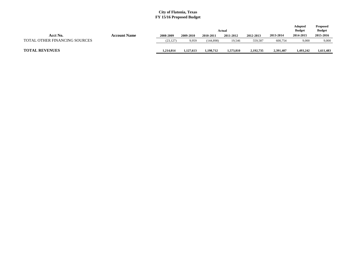|                               |                     |           |           |            | Actual    |           |           | Adopted<br><b>Budget</b> | <b>Proposed</b><br><b>Budget</b> |
|-------------------------------|---------------------|-----------|-----------|------------|-----------|-----------|-----------|--------------------------|----------------------------------|
| Acct No.                      | <b>Account Name</b> | 2008-2009 | 2009-2010 | 2010-2011  | 2011-2012 | 2012-2013 | 2013-2014 | 2014-2015                | 2015-2016                        |
| TOTAL OTHER FINANCING SOURCES |                     | (23, 127) | 9,959     | (144, 898) | 19,546    | 559,587   | 600,754   | 9,000                    | 9,000                            |
| <b>TOTAL REVENUES</b>         |                     | 1,214,014 | 1,127,613 | .198.712   | 1,573,810 | 2,192,735 | 2,391,407 | 1.493.242                | 1,611,483                        |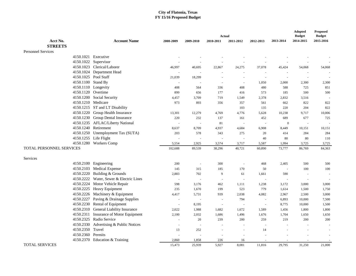|                           |                                         |           | <b>Actual</b>            |                          |                |                |                          |               |               |  |
|---------------------------|-----------------------------------------|-----------|--------------------------|--------------------------|----------------|----------------|--------------------------|---------------|---------------|--|
|                           |                                         |           |                          |                          |                |                |                          | <b>Budget</b> | <b>Budget</b> |  |
| Acct No.                  | <b>Account Name</b>                     | 2008-2009 | 2009-2010                | 2010-2011                | 2011-2012      | 2012-2013      | 2013-2014                | 2014-2015     | 2015-2016     |  |
| <b>STREETS</b>            |                                         |           |                          |                          |                |                |                          |               |               |  |
| <b>Personnel Services</b> |                                         |           |                          |                          |                |                |                          |               |               |  |
|                           | 4150.1021 Executive                     |           |                          |                          |                |                |                          |               |               |  |
|                           | 4150.1022 Supervisor                    |           |                          |                          |                |                |                          |               |               |  |
|                           | 4150.1023 Clerical/Laborer              | 46,997    | 40,695                   | 22,867                   | 24,275         | 37,078         | 45,424                   | 54,068        | 54,068        |  |
|                           | 4150.1024 Department Head               |           | $\sim$                   |                          | $\sim$         |                |                          |               |               |  |
|                           | 4150.1025 Pool Staff                    | 21,039    | 18,299                   |                          | $\sim$         |                |                          | $\sim$        |               |  |
| 4150.1100 Stand By        |                                         |           |                          | $\sim$                   | $\sim$         | 1,050          | 2,000                    | 2,300         | 2,300         |  |
|                           | 4150.1110 Longevity                     | 408       | 564                      | 336                      | 408            | 480            | 588                      | 725           | 851           |  |
| 4150.1120 Overtime        |                                         | 899       | 656                      | 177                      | 416            | 573            | 185                      | 500           | 500           |  |
|                           | 4150.1200 Social Security               | 4,457     | 3,709                    | 719                      | 1,549          | 2,378          | 2,832                    | 3,516         |               |  |
| 4150.1210 Medicare        |                                         | 973       | 893                      | 356                      | 357            | 561            | 662                      | 822           | 822           |  |
|                           | 4150.1215 ST and LT Disability          |           |                          |                          | 103            | 135            | 220                      | 204           | 822           |  |
|                           | 4150.1220 Group Health Insurance        | 13,301    | 12,279                   | 4,769                    | 4,776          | 5,628          | 10,238                   | 9,717         | 10,006        |  |
|                           | 4150.1230 Group Dental Insurance        | 220       | 232                      | 137                      | 161            | 452            | 689                      | 677           | 725           |  |
|                           | 4150.1235 AFLAC/Liberty National        |           | $\overline{\phantom{a}}$ | 81                       | $\sim$         | $\sim$         | $\mathbf{0}$             | $\sim$        |               |  |
|                           | 4150.1240 Retirement                    | 8,637     | 8,709                    | 4,937                    | 4,684          | 6,908          | 8,449                    | 10,151        | 10,151        |  |
|                           | 4150.1250 Unemployment Tax (SUTA)       | 203       | 578                      | 343                      | 275            | 20             | 414                      | 284           | 284           |  |
|                           | 4150.1255 Life Flight                   |           | $\sim$                   |                          | $\sim$         | 40             | 80                       | 80            | 110           |  |
|                           | 4150.1280 Workers Comp                  | 5,554     | 2,925                    | 3,574                    | 3,717          | 5,587          | 1,994                    | 3,725         | 3,725         |  |
| TOTAL PERSONNEL SERVICES  |                                         | 102,688   | 89,539                   | 38,296                   | 40,721         | 60,890         | 73,777                   | 86,769        | 84,363        |  |
|                           |                                         |           |                          |                          |                |                |                          |               |               |  |
| Services                  |                                         |           |                          |                          |                |                |                          |               |               |  |
|                           | 4150.2100 Engineering                   | 200       | $\sim$                   | 300                      | $\overline{a}$ | 468            | 2,405                    | 500           | 500           |  |
|                           | 4150.2103 Medical Expense               | 145       | 315                      | 185                      | 170            | 50             | $\sim$                   | 100           | 100           |  |
|                           | 4150.2220 Building & Grounds            | 2,883     | 702                      | 9                        | 61             | 1,661          | 590                      | $\sim$        |               |  |
|                           | 4150.2222 Water, Sewer & Electric Lines |           | $\sim$                   | $\sim$                   | $\sim$         | $\sim$         | $\overline{\phantom{a}}$ | $\sim$        |               |  |
|                           | 4150.2224 Motor Vehicle Repair          | 598       | 3,176                    | 462                      | 1,111          | 1,238          | 3,172                    | 3,000         | 3,000         |  |
|                           | 4150.2225 Heavy Equipment               | 235       | 1,670                    | 199                      | 523            | 779            | 1,614                    | 1,500         | 1,750         |  |
|                           | 4150.2226 Machinery & Equipment         | 4,417     | 5,731                    | 939                      | 2,038          | 4,082          | 2,967                    | 2,500         | 3,000         |  |
|                           | 4150.2227 Paving & Drainage Supplies    | $\sim$    | $\sim$                   | $\sim$                   | 794            | $\blacksquare$ | 6,893                    | 10,000        | 7,500         |  |
|                           | 4150.2230 Rental of Equipment           |           | 8,195                    | $\overline{\phantom{a}}$ |                | $\sim$         | 8,775                    | 10,000        | 1,500         |  |
|                           | 4150.2310 General Liability Insurance   | 2,022     | 1,988                    | 1,682                    | 1,672          | 1,589          | 1,456                    | 1,800         | 1,800         |  |
|                           | 4150.2311 Insurance of Motor Equipment  | 2,100     | 2,032                    | 1,686                    | 1,496          | 1,676          | 1,704                    | 1,650         | 1,650         |  |
|                           | 4150.2325 Radio Service                 |           | 20                       | 239                      | 200            | 259            | 219                      | 200           | 200           |  |
|                           | 4150.2330 Advertising & Public Notices  |           | $\overline{a}$           |                          |                |                |                          |               |               |  |
| 4150.2350 Travel          |                                         | 13        | 252                      |                          | $\overline{a}$ | 14             |                          |               |               |  |
| 4150.2360 Permits         |                                         |           | $\sim$                   | $\sim$                   | $\sim$         | $\sim$         |                          |               |               |  |
|                           | 4150.2370 Education & Training          | 2,860     | 1,858                    | 226                      | 16             |                |                          |               | $\sim$        |  |
| <b>TOTAL SERVICES</b>     |                                         | 15,473    | 25,939                   | 5.927                    | 8,081          | 11,816         | 29.795                   | 31,250        | 21,000        |  |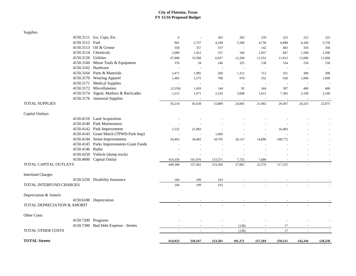| Supplies                               |                                          |         |         |                |         |                |         |                          |         |
|----------------------------------------|------------------------------------------|---------|---------|----------------|---------|----------------|---------|--------------------------|---------|
|                                        | 4150.3111 Ice, Cups, Etc.                | 6       | $\sim$  | 363            | 283     | 259            | 225     | 225                      | 225     |
| 4150.3112 Fuel                         |                                          | 981     | 2,737   | 4,108          | 5,589   | 4,730          | 6,898   | 6,200                    | 5,750   |
|                                        | 4150.3113 Oil & Grease                   | 358     | 357     | 337            | $\sim$  | 142            | 483     | 350                      | 350     |
|                                        | 4150.3114 Chemicals                      | 2,680   | 1,412   | 557            | 166     | 1,857          | 847     | 1,500                    | 1,500   |
| 4150.3120 Utilities                    |                                          | 47,888  | 33,508  | 6,937          | 12,260  | 11,552         | 11,813  | 12,000                   | 11,000  |
|                                        | 4150.3160 Minor Tools & Equipment        | 376     | 34      | 246            | 325     | 138            | 334     | 250                      | 250     |
| 4150.3162 Hardware                     |                                          |         | $\sim$  | $\sim$         | $\sim$  | $\sim$         | $\sim$  | $\sim$                   |         |
|                                        | 4150.3164 Parts & Materials              | 3,471   | 1,995   | 269            | 1,312   | 713            | 351     | 300                      | 300     |
|                                        | 4150.3170 Wearing Apparel                | 1,485   | 1,575   | 708            | 970     | 552            | 636     | 1,000                    | 1,000   |
|                                        | 4150.3171 Medical Supplies               | $\sim$  | $\sim$  | $\sim$         | $\sim$  | $\sim$         | $\sim$  | $\sim$                   |         |
|                                        | 4150.3172 Miscellaneous                  | (2,550) | 1,439   | 144            | 92      | 344            | 397     | 400                      | 400     |
|                                        | 4150.3174 Signal, Markers & Barricades   | 1,515   | 1,971   | 2,220          | 3,848   | 1,615          | 7,383   | 2,100                    | 2,100   |
|                                        | 4150.3176 Janitorial Supplies            |         |         |                |         |                |         |                          |         |
| <b>TOTAL SUPPLIES</b>                  |                                          | 56,210  | 45,028  | 15,889         | 24,845  | 21,902         | 29,367  | 24,325                   | 22,875  |
| Capital Outlays                        |                                          |         |         |                |         |                |         |                          |         |
|                                        | 4150.4110 Land Acquisition               |         |         |                |         |                |         |                          |         |
|                                        | 4150.4140 Park Maintenance               |         |         |                |         |                |         |                          |         |
|                                        | 4150.4142 Park Improvement               | 1,525   | 21,083  |                |         |                | 16,483  |                          |         |
|                                        | 4150.4143 Grant Match (TPWD-Park Imp)    |         |         | 1,000          |         |                |         |                          |         |
|                                        | 4150.4144 Street Improvements            | 24,493  | 34,403  | 18,795         | 20,137  | 14,896         | 100,772 |                          |         |
|                                        | 4150.4145 Parks Improvements Grant Funds |         |         |                |         |                |         |                          |         |
| 4150.4146 Radio                        |                                          |         |         |                |         |                |         |                          |         |
|                                        | 4150.4250 Vehicle (dump truck)           |         |         |                |         |                |         |                          |         |
|                                        | 4150.4600 Capital Outlay                 | 414,350 | 101,976 | 133,571        | 7,725   | 7,680          |         | $\overline{a}$           | $\sim$  |
| <b>TOTAL CAPITAL OUTLAYS</b>           |                                          | 440,368 | 157,462 | 153,366        | 27,862  | 22,576         | 117,255 | ÷,                       |         |
| <b>Interfund Charges</b>               |                                          |         |         |                |         |                |         |                          |         |
|                                        | 4150.5250 Disability Insurance           | 184     | 199     | 103            |         |                |         |                          |         |
| TOTAL INTERFUND CHARGES                |                                          | 184     | 199     | 103            |         |                |         |                          |         |
| Depreciation & Amorit                  |                                          |         |         |                |         |                |         |                          |         |
|                                        | 4150.6100 Depreciation                   |         |         |                |         |                |         |                          |         |
| <b>TOTAL DEPRECIATION &amp; AMORIT</b> |                                          |         |         |                |         |                |         |                          |         |
| Other Costs                            |                                          |         |         |                |         |                |         |                          |         |
| 4150.7200 Programs                     |                                          |         |         |                |         |                |         |                          |         |
|                                        | 4150.7300 Bad Debt Expense - Streets     |         | $\sim$  | $\blacksquare$ | (138)   | $\blacksquare$ | 17      | $\overline{\phantom{a}}$ |         |
| TOTAL OTHER COSTS                      |                                          |         |         | $\sim$         | (138)   | $\sim$         | 17      | $\bar{a}$                | $\sim$  |
|                                        |                                          |         |         |                |         |                |         |                          |         |
| <b>TOTAL Streets</b>                   |                                          | 614,923 | 318,167 | 213,581        | 101,371 | 117,184        | 250,211 | 142,344                  | 128,238 |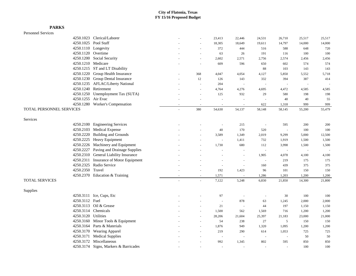#### Personnel Services

|                          | 4250.1023 Clerical/Laborer             |                     | 23,413                   | 22,446                   | 24,531 | 26,710 | 25,517                   | 25,517 |
|--------------------------|----------------------------------------|---------------------|--------------------------|--------------------------|--------|--------|--------------------------|--------|
|                          | 4250.1025 Pool Staff                   | $\sim$              | 18,305                   | 18,649                   | 19,611 | 14,797 | 14,000                   | 14,000 |
|                          | 4250.1110 Longevity                    | $\sim$              | 372                      | 444                      | 516    | 588    | 648                      | 720    |
|                          | 4250.1120 Overtime                     | $\sim$              | 63                       | 26                       | 191    | 116    | 100                      | 100    |
|                          | 4250.1200 Social Security              | L.                  | 2,602                    | 2,571                    | 2,756  | 2,574  | 2,456                    | 2,456  |
|                          | 4250.1210 Medicare                     | ÷,                  | 609                      | 596                      | 650    | 602    | 574                      | 574    |
|                          | 4250.1215 ST and LT Disability         |                     |                          |                          | 88     | 103    | 143                      | 143    |
|                          | 4250.1220 Group Health Insurance       | 368                 | 4,047                    | 4,054                    | 4,127  | 5,850  | 5,552                    | 5,718  |
|                          | 4250.1230 Group Dental Insurance       | 12                  | 126                      | 143                      | 332    | 394    | 387                      | 414    |
|                          | 4250.1235 AFLAC/Liberty National       | $\sim$              | 204                      | $\sim$                   |        |        | $\overline{\phantom{a}}$ |        |
|                          | 4250.1240 Retirement                   |                     | 4,764                    | 4,276                    | 4,695  | 4,472  | 4,585                    | 4,585  |
|                          | 4250.1250 Unemployment Tax (SUTA)      | $\bar{a}$           | 125                      | 932                      | 29     | 580    | 198                      | 198    |
| 4250.1255 Air Evac       |                                        | $\sim$              | L,                       |                          |        | 40     | 40                       | 55     |
|                          | 4250.1280 Worker's Compensation        | $\overline{a}$      | $\overline{\phantom{a}}$ |                          | 622    | 1,318  | 999                      | 999    |
| TOTAL PERSONNEL SERVICES |                                        | 380                 | 54,630                   | 54,137                   | 58,148 | 58,145 | 55,200                   | 55,479 |
| Services                 |                                        |                     |                          |                          |        |        |                          |        |
|                          | 4250.2100 Engineering Services         |                     | $\sim$                   | 215                      |        | 595    | 200                      | 200    |
|                          | 4250.2103 Medical Expense              |                     | $40\,$                   | 170                      | 520    |        | 100                      | 100    |
|                          | 4250.2220 Building and Grounds         |                     | 3,589                    | 1,349                    | 2,019  | 9,299  | 5,000                    | 12,500 |
|                          | 4250.2225 Heavy Equipment              |                     | $\sim$                   | 1,411                    | 732    | 1,919  | 1,500                    | 1,500  |
|                          | 4250.2226 Machinery and Equipment      |                     | 1,730                    | 680                      | 112    | 3,998  | 1,500                    | 1,500  |
|                          | 4250.2227 Paving and Drainage Supplies |                     |                          |                          | $\sim$ |        | $\sim$                   |        |
|                          | 4250.2310 General Liability Insurance  |                     |                          | $\overline{\phantom{a}}$ | 1,905  | 4,078  | 4,100                    | 4,100  |
|                          | 4250.2311 Insurance of Motor Equipment |                     |                          | $\bar{a}$                | $\sim$ | 219    | 175                      | 175    |
|                          | 4250.2325 Radio Service                |                     | $\sim$                   | $\sim$                   | 160    | 439    | 375                      | 375    |
| 4250.2350 Travel         |                                        | $\bar{a}$           | 192                      | 1,423                    | 96     | 101    | 150                      | 150    |
|                          | 4250.2370 Education & Training         |                     | 1,571                    |                          | 1,286  | 1,203  | 1,200                    | 1,200  |
| <b>TOTAL SERVICES</b>    |                                        |                     | 7,122                    | 5,248                    | 6,830  | 21,850 | 14,300                   | 21,800 |
| Supplies                 |                                        |                     |                          |                          |        |        |                          |        |
|                          | 4250.3111 Ice, Cups, Etc               |                     | 97                       | $\sim$                   | ÷,     | 30     | 100                      | 100    |
| 4250.3112 Fuel           |                                        |                     | $\sim$                   | 878                      | 63     | 1,245  | 2,000                    | 2,000  |
|                          | 4250.3113 Oil & Grease                 |                     | 21                       | $\sim$                   | 44     | 197    | 1,150                    | 1,150  |
|                          | 4250.3114 Chemicals                    | $\sim$              | 1,500                    | 562                      | 1,569  | 716    | 1,200                    | 1,200  |
| 4250.3120 Utilities      |                                        | $\sim$              | 28,206                   | 21,604                   | 25,397 | 21,183 | 23,000                   | 21,000 |
|                          | 4250.3160 Minor Tools & Equipment      | $\sim$              | 54                       | 238                      | 27     | 5      | 150                      | 150    |
|                          | 4250.3164 Parts & Materials            | $\sim$              | 1,876                    | 949                      | 1,320  | 1,095  | 1,200                    | 1,200  |
|                          | 4250.3170 Wearing Apparel              | $\bar{\phantom{a}}$ | 219                      | 290                      | 614    | 1,053  | 725                      | 725    |
|                          | 4250.3171 Medical Supplies             |                     | $\sim$                   | $\sim$                   | $\sim$ | $\sim$ | 50                       | 50     |
|                          | 4250.3172 Miscellaneous                |                     | 992                      | 1,345                    | 802    | 595    | 850                      | 850    |
|                          | 4250.3174 Signs, Markers & Barricades  |                     |                          |                          |        |        | 100                      | 100    |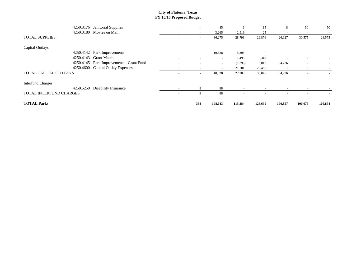| 4250.3176                | Janitorial Supplies            | $\overline{\phantom{m}}$ | $\overline{\phantom{a}}$ | 45                       | 6                        | 15      | 8                        | 50                       | 50                       |
|--------------------------|--------------------------------|--------------------------|--------------------------|--------------------------|--------------------------|---------|--------------------------|--------------------------|--------------------------|
| 4250.3180                | Movies on Main                 | $\sim$                   | $\overline{\phantom{a}}$ | 3,265                    | 2,919                    | 25      |                          | $\overline{\phantom{a}}$ |                          |
| <b>TOTAL SUPPLIES</b>    |                                |                          | $\overline{\phantom{a}}$ | 36,275                   | 28,791                   | 29,876  | 26,127                   | 30,575                   | 28,575                   |
| Capital Outlays          |                                |                          |                          |                          |                          |         |                          |                          |                          |
| 4250.4142                | Park Improvements              | $\overline{\phantom{a}}$ | $\sim$                   | 10,528                   | 5,308                    |         |                          |                          |                          |
| 4250.4143                | <b>Grant Match</b>             | $\overline{\phantom{a}}$ | $\sim$                   | $\overline{\phantom{a}}$ | 1,495                    | 5,348   |                          | $\overline{\phantom{0}}$ | $\overline{\phantom{a}}$ |
| 4250.4145                | Park Improvements - Grant Fund |                          |                          | $\sim$                   | (1,296)                  | 8,012   | 84,736                   |                          |                          |
| 4250.4600                | <b>Capital Outlay Expenses</b> |                          |                          |                          | 21,701                   | 20,485  |                          |                          |                          |
| TOTAL CAPITAL OUTLAYS    |                                |                          | $\overline{\phantom{a}}$ | 10,528                   | 27,208                   | 33,845  | 84,736                   |                          |                          |
| <b>Interfund Charges</b> |                                |                          |                          |                          |                          |         |                          |                          |                          |
| 4250.5250                | <b>Disability Insurance</b>    | $\overline{\phantom{a}}$ | 8                        | 88                       |                          |         |                          |                          |                          |
| TOTAL INTERFUND CHARGES  |                                | $\overline{\phantom{a}}$ | 8                        | 88                       | $\overline{\phantom{a}}$ |         | $\overline{\phantom{a}}$ |                          |                          |
| <b>TOTAL Parks</b>       |                                |                          | 388                      | 108,643                  | 115,384                  | 128,699 | 190,857                  | 100,075                  | 105,854                  |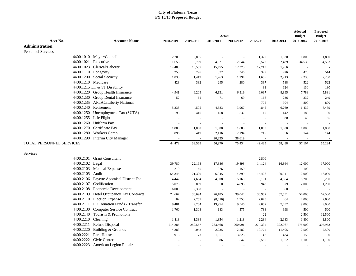|                           |                                          |           |           |           |                |                          |                          | <b>Adopted</b>             | <b>Proposed</b><br><b>Budget</b> |
|---------------------------|------------------------------------------|-----------|-----------|-----------|----------------|--------------------------|--------------------------|----------------------------|----------------------------------|
| Acct No.                  | <b>Account Name</b>                      | 2008-2009 |           | Actual    |                |                          | 2013-2014                | <b>Budget</b><br>2014-2015 | 2015-2016                        |
|                           |                                          |           | 2009-2010 | 2010-2011 | 2011-2012      | 2012-2013                |                          |                            |                                  |
| <b>Administration</b>     |                                          |           |           |           |                |                          |                          |                            |                                  |
| <b>Personnel Services</b> |                                          |           |           |           |                |                          |                          |                            |                                  |
|                           | 4400.1010 Mayor/Council                  | 2,700     | 2,835     |           | $\sim$         | 1,320                    | 1,080                    | 1,800                      | 1,800                            |
| 4400.1021<br>4400.1023    | Executive                                | 11,656    | 5,769     | 4,521     | 2,644          | 6,573                    | 32,489                   | 34,533                     | 34,533                           |
|                           | Clerical/Laborer                         | 14,483    | 15,507    | 15,475    | 17,370         | 17,713                   | 1,966                    | $\sim$                     |                                  |
| 4400.1110 Longevity       |                                          | 255       | 296       | 332       | 346            | 379                      | 426                      | 470                        | 514                              |
|                           | 4400.1200 Social Security                | 1,830     | 1,419     | 1,263     | 1,294          | 1,605                    | 2,213                    | 2,230                      | 2,230                            |
| 4400.1210 Medicare        |                                          | 428       | 332       | 295       | 280            | 397                      | 518                      | 522                        | 522                              |
|                           | 4400.1215 LT & ST Disability             |           |           |           |                | 81                       | 124                      | 130                        | 130                              |
|                           | 4400.1220 Group Health Insurance         | 4,941     | 6,209     | 6,131     | 6,319          | 6,097                    | 8,895                    | 7,788                      | 5,831                            |
|                           | 4400.1230 Group Dental Insurance         | 52        | 61        | 71        | 69             | 166                      | 236                      | 232                        | 249                              |
|                           | 4400.1235 AFLAC/Liberty National         |           | $\sim$    | $\sim$    | $\sim$         | 775                      | 904                      | 800                        | 800                              |
| 4400.1240                 | Retirement                               | 5,238     | 4,505     | 4,583     | 3,967          | 4,845                    | 6,760                    | 6,439                      | 6,439                            |
|                           | 4400.1250 Unemployment Tax (SUTA)        | 193       | 416       | 158       | 532            | 19                       | 442                      | 180                        | 180                              |
|                           | 4400.1255 Life Flight                    |           | $\sim$    |           | $\sim$         | $\overline{\phantom{a}}$ | 80                       | 40                         | 55                               |
|                           | 4400.1260 Uniform Pay                    |           | $\sim$    |           | $\overline{a}$ | $\sim$                   | $\overline{\phantom{a}}$ | $\sim$                     |                                  |
| 4400.1270                 | Certificate Pay                          | 1,800     | 1,800     | 1,800     | 1,800          | 1,800                    | 1,800                    | 1,800                      | 1,800                            |
| 4400.1280                 | <b>Workers Comp</b>                      | 896       | 419       | 2,116     | 2,194          | 715                      | 556                      | 144                        | 144                              |
| 4400.1290                 | <b>Interim City Manager</b>              |           |           | 20,225    | 38,619         | $\sim$                   | $\sim$                   | $\sim$                     |                                  |
| TOTAL PERSONNEL SERVICES  |                                          | 44,472    | 39,568    | 56,970    | 75,434         | 42,485                   | 58,488                   | 57,107                     | 55,224                           |
| Services                  |                                          |           |           |           |                |                          |                          |                            |                                  |
| 4400.2101                 | <b>Grant Consultant</b>                  |           |           |           | $\sim$         | 2,500                    |                          | $\sim$                     |                                  |
| 4400.2102                 | Legal                                    | 39,780    | 22,198    | 17,386    | 19,898         | 14,124                   | 16,864                   | 12,000                     | 17,000                           |
| 4400.2103                 | <b>Medical Expense</b>                   | 210       | 145       | 276       | 150            | $\sim$                   | $\overline{\phantom{a}}$ | 100                        | 100                              |
| 4400.2105                 | Audit                                    | 54,345    | 21,300    | 6,245     | 4,399          | 15,426                   | 20,041                   | 12,000                     | 16,000                           |
|                           | 4400.2106 Fayette Appraisal District Fee | 4,442     | 4,664     | 4,808     | 5,160          | 5,191                    | 4,654                    | 5,200                      | 5,200                            |
| 4400.2107                 | Codification                             | 5,075     | 889       | 350       | 4,896          | 942                      | 879                      | 2,000                      | 1,200                            |
|                           | 4400.2108 Economic Development           | 6,000     | 2,398     |           |                | $\sim$                   | 650                      | $\sim$                     |                                  |
|                           | 4400.2109 Hotel Occupancy Tax Contracts  | 24,667    | 30,694    | 26,185    | 39,044         | 33,982                   | 57,551                   | 50,000                     | 62,500                           |
|                           | 4400.2110 Election Expense               | 102       | 2,257     | (8,616)   | 1,953          | 2,070                    | 464                      | 2,000                      | 2,000                            |
| 4400.2111                 | FD Donation Funds - Transfer             | 9,481     | 9,284     | 19,954    | 9,546          | 9,087                    | 7,052                    | 9,000                      | 9,000                            |
| 4400.2130                 | <b>Computer Service Contract</b>         | 1,760     | 1,308     | 183       | 575            | 788                      | 998                      | 500                        | 500                              |
| 4400.2140                 | Tourism & Promotions                     |           | $\sim$    |           |                | 22                       |                          | 2,500                      | 12,500                           |
| 4400.2210 Cleaning        |                                          | 1,418     | 1,384     | 1,354     | 1,218          | 2,284                    | 2,183                    | 1,800                      | 1,800                            |
| 4400.2211                 | Refuse Disposal                          | 214,285   | 259,557   | 233,468   | 260,991        | 274,332                  | 322,067                  | 275,000                    | 305,963                          |
| 4400.2220                 | Building & Grounds                       | 4,883     | 4,042     | 2,235     | 2,582          | 10,772                   | 11,405                   | 2,500                      | 2,500                            |
| 4400.2221                 | Park House                               | 918       | 173       | 1,351     | 13,823         | 42                       | 424                      | 150                        | 150                              |
| 4400.2222                 | Civic Center                             |           |           | 86        | 547            | 2,586                    | 1,062                    | 1,100                      | 1,100                            |
| 4400.2223                 | American Legion Repair                   |           |           |           |                |                          |                          |                            |                                  |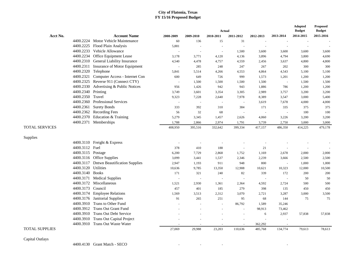|                       |                                        |           |           | Actual                   |                |           |           | <b>Adopted</b><br><b>Budget</b> | <b>Proposed</b><br><b>Budget</b> |
|-----------------------|----------------------------------------|-----------|-----------|--------------------------|----------------|-----------|-----------|---------------------------------|----------------------------------|
| Acct No.              | <b>Account Name</b>                    | 2008-2009 | 2009-2010 | 2010-2011                | 2011-2012      | 2012-2013 | 2013-2014 | 2014-2015                       | 2015-2016                        |
|                       | 4400.2224 Motor Vehicle Maintenance    | 60        | 136       | 15                       | 31             |           |           |                                 |                                  |
| 4400.2225             | Flood Plain Analysis                   | 5,881     | ÷,        |                          | $\overline{a}$ |           |           | $\overline{\phantom{a}}$        |                                  |
|                       | 4400.2233 Vehicle Allowance            |           | L,        | $\overline{a}$           | 1,500          | 3,600     | 3,600     | 3,600                           | 3,600                            |
|                       | 4400.2234 Office Equipment Lease       | 3,178     | 3,771     | 4,120                    | 4,136          | 3,896     | 4,794     | 3,800                           | 4,690                            |
| 4400.2310             | General Liability Insurance            | 4,540     | 4,478     | 4,757                    | 4,559          | 2,456     | 3,637     | 4,800                           | 4,800                            |
|                       | 4400.2311 Insurance of Motor Equipment | $\sim$    | 285       | 248                      | 247            | 267       | 202       | 300                             | 300                              |
| 4400.2320             | Telephone                              | 5,841     | 5,514     | 4,266                    | 4,553          | 4,864     | 4,543     | 5,100                           | 5,100                            |
| 4400.2321             | Computer Access - Internet Con         | 600       | 649       | 726                      | 999            | 1,573     | 1,201     | 1,200                           | 1,200                            |
| 4400.2325             | Reverse 911 (Connect CTY)              | $\sim$    | 1,500     | 1,500                    | 1,500          | 1,500     | $\sim$    | 1,500                           | 1,500                            |
| 4400.2330             | Advertising & Public Notices           | 956       | 1,426     | 942                      | 943            | 1,886     | 786       | 1,200                           | 1,200                            |
| 4400.2340             | Printing                               | 3,749     | 3,601     | 3,354                    | 3,305          | 2,989     | 3,757     | 3,200                           | 3,200                            |
| 4400.2350             | Travel                                 | 9,323     | 7,228     | 2,640                    | 7,978          | 8,389     | 3,547     | 3,000                           | 5,400                            |
| 4400.2360             | <b>Professional Services</b>           | ÷,        | $\sim$    | ÷,                       | $\sim$         | 3,619     | 7,678     | 4,000                           | 4,000                            |
| 4400.2361             | <b>Surety Bonds</b>                    | 333       | 392       | 310                      | 384            | 171       | 335       | 375                             | 375                              |
| 4400.2362             | <b>Recording Fees</b>                  | 56        | 32        | 68                       | $\sim$         |           |           | 100                             | 100                              |
| 4400.2370             | Education & Training                   | 5,279     | 3,345     | 1,457                    | 2,626          | 4,060     | 3,226     | 3,200                           | 3,200                            |
|                       | 4400.2371 Memberships                  | 1,788     | 2,866     | 2,974                    | 1,791          | 3,739     | 2,750     | 3,000                           | 3,000                            |
| <b>TOTAL SERVICES</b> |                                        | 408,950   | 395,516   | 332,642                  | 399,334        | 417,157   | 486,350   | 414,225                         | 479,178                          |
| Supplies              |                                        |           |           |                          |                |           |           |                                 |                                  |
|                       | 4400.3110 Freight & Express            |           |           |                          |                |           |           |                                 |                                  |
| 4400.3112 Fuel        |                                        | 378       | 410       | 188                      | $\sim$         | 21        |           |                                 |                                  |
| 4400.3115 Postage     |                                        | 6,200     | 7,729     | 2,868                    | 1,752          | 1,169     | 2,678     | 2,000                           | 2,000                            |
|                       | 4400.3116 Office Supplies              | 3,099     | 3,441     | 1,537                    | 2,346          | 2,239     | 3,666     | 2,500                           | 2,500                            |
| 4400.3117             | <b>Dntwn Beautification Supplies</b>   | 2,947     | 1,193     | 911                      | 948            | 800       | $\sim$    | 1,000                           | 1,000                            |
| 4400.3120             | Utilities                              | 10,636    | 9,785     | 13,350                   | 12,908         | 10,621    | 10,323    | 12,000                          | 10,500                           |
| 4400.3140             | <b>Books</b>                           | 171       | 321       | 240                      | 82             | 339       | 172       | 200                             | 200                              |
| 4400.3171             | <b>Medical Supplies</b>                | ÷.        | $\sim$    | ÷.                       | $\overline{a}$ | $\sim$    |           | 50                              | 50                               |
|                       | 4400.3172 Miscellaneous                | 1,521     | 2,930     | 1,361                    | 2,364          | 4,592     | 2,724     | 500                             | 500                              |
| 4400.3173             | Council                                | 457       | 401       | 185                      | 279            | 398       | 135       | 450                             | 450                              |
| 4400.3174             | <b>Employee Relations</b>              | 1,569     | 3,513     | 2,312                    | 3,070          | 2,721     | 3,287     | 3,000                           | 3,500                            |
|                       | 4400.3176 Janitorial Supplies          | 91        | 265       | 251                      | 95             | 68        | 144       | 75                              | 75                               |
| 4400.3910             | Trans to Other Fund                    |           | ÷,        | $\overline{\phantom{a}}$ | 86,792         | 1,589     | 35,246    |                                 |                                  |
|                       | 4400.3912 Trans Out Grant Fund         |           |           |                          |                | 98,913    | 73,462    |                                 |                                  |
|                       | 4400.3910 Trans Out Debt Service       |           |           |                          | $\sim$         | 6         | 2,937     | 57,838                          | 57,838                           |
| 4400.3910             | <b>Trans Out Capital Project</b>       |           |           |                          |                |           |           |                                 |                                  |
|                       | 4400.3910 Trans Out Waste Water        |           |           |                          |                | 362,292   |           |                                 |                                  |
| <b>TOTAL SUPPLIES</b> |                                        | 27,069    | 29,988    | 23,203                   | 110,636        | 485,768   | 134,774   | 79,613                          | 78,613                           |

Capital Outlays

4400.4130 Grant Match - SECO - - - -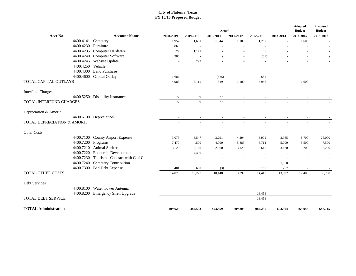|                             |                                |                          |           | Actual                   |                          |                          |                          | Adopted<br><b>Budget</b> | <b>Proposed</b><br><b>Budget</b> |
|-----------------------------|--------------------------------|--------------------------|-----------|--------------------------|--------------------------|--------------------------|--------------------------|--------------------------|----------------------------------|
| Acct No.                    | <b>Account Name</b>            | 2008-2009                | 2009-2010 | 2010-2011                | 2011-2012                | 2012-2013                | 2013-2014                | 2014-2015                | 2015-2016                        |
| 4400.4141                   | Cemetery                       | 1,957                    | 1,651     | 1,344                    | 1,100                    | 1,287                    |                          | 1,600                    |                                  |
| 4400.4230                   | Furniture                      | 860                      |           | $\overline{\phantom{a}}$ | $\sim$                   | $\overline{\phantom{a}}$ |                          |                          |                                  |
| 4400.4235                   | Computer Hardware              | 179                      | 1,171     |                          | L,                       | 46                       |                          |                          |                                  |
| 4400.4240                   | Computer Software              | 306                      |           |                          |                          | (59)                     |                          |                          |                                  |
| 4400.4245                   | Website Update                 | $\sim$                   | 293       |                          |                          | $\sim$                   |                          |                          |                                  |
| 4400.4250                   | Vehicle                        |                          |           |                          |                          |                          |                          |                          |                                  |
| 4400.4300                   | <b>Land Purchase</b>           |                          |           |                          |                          |                          |                          |                          |                                  |
| 4400.4600                   | Capital Outlay                 | 1,686                    |           | (525)                    |                          | 4,684                    |                          |                          |                                  |
| TOTAL CAPITAL OUTLAYS       |                                | 4,988                    | 3,115     | 819                      | 1,100                    | 5,958                    |                          | 1,600                    |                                  |
| <b>Interfund Charges</b>    |                                |                          |           |                          |                          |                          |                          |                          |                                  |
|                             | 4400.5250 Disability Insurance | 77                       | 89        | 77                       |                          |                          |                          |                          |                                  |
| TOTAL INTERFUND CHARGES     |                                | 77                       | 89        | 77                       |                          |                          |                          |                          |                                  |
| Depreciation & Amorit       |                                |                          |           |                          |                          |                          |                          |                          |                                  |
|                             | 4400.6100 Depreciation         |                          |           |                          |                          |                          |                          |                          |                                  |
| TOTAL DEPRECIATION & AMORIT |                                |                          |           |                          |                          |                          |                          |                          |                                  |
| Other Costs                 |                                |                          |           |                          |                          |                          |                          |                          |                                  |
| 4400.7100                   | <b>County Airport Expense</b>  | 3,075                    | 3,547     | 3,291                    | 4,294                    | 3,902                    | 3,965                    | 8,700                    | 25,000                           |
| 4400.7200                   | Programs                       | 7,477                    | 4,500     | 4,000                    | 5,885                    | 6,711                    | 5,000                    | 5,500                    | 7,500                            |
| 4400.7210                   | Animal Shelter                 | 3,120                    | 3,120     | 2,860                    | 3,120                    | 3,640                    | 3,120                    | 3,200                    | 3,200                            |
| 4400.7220                   | <b>Economic Development</b>    |                          | 4,400     |                          |                          |                          |                          |                          |                                  |
| 4400.7230                   | Tourism - Contract with C of C |                          |           |                          |                          |                          |                          |                          | $\sim$                           |
| 4400.7240                   | Cemetery Contribution          |                          |           |                          |                          |                          | 1,350                    |                          |                                  |
| 4400.7300                   | <b>Bad Debt Expense</b>        | 401                      | 660       | (3)                      |                          | 160                      | 257                      |                          |                                  |
| TOTAL OTHER COSTS           |                                | 14,073                   | 16,227    | 10,148                   | 13,299                   | 14,413                   | 13,692                   | 17,400                   | 33,700                           |
| Debt Services               |                                |                          |           |                          |                          |                          |                          |                          |                                  |
|                             | 4400.8100 Water Tower Antenna  |                          |           |                          |                          |                          |                          |                          |                                  |
| 4400.8200                   | <b>Emergency Siren Upgrade</b> | $\overline{\phantom{a}}$ | $\sim$    | $\overline{\phantom{a}}$ | $\overline{\phantom{a}}$ | 18,454                   | $\blacksquare$           | $\overline{\phantom{a}}$ |                                  |
| <b>TOTAL DEBT SERVICE</b>   |                                | $\overline{\phantom{a}}$ | $\sim$    | $\sim$                   | $\sim$                   | 18,454                   | $\overline{\phantom{a}}$ | $\overline{\phantom{a}}$ | $\sim$                           |
| <b>TOTAL Administration</b> |                                | 499,629                  | 484,503   | 423,859                  | 599,803                  | 984,235                  | 693,304                  | 569,945                  | 648,715                          |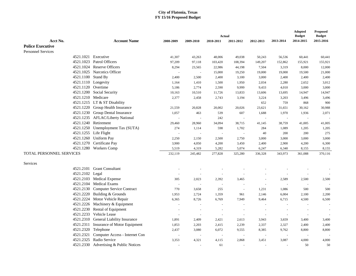|                           |                                        |                |                          |           |                |           |           | Adopted       | <b>Proposed</b> |
|---------------------------|----------------------------------------|----------------|--------------------------|-----------|----------------|-----------|-----------|---------------|-----------------|
| Acct No.                  |                                        |                |                          | Actual    |                |           | 2013-2014 | <b>Budget</b> | <b>Budget</b>   |
|                           | <b>Account Name</b>                    | 2008-2009      | 2009-2010                | 2010-2011 | 2011-2012      | 2012-2013 |           | 2014-2015     | 2015-2016       |
| <b>Police Executive</b>   |                                        |                |                          |           |                |           |           |               |                 |
| <b>Personnel Services</b> |                                        |                |                          |           |                |           |           |               |                 |
|                           | 4521.1021 Executive                    | 41,307         | 43,263                   | 48,006    | 49,038         | 50,243    | 56,536    | 60,441        | 60,441          |
| 4521.1023                 | Patrol Officers                        | 97,209         | 97,118                   | 103,420   | 108,394        | 149,207   | 152,862   | 155,921       | 155,921         |
|                           | 4521.1024 Reserve Officers             | 8,294          | 23,565                   | 22,986    | 44,198         | 7,504     | 3,319     | 8,000         | 12,000          |
|                           | 4521.1025 Narcotics Officer            | $\blacksquare$ | $\sim$                   | 15,000    | 19,250         | 19,000    | 19,000    | 19,500        | 21,000          |
|                           | 4521.1100 Stand By                     | 2,400          | 2,500                    | 2,400     | 3,100          | 3,000     | 2,400     | 2,400         | 2,400           |
|                           | 4521.1110 Longevity                    | 1,164          | 1,410                    | 1,500     | 1,950          | 2,034     | 2,280     | 2,652         | 3,012           |
|                           | 4521.1120 Overtime                     | 5,186          | 2,774                    | 2,590     | 9,999          | 9,433     | 4,010     | 3,000         | 3,000           |
|                           | 4521.1200 Social Security              | 10,163         | 10,510                   | 11,726    | 13,833         | 13,606    | 13,695    | 14,947        | 14,947          |
|                           | 4521.1210 Medicare                     | 2,377          | 2,458                    | 2,743     | 3,194          | 3,224     | 3,203     | 3,496         | 3,496           |
|                           | 4521.1215 LT & ST Disability           |                |                          |           |                | 652       | 759       | 868           | 900             |
|                           | 4521.1220 Group Health Insurance       | 21,559         | 20,828                   | 20,002    | 20,026         | 23,621    | 31,651    | 30,162        | 30,988          |
|                           | 4521.1230 Group Dental Insurance       | 1,057          | 463                      | 539       | 607            | 1,688     | 1,970     | 1,936         | 2,071           |
|                           | 4521.1235 AFLAC/Liberty National       | $\sim$         | $\mathbf{r}$             | 242       | $\sim$         |           |           | $\sim$        |                 |
|                           | 4521.1240 Retirement                   | 29,460         | 28,960                   | 34,094    | 38,715         | 41,145    | 38,759    | 41,005        | 41,005          |
|                           | 4521.1250 Unemployment Tax (SUTA)      | 274            | 1,114                    | 598       | 1,702          | 284       | 1,089     | 1,205         | 1,205           |
|                           | 4521.1255 Life Flight                  |                | $\sim$                   |           | $\sim$         | 40        | 200       | 200           | 275             |
|                           | 4521.1260 Uniform Pay                  | 2,250          | 2,150                    | 2,500     | 2,750          | 3,000     | 3,000     | 3,000         | 3,000           |
|                           | 4521.1270 Certificate Pay              | 3,900          | 4,050                    | 4,200     | 3,450          | 2,400     | 2,900     | 4,200         | 6,300           |
|                           | 4521.1280 Workers Comp                 | 5,519          | 4,319                    | 5,282     | 5,074          | 6,247     | 6,340     | 8,155         | 8,155           |
| TOTAL PERSONNEL SERVICES  |                                        | 232,119        | 245,482                  | 277,828   | 325,280        | 336,328   | 343,973   | 361,088       | 370,116         |
| Services                  |                                        |                |                          |           |                |           |           |               |                 |
|                           | 4521.2101 Grant Consultant             |                |                          |           |                |           |           |               |                 |
| 4521.2102                 | Legal                                  |                | $\sim$                   |           |                |           |           |               |                 |
|                           | 4521.2103 Medical Expense              | 305            | 2,023                    | 2,392     | 3,465          |           | 2,589     | 2,500         | 2,500           |
| 4521.2104                 | <b>Medical Exams</b>                   | $\sim$         |                          |           |                |           |           |               |                 |
|                           | 4521.2130 Computer Service Contract    | 770            | 3,658                    | 255       | $\blacksquare$ | 1,231     | 1,086     | 500           | 500             |
|                           | 4521.2220 Building & Grounds           | 1,953          | 2,724                    | 1,359     | 961            | 2,146     | 6,004     | 2,100         | 2,200           |
|                           | 4521.2224 Motor Vehicle Repair         | 6,365          | 8,726                    | 6,769     | 7,949          | 9,464     | 6,715     | 4,500         | 6,500           |
|                           | 4521.2226 Machinery & Equipment        |                | $\overline{\phantom{a}}$ |           |                |           |           |               |                 |
| 4521.2230                 | Rental of Equipment                    |                | ÷,                       |           | $\sim$         |           |           |               |                 |
| 4521.2233                 | <b>Vehicle Lease</b>                   |                | ÷,                       |           | $\sim$         |           |           | $\sim$        |                 |
|                           | 4521.2310 General Liability Insurance  | 1,891          | 2,409                    | 2,421     | 2,613          | 3,943     | 3,659     | 3,400         | 3,400           |
| 4521.2311                 | Insurance of Motor Equipment           | 1,853          | 2,203                    | 2,415     | 2,239          | 2,337     | 2,327     | 2,400         | 2,400           |
|                           | 4521.2320 Telephone                    | 2,437          | 3,080                    | 6,072     | 9,555          | 8,385     | 9,762     | 8,800         | 8,800           |
| 4521.2321                 | Computer Access - Internet Con         | $\sim$         | $\sim$                   | $\sim$    | $\sim$         | $\sim$    | $\sim$    |               |                 |
| 4521.2325                 | Radio Service                          | 3,353          | 4,321                    | 4,115     | 2,868          | 3,451     | 3,087     | 4,000         | 4,000           |
|                           | 4521.2330 Advertising & Public Notices |                |                          | 61        |                |           |           | 50            | 50              |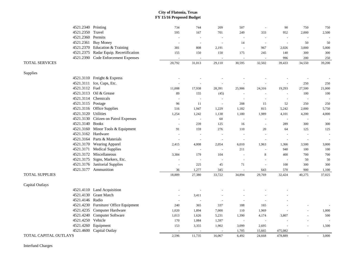|                       | 4521.2340 Printing  |                                        | 734            | 744                      | 209                      | 507                      | $\sim$                   | 90      | 750     | 750    |
|-----------------------|---------------------|----------------------------------------|----------------|--------------------------|--------------------------|--------------------------|--------------------------|---------|---------|--------|
|                       | 4521.2350           | Travel                                 | 595            | 167                      | 701                      | 249                      | 333                      | 952     | 2,000   | 2,500  |
|                       | 4521.2360           | Permits                                | $\sim$         | $\overline{\phantom{a}}$ | ÷,                       | $\sim$                   | $\overline{\phantom{a}}$ |         |         |        |
|                       |                     | 4521.2361 Buy Money                    | $\overline{a}$ | $\sim$                   | $\overline{a}$           | 14                       | $\blacksquare$           |         | 50      | 50     |
|                       |                     | 4521.2370 Education & Training         | 381            | 808                      | 2,191                    | $\sim$                   | 967                      | 2,026   | 3,000   | 5,000  |
|                       |                     | 4521.2375 Radar Equip. Recertification | 155            | 150                      | 150                      | 175                      | 245                      | 140     | 300     | 300    |
|                       |                     | 4521.2390 Code Enforcement Expenses    |                |                          |                          |                          | $\sim$                   | 996     | 200     | 250    |
| <b>TOTAL SERVICES</b> |                     |                                        | 20,792         | 31,013                   | 29,110                   | 30,595                   | 32,502                   | 39,433  | 34,550  | 39,200 |
| Supplies              |                     |                                        |                |                          |                          |                          |                          |         |         |        |
|                       |                     | 4521.3110 Freight & Express            |                |                          |                          |                          |                          |         |         |        |
|                       |                     | 4521.3111 Ice, Cups, Etc.              |                |                          |                          | $\overline{\phantom{a}}$ |                          |         | 250     | 250    |
|                       | 4521.3112 Fuel      |                                        | 11,008         | 17,938                   | 28,391                   | 25,906                   | 24,316                   | 19,293  | 27,500  | 21,000 |
|                       |                     | 4521.3113 Oil & Grease                 | 89             | 155                      | (45)                     | $\sim$                   | $\sim$                   |         | 100     | 100    |
|                       |                     | 4521.3114 Chemicals                    |                | $\sim$                   | $\sim$                   | $\sim$                   | $\sim$                   |         |         |        |
|                       | 4521.3115 Postage   |                                        | 96             | 11                       | $\sim$                   | 208                      | 15                       | 52      | 250     | 250    |
|                       |                     | 4521.3116 Office Supplies              | 516            | 1,947                    | 1,229                    | 1,182                    | 815                      | 5,242   | 2,000   | 5,750  |
|                       | 4521.3120 Utilities |                                        | 1,254          | 1,242                    | 1,138                    | 1,180                    | 1,989                    | 4,101   | 4,200   | 4,000  |
|                       | 4521.3130           | Citizen on Patrol Expenses             |                | $\overline{\phantom{a}}$ | 60                       | $\overline{a}$           |                          |         |         |        |
|                       | 4521.3140           | <b>Books</b>                           | ÷,             | 239                      | 125                      | 16                       | $\sim$                   | 289     | 300     | 300    |
|                       |                     | 4521.3160 Minor Tools & Equipment      | 91             | 159                      | 276                      | 110                      | 20                       | 64      | 125     | 125    |
|                       | 4521.3162 Hardware  |                                        | ÷,             | $\sim$                   | $\sim$                   | $\sim$                   | $\sim$                   |         |         | $\sim$ |
|                       |                     | 4521.3164 Parts & Materials            | ÷,             | $\overline{a}$           | $\overline{\phantom{a}}$ | $\sim$                   | $\sim$                   |         |         |        |
|                       |                     | 4521.3170 Wearing Apparel              | 2,415          | 4,008                    | 2,054                    | 6,010                    | 1,963                    | 1,366   | 3,500   | 3,000  |
|                       |                     | 4521.3171 Medical Supplies             | $\sim$         | $\sim$                   | $\sim$                   | 211                      | $\sim$                   | 940     | 100     | 100    |
|                       |                     | 4521.3172 Miscellaneous                | 3,384          | 179                      | 104                      | $\sim$                   | $\,8\,$                  | 400     | 700     | 700    |
|                       |                     | 4521.3175 Signs, Markers, Etc.         |                | $\sim$                   | $\sim$                   | $\overline{\phantom{a}}$ | $\sim$                   |         | 50      | 50     |
|                       |                     | 4521.3176 Janitorial Supplies          |                | 225                      | 45                       | 71                       | $\sim$                   | 108     | 300     | 300    |
|                       |                     | 4521.3177 Ammunition                   | 36             | 1,277                    | 345                      | $\sim$                   | 643                      | 570     | $900\,$ | 1,100  |
| <b>TOTAL SUPPLIES</b> |                     |                                        | 18,889         | 27,380                   | 33,722                   | 34,894                   | 29,769                   | 32,424  | 40,275  | 37,025 |
| Capital Outlays       |                     |                                        |                |                          |                          |                          |                          |         |         |        |
|                       |                     | 4521.4110 Land Acquisition             |                |                          |                          |                          |                          |         |         |        |
|                       | 4521.4130           | <b>Grant Match</b>                     | $\sim$         | 3,411                    |                          |                          |                          |         |         |        |
|                       | 4521.4146 Radio     |                                        | $\overline{a}$ | $\overline{a}$           |                          | $\sim$                   |                          |         |         |        |
|                       |                     | 4521.4230 Furniture/ Office Equipment  | 240            | 365                      | 337                      | 188                      | 165                      |         |         |        |
|                       | 4521.4235           | Computer Hardware                      | 1,020          | 1,894                    | 7,000                    | 110                      | 1,969                    |         |         | 1,000  |
|                       | 4521.4240           | Computer Software                      | 1,013          | 1,626                    | 5,231                    | 1,390                    | 4,174                    | 3,807   |         | 500    |
|                       | 4521.4250           | Vehicle                                | 170            | 1,084                    | 1,597                    | $\sim$                   | $\sim$                   |         |         |        |
|                       | 4521.4260           | Equipment                              | 153            | 3,355                    | 1,902                    | 3,099                    | 2,695                    |         |         | 1,500  |
|                       |                     | 4521.4600 Capital Outlay               |                |                          |                          | 1,705                    | 15,665                   | 475,082 |         |        |
| TOTAL CAPITAL OUTLAYS |                     |                                        | 2,596          | 11,735                   | 16,067                   | 6,492                    | 24,668                   | 478,889 |         | 3.000  |

Interfund Charges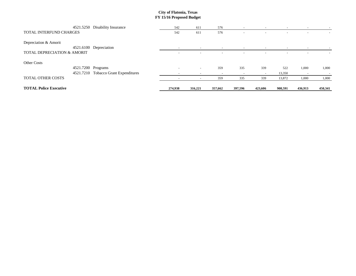|                                    | 4521.5250 Disability Insurance    | 542                                                  | 611                                | 576                                                  | $\sim$                   | $\sim$                   | $\sim$  | $\sim$                   |         |
|------------------------------------|-----------------------------------|------------------------------------------------------|------------------------------------|------------------------------------------------------|--------------------------|--------------------------|---------|--------------------------|---------|
| TOTAL INTERFUND CHARGES            |                                   | 542                                                  | 611                                | 576                                                  |                          |                          |         |                          |         |
| Depreciation & Amorit<br>4521.6100 | Depreciation                      |                                                      |                                    |                                                      |                          |                          |         |                          |         |
| TOTAL DEPRECIATION & AMORIT        |                                   | $\overline{\phantom{0}}$<br>$\overline{\phantom{a}}$ | $\sim$<br>$\overline{\phantom{a}}$ | $\overline{\phantom{0}}$<br>$\overline{\phantom{a}}$ | $\overline{\phantom{0}}$ | $\overline{\phantom{0}}$ |         | $\overline{\phantom{0}}$ |         |
| <b>Other Costs</b>                 |                                   |                                                      |                                    |                                                      |                          |                          |         |                          |         |
| 4521.7200 Programs                 |                                   | $\overline{\phantom{a}}$                             | $\overline{\phantom{0}}$           | 359                                                  | 335                      | 339                      | 522     | 1,000                    | 1,000   |
| 4521.7210                          | <b>Tobacco Grant Expenditures</b> | $\overline{\phantom{a}}$                             | $\overline{\phantom{0}}$           | $\overline{\phantom{0}}$                             | $\overline{\phantom{0}}$ | $\overline{\phantom{0}}$ | 13,350  | $\overline{\phantom{0}}$ |         |
| <b>TOTAL OTHER COSTS</b>           |                                   |                                                      | $\overline{\phantom{0}}$           | 359                                                  | 335                      | 339                      | 13,872  | 1,000                    | 1,000   |
| <b>TOTAL Police Executive</b>      |                                   | 274,938                                              | 316,221                            | 357,662                                              | 397,596                  | 423,606                  | 908,591 | 436,913                  | 450,341 |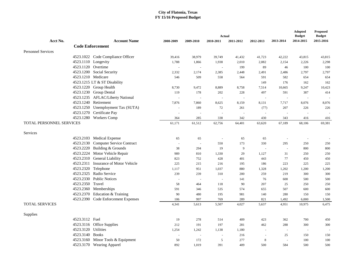|                           |                                      | <b>Adopted</b><br><b>Budget</b><br>Actual |                          |                |                          |           |                          |                |                            |  |  |
|---------------------------|--------------------------------------|-------------------------------------------|--------------------------|----------------|--------------------------|-----------|--------------------------|----------------|----------------------------|--|--|
| Acct No.                  | <b>Account Name</b>                  | 2008-2009                                 | 2009-2010                | 2010-2011      | 2011-2012                | 2012-2013 | 2013-2014                | 2014-2015      | <b>Budget</b><br>2015-2016 |  |  |
|                           | <b>Code Enforcement</b>              |                                           |                          |                |                          |           |                          |                |                            |  |  |
| <b>Personnel Services</b> |                                      |                                           |                          |                |                          |           |                          |                |                            |  |  |
|                           | 4523.1022 Code Compliance Officer    | 39,416                                    | 38,979                   | 39,749         | 41,432                   | 41,723    | 42,222                   | 43,815         | 43,815                     |  |  |
|                           | 4523.1110 Longevity                  | 1,788                                     | 1,866                    | 1,938          | 2,010                    | 2,082     | 2,154                    | 2,226          | 2,298                      |  |  |
|                           | 4523.1120 Overtime                   |                                           | $\sim$                   | $\blacksquare$ | 199                      | 89        | 46                       | 100            | 100                        |  |  |
|                           | 4523.1200 Social Security            | 2,332                                     | 2,174                    | 2,385          | 2,448                    | 2,491     | 2,486                    | 2,797          | 2,797                      |  |  |
|                           | 4523.1210 Medicare                   | 546                                       | 509                      | 558            | 564                      | 591       | 582                      | 654            | 654                        |  |  |
|                           | 4523.1215 LT & ST Disability         |                                           |                          |                |                          | 149       | 176                      | 162            | 162                        |  |  |
|                           | 4523.1220 Group Health               | 8,730                                     | 9,472                    | 8,889          | 8,758                    | 7,514     | 10,665                   | 9,247          | 10,423                     |  |  |
|                           | 4523.1230 Group Dental               | 119                                       | 178                      | 202            | 228                      | 497       | 591                      | 387            | 414                        |  |  |
|                           | 4523.1235 AFLAC/Liberty National     |                                           | $\sim$                   | $\overline{a}$ | ÷.                       | $\sim$    | $\bar{\phantom{a}}$      | $\sim$         |                            |  |  |
|                           | 4523.1240 Retirement                 | 7,876                                     | 7,860                    | 8,625          | 8,159                    | 8,131     | 7,717                    | 8,076          | 8,076                      |  |  |
|                           | 4523.1250 Unemployment Tax (SUTA)    | $\bar{a}$                                 | 189                      | 72             | 261                      | (77)      | 207                      | 226            | 226                        |  |  |
|                           | 4523.1270 Certificate Pay            | L,                                        | $\sim$                   | ÷,             | $\overline{\phantom{a}}$ | $\sim$    | $\overline{\phantom{a}}$ | $\overline{a}$ |                            |  |  |
|                           | 4523.1280 Workers Comp               | 364                                       | 285                      | 338            | 342                      | 430       | 343                      | 416            | 416                        |  |  |
| TOTAL PERSONNEL SERVICES  |                                      | 61,171                                    | 61,512                   | 62,756         | 64,401                   | 63,620    | 67,189                   | 68,106         | 69,381                     |  |  |
| Services                  |                                      |                                           |                          |                |                          |           |                          |                |                            |  |  |
|                           | 4523.2103 Medical Expense            | 65                                        | 65                       | $\sim$         | 65                       | 65        | $\overline{\phantom{a}}$ | $\sim$         |                            |  |  |
|                           | 4523.2130 Computer Service Contract  | $\overline{a}$                            | $\overline{\phantom{a}}$ | 550            | 173                      | 330       | 295                      | 250            | 250                        |  |  |
|                           | 4523.2220 Building & Grounds         | 38                                        | 294                      | 19             | 9                        | $\sim$    | $\sim$                   | 800            | 800                        |  |  |
|                           | 4523.2224 Motor Vehicle Repair       | 989                                       | 810                      | 1,330          | 29                       | 1,127     | 31                       | 250            | 250                        |  |  |
|                           | 4523.2310 General Liability          | 823                                       | 752                      | 428            | 401                      | 443       | 77                       | 450            | 450                        |  |  |
|                           | 4523.2311 Insurance of Motor Vehicle | 225                                       | 215                      | 216            | 195                      | 186       | 223                      | 225            | 225                        |  |  |
|                           | 4523.2320 Telephone                  | 1,117                                     | 951                      | 1,037          | 880                      | 1,328     | 1,202                    | 1,200          | 1,200                      |  |  |
|                           | 4523.2325 Radio Service              | 239                                       | 239                      | 310            | 200                      | 259       | 219                      | 300            | 300                        |  |  |
|                           | 4523.2330 Public Notices             |                                           | $\sim$                   | $\sim$         | 141                      | 76        | 600                      | 500            | 500                        |  |  |
|                           | 4523.2350 Travel                     | 58                                        | 464                      | 118            | 90                       | 207       | $25\,$                   | 250            | 250                        |  |  |
|                           | 4523.2360 Memberships                | 591                                       | 346                      | 535            | 574                      | 655       | 507                      | 600            | 600                        |  |  |
|                           | 4523.2370 Education & Training       | 90                                        | 480                      | 195            | 981                      | 140       | 280                      | 150            | 150                        |  |  |
|                           | 4523.2390 Code Enforcement Expenses  | 106                                       | 997                      | 769            | 289                      | 821       | 1,492                    | 6,000          | 1,500                      |  |  |
| <b>TOTAL SERVICES</b>     |                                      | 4,341                                     | 5,613                    | 5,507          | 4,027                    | 5,637     | 4,951                    | 10,975         | 6,475                      |  |  |
| Supplies                  |                                      |                                           |                          |                |                          |           |                          |                |                            |  |  |
|                           | 4523.3112 Fuel                       | 19                                        | 278                      | 514            | 409                      | 423       | 362                      | 700            | 450                        |  |  |
|                           | 4523.3116 Office Supplies            | 212                                       | 191                      | 197            | 281                      | 462       | 288                      | 300            | 300                        |  |  |
|                           | 4523.3120 Utilities                  | 1,254                                     | 1,242                    | 1,138          | 1,180                    | $\sim$    | $\blacksquare$           | $\blacksquare$ |                            |  |  |
|                           | 4523.3140 Books                      | L,                                        | $\sim$                   | $\sim$         | 216                      | $\sim$    | 25                       | 150            | 150                        |  |  |
|                           | 4523.3160 Minor Tools & Equipment    | 50                                        | 172                      | $\sqrt{5}$     | 277                      | 8         | $\overline{a}$           | 100            | 100                        |  |  |
|                           | 4523.3170 Wearing Apparel            | 892                                       | 1,019                    | 391            | 409                      | 500       | 584                      | 500            | 500                        |  |  |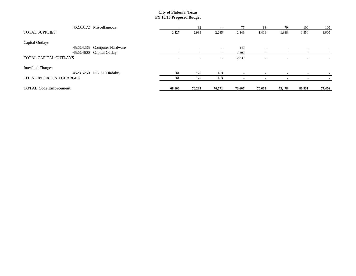|                               | 4523.3172 Miscellaneous   | $\overline{\phantom{a}}$ | 82                       | $\overline{\phantom{a}}$ | 77                       | 13                       | 79                       | 100                      | 100    |
|-------------------------------|---------------------------|--------------------------|--------------------------|--------------------------|--------------------------|--------------------------|--------------------------|--------------------------|--------|
| <b>TOTAL SUPPLIES</b>         |                           | 2,427                    | 2,984                    | 2,245                    | 2,849                    | 1,406                    | 1,338                    | 1,850                    | 1,600  |
| Capital Outlays               |                           |                          |                          |                          |                          |                          |                          |                          |        |
| 4523.4235                     | Computer Hardware         | $\overline{\phantom{a}}$ | $\overline{\phantom{a}}$ | $\overline{\phantom{0}}$ | 440                      | $\overline{\phantom{0}}$ | $\overline{\phantom{a}}$ | $\overline{\phantom{a}}$ |        |
| 4523.4600                     | Capital Outlay            |                          | $\overline{\phantom{0}}$ | $\overline{\phantom{0}}$ | 1,890                    | $\overline{\phantom{0}}$ |                          |                          |        |
| TOTAL CAPITAL OUTLAYS         |                           | $\overline{\phantom{a}}$ | $\overline{\phantom{a}}$ | $\overline{\phantom{a}}$ | 2,330                    | $\overline{\phantom{0}}$ | $\overline{\phantom{a}}$ | $\overline{\phantom{a}}$ | $\sim$ |
| <b>Interfund Charges</b>      |                           |                          |                          |                          |                          |                          |                          |                          |        |
|                               | 4523.5250 LT-ST Diability | 161                      | 176                      | 163                      | $\overline{\phantom{0}}$ |                          |                          |                          |        |
| TOTAL INTERFUND CHARGES       |                           | 161                      | 176                      | 163                      | $\overline{\phantom{0}}$ | $\overline{\phantom{0}}$ | $\overline{\phantom{0}}$ |                          |        |
| <b>TOTAL Code Enforcement</b> |                           | 68,100                   | 70,285                   | 70,671                   | 73,607                   | 70,663                   | 73,478                   | 80,931                   | 77,456 |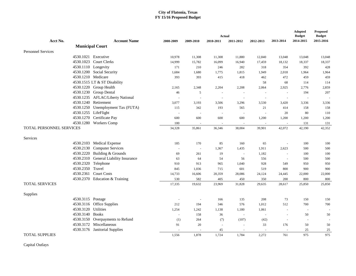|                                 |                                       |           |                          | Actual                   |           |                          |                          | <b>Adopted</b><br><b>Budget</b> | <b>Proposed</b><br><b>Budget</b> |
|---------------------------------|---------------------------------------|-----------|--------------------------|--------------------------|-----------|--------------------------|--------------------------|---------------------------------|----------------------------------|
| Acct No.                        | <b>Account Name</b>                   | 2008-2009 | 2009-2010                | 2010-2011                | 2011-2012 | 2012-2013                | 2013-2014                | 2014-2015                       | 2015-2016                        |
|                                 | <b>Municipal Court</b>                |           |                          |                          |           |                          |                          |                                 |                                  |
| <b>Personnel Services</b>       |                                       |           |                          |                          |           |                          |                          |                                 |                                  |
|                                 | 4530.1021 Executive                   | 10,978    | 11,308                   | 11,308                   | 11,880    | 12,840                   | 13,048                   | 13,048                          | 13,048                           |
|                                 | 4530.1023 Court Clerks                | 14,999    | 15,782                   | 16,099                   | 16,940    | 17,459                   | 18,132                   | 18,337                          | 18,337                           |
|                                 | 4530.1110 Longevity                   | 171       | 210                      | 246                      | 282       | 318                      | 354                      | 392                             | 428                              |
|                                 | 4530.1200 Social Security             | 1,684     | 1,680                    | 1,775                    | 1,815     | 1,949                    | 2,018                    | 1,964                           | 1,964                            |
|                                 | 4530.1210 Medicare                    | 393       | 393                      | 415                      | 418       | 462                      | 472                      | 459                             | 459                              |
|                                 | 4530.1515 LT & ST Disability          |           |                          |                          |           | 58                       | 68                       | 114                             | 114                              |
|                                 | 4530.1220 Group Health                | 2,165     | 2,348                    | 2,204                    | 2,208     | 2,064                    | 2,925                    | 2,776                           | 2,859                            |
|                                 | 4530.1230 Group Dental                | 46        | 5                        | $\bar{z}$                | $\sim$    | $\sim$                   | $\sim$                   | 194                             | 207                              |
|                                 | 4530.1235 AFLAC/Liberty National      |           | $\overline{\phantom{a}}$ | ÷,                       |           | L,                       |                          | $\sim$                          |                                  |
|                                 | 4530.1240 Retirement                  | 3,077     | 3,193                    | 3,506                    | 3,296     | 3,530                    | 3,420                    | 3,336                           | 3,336                            |
|                                 | 4530.1250 Unemployment Tax (FUTA)     | 115       | 342                      | 193                      | 565       | 21                       | 414                      | 158                             | 158                              |
|                                 | 4530.1255 LifeFlight                  | ÷,        | $\sim$                   | $\overline{\phantom{a}}$ | ÷.        | $\overline{\phantom{a}}$ | 20                       | 80                              | 110                              |
|                                 | 4530.1270 Certificate Pay             | 600       | 600                      | 600                      | 600       | 1,200                    | 1,200                    | 1,200                           | 1,200                            |
|                                 | 4530.1280 Workers Comp                | 100       | $\sim$                   | $\overline{a}$           | $\sim$    |                          |                          | 131                             | 131                              |
| <b>TOTAL PERSONNEL SERVICES</b> |                                       | 34,328    | 35,861                   | 36,346                   | 38,004    | 39,901                   | 42,072                   | 42,190                          | 42,352                           |
| Services                        |                                       |           |                          |                          |           |                          |                          |                                 |                                  |
|                                 | 4530.2103 Medical Expense             | 185       | 170                      | 85                       | 160       | 65                       | $\overline{\phantom{a}}$ | 100                             | 100                              |
|                                 | 4530.2130 Computer Services           |           | $\sim$                   | 1,367                    | 1,435     | 1,911                    | 2,623                    | 500                             | 500                              |
|                                 | 4530.2220 Building & Grounds          | 69        | 261                      | 19                       | $\sim$    | 1,182                    | $\sim$                   | 100                             | 100                              |
|                                 | 4530.2310 General Liability Insurance | 63        | 64                       | 54                       | 56        | 556                      | $\sim$                   | 500                             | 500                              |
|                                 | 4530.2320 Telephone                   | 910       | 913                      | 965                      | 1,040     | 928                      | 549                      | 950                             | 950                              |
| 4530.2350                       | Travel                                | 845       | 1,036                    | 715                      | 601       | 519                      | 800                      | 900                             | 900                              |
| 4530.2361                       | <b>Court Costs</b>                    | 14,733    | 16,606                   | 20,359                   | 28,086    | 24,124                   | 24,445                   | 22,000                          | 22,000                           |
|                                 | 4530.2370 Education & Training        | 530       | 582                      | 405                      | 450       | 350                      | 200                      | 800                             | 800                              |
| <b>TOTAL SERVICES</b>           |                                       | 17,335    | 19,632                   | 23,969                   | 31,828    | 29,635                   | 28,617                   | 25,850                          | 25,850                           |
| Supplies                        |                                       |           |                          |                          |           |                          |                          |                                 |                                  |
|                                 | 4530.3115 Postage                     |           | $\sim$                   | 166                      | 135       | 208                      | 73                       | 150                             | 150                              |
|                                 | 4530.3116 Office Supplies             | 212       | 194                      | 346                      | 576       | 1,012                    | 512                      | 700                             | 700                              |
| 4530.3120                       | Utilities                             | 1,254     | 1,242                    | 1,138                    | 1,180     | 1,061                    | $\sim$                   | $\sim$                          |                                  |
|                                 | 4530.3140 Books                       | $\sim$    | 158                      | 36                       | $\sim$    | $\mathbf{r}$             | ÷,                       | 50                              | 50                               |
|                                 | 4530.3150 Overpayments to Refund      | (1)       | 264                      | (7)                      | (107)     | (42)                     | $\sim$                   | $\sim$                          |                                  |
|                                 | 4530.3172 Miscellaneous               | 91        | 20                       | $\bar{z}$                | $\sim$    | 33                       | 176                      | 50                              | 50                               |
|                                 | 4530.3176 Janitorial Supplies         |           |                          | 45                       |           |                          |                          | 25                              | 25                               |
| <b>TOTAL SUPPLIES</b>           |                                       | 1,556     | 1,878                    | 1.724                    | 1,784     | 2,272                    | 761                      | 975                             | 975                              |

Capital Outlays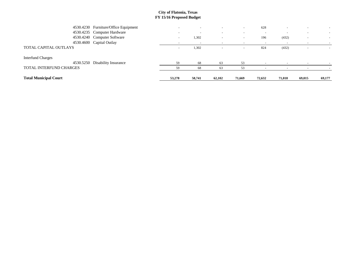| <b>Total Municipal Court</b>   |                                      | 53,278                   | 58,741 | 62,102   | 71,669                   | 72,632 | 71,018                   | 69,015 | 69,177                   |
|--------------------------------|--------------------------------------|--------------------------|--------|----------|--------------------------|--------|--------------------------|--------|--------------------------|
| <b>TOTAL INTERFUND CHARGES</b> |                                      | 59                       | 68     | 63       | 53                       |        |                          |        |                          |
| 4530.5250                      | Disability Insurance                 | 59                       | 68     | 63       | 53                       |        |                          |        |                          |
| <b>Interfund Charges</b>       |                                      |                          |        |          |                          |        |                          |        |                          |
| TOTAL CAPITAL OUTLAYS          |                                      | $\overline{\phantom{0}}$ | 1,302  | -        | $\overline{\phantom{0}}$ | 824    | (432)                    |        |                          |
|                                | 4530.4600 Capital Outlay             | $\overline{\phantom{0}}$ |        |          |                          |        |                          |        |                          |
|                                | 4530.4240 Computer Software          | $\overline{\phantom{0}}$ | 1,302  | <b>.</b> | $\overline{\phantom{a}}$ | 196    | (432)                    |        | $\overline{\phantom{0}}$ |
|                                | 4530.4235 Computer Hardware          |                          |        |          | $\overline{\phantom{0}}$ |        |                          |        |                          |
|                                | 4530.4230 Furniture/Office Equipment | $\overline{\phantom{a}}$ |        | $\sim$   | $\overline{\phantom{0}}$ | 628    | $\overline{\phantom{a}}$ |        | $\sim$                   |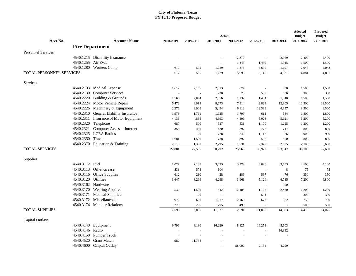|                                 |                                                      |               |                  | <b>Adopted</b><br><b>Budget</b> | Proposed<br><b>Budget</b> |                               |                          |                |                |
|---------------------------------|------------------------------------------------------|---------------|------------------|---------------------------------|---------------------------|-------------------------------|--------------------------|----------------|----------------|
| Acct No.                        | <b>Account Name</b>                                  | 2008-2009     | 2009-2010        | Actual<br>2010-2011             | 2011-2012                 | 2012-2013                     | 2013-2014                | 2014-2015      | 2015-2016      |
|                                 | <b>Fire Department</b>                               |               |                  |                                 |                           |                               |                          |                |                |
|                                 |                                                      |               |                  |                                 |                           |                               |                          |                |                |
| <b>Personnel Services</b>       |                                                      |               |                  |                                 |                           |                               |                          |                |                |
|                                 | 4540.1215 Disability Insurance<br>4540.1255 Air Evac |               |                  |                                 | 2,370                     | $\sim$                        | 2,369                    | 2,400          | 2,400          |
|                                 | 4540.1280 Workers Comp                               | $\sim$<br>617 | $\sim$           |                                 | 1,445                     | 1,455                         | 1,315                    | 1,500          | 1,500          |
| <b>TOTAL PERSONNEL SERVICES</b> |                                                      | 617           | 595<br>595       | 1,229<br>1,229                  | 1,275<br>5,090            | 3,690<br>5,145                | 1,197<br>4,881           | 2,048<br>4,881 | 2,048<br>4,881 |
|                                 |                                                      |               |                  |                                 |                           |                               |                          |                |                |
| Services                        |                                                      |               |                  |                                 |                           |                               |                          |                |                |
| 4540.2103                       | Medical Expense                                      | 1,617         | 2,165            | 2,013                           | 874                       | $\sim$                        | 580                      | 1,500          | 1,500          |
| 4540.2130                       | <b>Computer Services</b>                             | $\sim$        | $\sim$           | 220                             | 20                        | 559                           | 386                      | 300            | 300            |
| 4540.2220                       | Building & Grounds                                   | 1,766         | 2,094            | 2,056                           | 1,132                     | 1,434                         | 1,540                    | 1,500          | 1,500          |
| 4540.2224                       | Motor Vehicle Repair                                 | 5,472         | 8,914            | 8,673                           | 7,314                     | 9,823                         | 12,305                   | 11,500         | 13,500         |
| 4540.2226                       | Machinery & Equipment                                | 2,276         | 3,906            | 5,494                           | 6,112                     | 13,539                        | 6,157                    | 8,500          | 8,500          |
| 4540.2310                       | General Liability Insurance                          | 1,978         | 1,761            | 1,925                           | 1,709                     | 611                           | 584                      | 1,800          | 1,800          |
| 4540.2311                       | Insurance of Motor Equipment                         | 4,133         | 4,835            | 4,693                           | 4,406                     | 5,023                         | 5,121                    | 5,200          | 5,200          |
| 4540.2320                       | Telephone                                            | 687           | 500              | 527                             | 531                       | 1,170                         | 1,225                    | 1,200          | 1,200          |
| 4540.2321                       | Computer Access - Internet                           | 358           | 430              | 430                             | 897                       | 777                           | 717                      | 800            | 800            |
| 4540.2325                       | <b>LCRA</b> Radios                                   | $\sim$        | 120              | 728                             | 842                       | 1,117                         | 976                      | 900            | 900            |
| 4540.2350 Travel                |                                                      | 1,681         | 1,500            | 738                             | 397                       | 592                           | 850                      | 800            | 800            |
|                                 | 4540.2370 Education & Training                       | 2,113         | 1,330            | 2,795                           | 1,731                     | 2,327                         | 2,905                    | 2,100          | 3,600          |
| <b>TOTAL SERVICES</b>           |                                                      | 22,081        | 27,555           | 30,292                          | 25,965                    | 36,972                        | 33,347                   | 36,100         | 37,600         |
| Supplies                        |                                                      |               |                  |                                 |                           |                               |                          |                |                |
| 4540.3112 Fuel                  |                                                      | 1,027         | 2,188            | 3,633                           | 3,279                     | 3,026                         | 3,583                    | 4,100          | 4,100          |
|                                 | 4540.3113 Oil & Grease                               | 533           | 573              | 104                             | $\sim$                    | $\sim$                        | 8                        | 75             | 75             |
|                                 | 4540.3116 Office Supplies                            | 612           | 280              | 28                              | 289                       | 567                           | 476                      | 350            | 350            |
|                                 | 4540.3120 Utilities                                  | 3,647         | 3,269            | 4,298                           | 3,961                     | 5,124                         | 6,785                    | 7,200          | 6,800          |
|                                 | 4540.3162 Hardware                                   | $\sim$        |                  |                                 |                           | $\sim$                        | 900                      |                |                |
| 4540.3170                       | <b>Wearing Apparel</b>                               | 532           | 1,500            | 642                             | 2,404                     | 1,125                         | 2,420                    | 1,200          | 1,200          |
| 4540.3171                       | <b>Medical Supplies</b>                              | $\omega$      | 120              |                                 | $\overline{a}$            | 531                           | $\sim$                   | 300            | 300            |
| 4540.3172                       | Miscellaneous                                        | 975           | 660              | 1,577                           | 2,168                     | 677                           | 382                      | 750            | 750            |
| 4540.3174                       | <b>Member Relations</b>                              | 270           | 296              | 795                             | 490                       | $\sim$                        | $\overline{\phantom{a}}$ | 500            | 500            |
| <b>TOTAL SUPPLIES</b>           |                                                      | 7,596         | 8,886            | 11,077                          | 12,591                    | 11,050                        | 14,553                   | 14,475         | 14,075         |
|                                 |                                                      |               |                  |                                 |                           |                               |                          |                |                |
| Capital Outlays<br>4540.4140    | Equipment                                            |               |                  |                                 |                           |                               |                          |                |                |
| 4540.4146                       | Radio                                                | 9,796         | 8,130            | 16,220                          | 8,825<br>÷,               | 16,253<br>$\bar{\phantom{a}}$ | 45,603<br>16,332         |                |                |
| 4540.4150                       | Pumper Truck                                         |               | $\sim$           |                                 |                           |                               |                          |                |                |
| 4540.4520                       | <b>Grant Match</b>                                   | $\sim$<br>982 | $\sim$<br>11,754 |                                 |                           |                               |                          |                |                |
|                                 | 4540.4600 Caiptal Outlay                             |               |                  |                                 | 58,007                    | 2,154                         | 4,799                    |                |                |
|                                 |                                                      |               |                  |                                 |                           |                               |                          |                |                |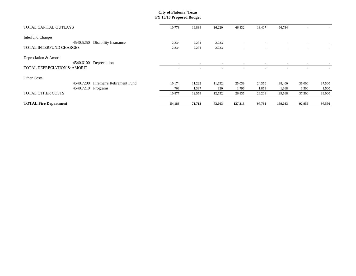| TOTAL CAPITAL OUTLAYS                  | 10,778                   | 19,884                   | 16,220                   | 66,832                   | 18,407                   | 66,734                   |        |                          |
|----------------------------------------|--------------------------|--------------------------|--------------------------|--------------------------|--------------------------|--------------------------|--------|--------------------------|
| <b>Interfund Charges</b>               |                          |                          |                          |                          |                          |                          |        |                          |
| 4540.5250<br>Disability Insurance      | 2,234                    | 2,234                    | 2,233                    | $\overline{\phantom{a}}$ | $\overline{\phantom{a}}$ | $\overline{\phantom{a}}$ | $\sim$ |                          |
| TOTAL INTERFUND CHARGES                | 2,234                    | 2,234                    | 2,233                    | $\overline{\phantom{a}}$ |                          |                          |        | $\overline{\phantom{a}}$ |
| Depreciation & Amorit                  |                          |                          |                          |                          |                          |                          |        |                          |
| 4540.6100<br>Depreciation              | $\overline{\phantom{a}}$ | $\overline{\phantom{a}}$ | $\overline{\phantom{a}}$ | $\overline{\phantom{a}}$ | $\overline{\phantom{a}}$ | $\overline{\phantom{a}}$ | $\sim$ |                          |
| <b>TOTAL DEPRECIATION &amp; AMORIT</b> |                          |                          | $\overline{\phantom{0}}$ |                          |                          |                          |        |                          |
| Other Costs                            |                          |                          |                          |                          |                          |                          |        |                          |
| Firemen's Retirement Fund<br>4540.7200 | 10,174                   | 11,222                   | 11,632                   | 25,039                   | 24,350                   | 38,400                   | 36,000 | 37,500                   |
| 4540.7210 Programs                     | 703                      | 1,337                    | 920                      | 1,796                    | 1,858                    | 1,168                    | 1,500  | 1,500                    |
| <b>TOTAL OTHER COSTS</b>               | 10,877                   | 12,559                   | 12,552                   | 26,835                   | 26,208                   | 39,568                   | 37,500 | 39,000                   |
| <b>TOTAL Fire Department</b>           | 54,183                   | 71,713                   | 73,603                   | 137,313                  | 97,782                   | 159,083                  | 92,956 | 97,556                   |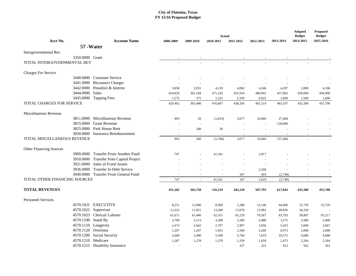|                                                |                                      |                          |           |                            |                |                          |           | <b>Adopted</b>             | <b>Proposed</b>            |  |
|------------------------------------------------|--------------------------------------|--------------------------|-----------|----------------------------|----------------|--------------------------|-----------|----------------------------|----------------------------|--|
| Acct No.                                       | <b>Account Name</b>                  | 2008-2009                | 2009-2010 | <b>Actual</b><br>2010-2011 | 2011-2012      |                          | 2013-2014 | <b>Budget</b><br>2014-2015 | <b>Budget</b><br>2015-2016 |  |
|                                                | 57 - Water                           |                          |           |                            |                | 2012-2013                |           |                            |                            |  |
|                                                |                                      |                          |           |                            |                |                          |           |                            |                            |  |
| Intergovernmental Rev                          |                                      |                          |           |                            |                |                          |           |                            |                            |  |
| 3350.0000 Grant<br>TOTAL INTERGOVERNMENTAL REV |                                      |                          |           |                            |                |                          |           |                            |                            |  |
|                                                |                                      |                          |           |                            |                |                          |           |                            |                            |  |
| <b>Charges For Service</b>                     |                                      |                          |           |                            |                |                          |           |                            |                            |  |
| 3440.0000                                      | <b>Customer Service</b>              |                          |           |                            |                |                          |           |                            |                            |  |
|                                                | 3441.0000 Reconnect Charges          |                          |           |                            |                |                          |           |                            |                            |  |
| 3442.0000                                      | Penalties & Interest                 | 3,858                    | 3,931     | 4,139                      | 4,082          | 4,246                    | 4,207     | 3,800                      | 4,100                      |  |
| 3444.0000                                      | Sales                                | 424,029                  | 361,184   | 471,243                    | 431,924        | 480,943                  | 457,062   | 430,000                    | 450,000                    |  |
| 3445.0000                                      | <b>Tapping Fees</b>                  | 1,575                    | 375       | 1,225                      | 2,350          | 6,925                    | 1,838     | 1,500                      | 1,600                      |  |
| <b>TOTAL CHARGES FOR SERVICE</b>               |                                      | 429,462                  | 365,490   | 476,607                    | 438,356        | 492,114                  | 463,107   | 435,300                    | 455,700                    |  |
| Miscellaneous Revenue                          |                                      |                          |           |                            |                |                          |           |                            |                            |  |
|                                                | 3811.0000 Miscellaneous Revenue      | 993                      | 20        | (1, 819)                   | 3,677          | 10,069                   | 27,484    |                            |                            |  |
|                                                | 3815,0000 Grant Revenue              |                          |           |                            |                | $\overline{\phantom{a}}$ | 130,000   |                            |                            |  |
| 3825.0000                                      | Park House Rent                      |                          | 240       | 30                         |                |                          |           |                            |                            |  |
|                                                | 3830,0000 Insurance Reimbursement    |                          |           |                            | $\sim$         |                          |           |                            |                            |  |
| <b>TOTAL MISCELLANEOUS REVENUE</b>             |                                      | 993                      | 260       | (1,789)                    | 3,677          | 10,069                   | 157,484   |                            |                            |  |
| Other Financing Sources                        |                                      |                          |           |                            |                |                          |           |                            |                            |  |
| 3900.0000                                      | <b>Transfer From Another Fund</b>    | 747                      |           | 41,341                     |                | 2,917                    |           |                            |                            |  |
| 3910.0000                                      | <b>Transfer from Capital Project</b> |                          |           |                            | $\overline{a}$ |                          |           |                            |                            |  |
|                                                | 3921.0000 Sales of Fixed Assets      |                          |           |                            | $\sim$         |                          |           |                            |                            |  |
| 3936.0000                                      | <b>Transfer In Debt Service</b>      |                          |           |                            | $\sim$         | 2,200                    |           |                            |                            |  |
|                                                | 3940.0000 Transfer From General Fund |                          | $\sim$    |                            | 187            | 493                      | (2,748)   |                            |                            |  |
| TOTAL OTHER FINANCING SOURCES                  |                                      | 747                      | $\omega$  | 41,341                     | 187            | 5,610                    | (2,748)   | $\mathbb{Z}$               | $\sim$                     |  |
|                                                |                                      |                          |           |                            |                |                          |           |                            |                            |  |
| <b>TOTAL REVENUES</b>                          |                                      | 431,202                  | 365,750   | 516,159                    | 442,220        | 507,793                  | 617,843   | 435,300                    | 455,700                    |  |
| <b>Personnel Services</b>                      |                                      |                          |           |                            |                |                          |           |                            |                            |  |
| 4570.1021                                      | <b>EXECUTIVE</b>                     | 8,251                    | 12,000    | 8,580                      | 5,288          | 13,146                   | 44,000    | 55,729                     | 55,729                     |  |
|                                                | 4570.1022 Supervisor                 | 12,323                   | 11,821    | 13,280                     | 13,076         | 13,982                   | 49,856    | 34,320                     |                            |  |
|                                                | 4570.1023 Clerical/Laborer           | 61,671                   | 61,446    | 62,351                     | 65,229         | 78,567                   | 63,793    | 58,897                     | 93,217                     |  |
| 4570.1100 Stand By                             |                                      | 3,700                    | 3,113     | 3,288                      | 3,300          | 3,488                    | 3,275     | 2,900                      | 3,400                      |  |
| 4570.1110 Longevity                            |                                      | 2,474                    | 2,642     | 2,797                      | 2,907          | 3,056                    | 5,423     | 5,690                      | 3,667                      |  |
| 4570.1120 Overtime                             |                                      | 1,207                    | 1,207     | 1,923                      | 2,560          | 2,266                    | 6,973     | 2,000                      | 2,000                      |  |
|                                                | 4570.1200 Social Security            | 5,660                    | 5,490     | 5,598                      | 5,766          | 7,019                    | 10,572    | 9,680                      | 9,680                      |  |
| 4570.1210 Medicare                             |                                      | 1,287                    | 1,278     | 1,370                      | 1,339          | 1,650                    | 2,473     | 2,264                      | 2,264                      |  |
|                                                | 4570.1215 Disability Insurance       | $\overline{\phantom{a}}$ |           |                            | 327            | 322                      | 623       | 562                        | 562                        |  |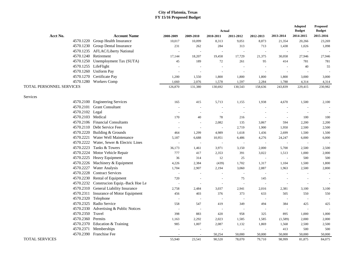|                          |                                          |                |                          | Actual    |                          |                          |                | Adopted<br><b>Budget</b> | <b>Proposed</b><br><b>Budget</b> |
|--------------------------|------------------------------------------|----------------|--------------------------|-----------|--------------------------|--------------------------|----------------|--------------------------|----------------------------------|
| Acct No.                 | <b>Account Name</b>                      | 2008-2009      | 2009-2010                | 2010-2011 | 2011-2012                | 2012-2013                | 2013-2014      | 2014-2015                | 2015-2016                        |
|                          | 4570.1220 Group Health Insurance         | 10,017         | 10,099                   | 8,313     | 9,051                    | 8,873                    | 21,354         | 20,266                   | 23,269                           |
|                          | 4570.1230 Group Dental Insurance         | 231            | 262                      | 284       | 313                      | 713                      | 1,438          | 1,026                    | 1,098                            |
|                          | 4570.1235 AFLAC/Liberty National         |                | ÷,                       |           | $\overline{a}$           |                          |                |                          |                                  |
| 4570.1240                | Retirement                               | 17,144         | 18,207                   | 19,458    | 17,729                   | 21,375                   | 30,058         | 27,946                   | 27,946                           |
|                          | 4570.1250 Unemployment Tax (SUTA)        | 45             | 189                      | 72        | 261                      | 95                       | 414            | 781                      | 781                              |
| 4570.1255 LifeFlight     |                                          |                | ÷,                       | ÷,        | $\overline{a}$           | $\overline{\phantom{a}}$ |                | 40                       | 55                               |
|                          | 4570.1260 Uniform Pay                    |                | $\sim$                   |           | $\overline{a}$           | $\overline{\phantom{a}}$ |                | $\sim$                   |                                  |
| 4570.1270                | Certificate Pay                          | 1,200          | 1,550                    | 1,800     | 1,800                    | 1,800                    | 1,800          | 3,000                    | 3,000                            |
|                          | 4570.1280 Workers Comp                   | 1,660          | 2,076                    | 1,578     | 1,597                    | 2,284                    | 1,788          | 4,314                    | 4,314                            |
| TOTAL PERSONNEL SERVICES |                                          | 126,870        | 131,380                  | 130,692   | 130,543                  | 158,636                  | 243,839        | 229,415                  | 230,982                          |
|                          |                                          |                |                          |           |                          |                          |                |                          |                                  |
| Services                 |                                          |                |                          |           |                          |                          |                |                          |                                  |
| 4570.2100                | <b>Engineering Services</b>              | 165            | 415                      | 5,713     | 1,155                    | 1,938                    | 4,670          | 1,500                    | 2,100                            |
|                          | 4570.2101 Grant Consultant               | $\overline{a}$ | $\sim$                   |           | $\overline{a}$           | $\overline{\phantom{a}}$ |                | $\sim$                   |                                  |
| 4570.2102 Legal          |                                          |                | $\sim$                   |           | $\sim$                   |                          |                | $\overline{a}$           |                                  |
| 4570.2103 Medical        |                                          | 170            | 40                       | 78        | 216                      | $\sim$                   | $\sim$         | 100                      | 100                              |
|                          | 4570.2106 Financial Consultants          | $\sim$         | $\sim$                   | 2,082     | 135                      | 3,867                    | 594            | 2,200                    | 2,200                            |
|                          | 4570.2110 Debt Service Fees              | $\sim$         | $\sim$                   |           | 2,719                    | 1,900                    | 1,950          | 2,500                    | 2,500                            |
|                          | 4570.2220 Building & Grounds             | 464            | 1,299                    | 4,989     | 1,618                    | 1,436                    | 2,699          | 1,500                    | 1,500                            |
|                          | 4570.2221 Water Well Maintenance         | 5,187          | 6,688                    | 10,951    | 6,486                    | 4,276                    | 24,247         | 6,000                    | 6,000                            |
|                          | 4570.2222 Water, Sewer & Electric Lines  | $\sim$         | $\overline{\phantom{a}}$ | $\sim$    | $\overline{\phantom{a}}$ | $\sim$                   | ÷,             | $\sim$                   |                                  |
|                          | 4570.2223 Tanks & Towers                 | 36,173         | 1,461                    | 3,971     | 3,150                    | 2,000                    | 5,700          | 2,500                    | 2,500                            |
|                          | 4570.2224 Motor Vehicle Repair           | 777            | 417                      | 2,353     | 391                      | 3,022                    | 1,513          | 1,000                    | 2,000                            |
|                          | 4570.2225 Heavy Equipment                | 36             | 314                      | 12        | 25                       | $\overline{a}$           | $\overline{a}$ | 500                      | 500                              |
|                          | 4570.2226 Machinery & Equipment          | 4,226          | 2,384                    | (439)     | 1,702                    | 1,317                    | 1,104          | 1,500                    | 1,800                            |
| 4570.2227                | <b>Water Analysis</b>                    | 1,704          | 2,907                    | 2,194     | 3,060                    | 2,887                    | 1.963          | 2,500                    | 2,800                            |
|                          | 4570.2228 Contract Services              |                |                          |           | $\sim$                   |                          |                |                          | $\sim$                           |
| 4570.2230                | Rental of Equipment                      | 720            |                          |           | 75                       | 145                      |                |                          |                                  |
|                          | 4570.2232 Construcion Equip.-Back Hoe Le | $\sim$         |                          | $\bar{a}$ | $\overline{a}$           | $\sim$                   |                |                          |                                  |
|                          | 4570.2310 General Liability Insurance    | 2,758          | 2,484                    | 3,037     | 2,941                    | 2,016                    | 2,381          | 3,100                    | 3,100                            |
|                          | 4570.2311 Insurance of Motor Equipment   | 456            | 403                      | 376       | 373                      | 633                      | 505            | 550                      | 550                              |
| 4570.2320                | Telephone                                |                | L,                       |           | $\overline{a}$           | $\overline{a}$           |                | $\overline{a}$           |                                  |
| 4570.2325                | Radio Service                            | 558            | 547                      | 419       | 349                      | 494                      | 384            | 425                      | 425                              |
| 4570.2330                | Advertising & Public Notices             |                | $\sim$                   |           | $\overline{a}$           | $\overline{\phantom{a}}$ |                | $\overline{a}$           |                                  |
| 4570.2350 Travel         |                                          | 398            | 883                      | 420       | 958                      | 325                      | 895            | 1,000                    | 1,000                            |
| 4570.2360                | Permits                                  | 1,163          | 2,292                    | 2,023     | 1,585                    | 1,585                    | (1,589)        | 2,000                    | 2,000                            |
| 4570.2370                | Education & Training                     | 985            | 1,007                    | 2,087     | 1,132                    | 1,869                    | 1,568          | 2,500                    | 2,500                            |
| 4570.2371                | Memberships                              |                | $\bar{a}$                |           | $\overline{a}$           | $\sim$                   | 413            | 500                      | 500                              |
|                          | 4570.2390 Franchise Fee                  |                |                          | 50,254    | 50,000                   | 50,000                   | 50,000         | 50,000                   | 50,000                           |
| <b>TOTAL SERVICES</b>    |                                          | 55.940         | 23,541                   | 90,520    | 78,070                   | 79.710                   | 98,999         | 81,875                   | 84.075                           |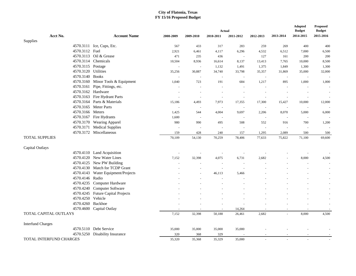|                                |                                                         |           |                          |                          |                |           |           | <b>Adopted</b>             | <b>Proposed</b>            |
|--------------------------------|---------------------------------------------------------|-----------|--------------------------|--------------------------|----------------|-----------|-----------|----------------------------|----------------------------|
| Acct No.                       | <b>Account Name</b>                                     |           |                          | Actual                   |                |           | 2013-2014 | <b>Budget</b><br>2014-2015 | <b>Budget</b><br>2015-2016 |
| Supplies                       |                                                         | 2008-2009 | 2009-2010                | 2010-2011                | 2011-2012      | 2012-2013 |           |                            |                            |
|                                | 4570.3111 Ice, Cups, Etc.                               | 567       | 433                      | 317                      | 283            | 259       | 269       | 400                        | 400                        |
| 4570.3112 Fuel                 |                                                         | 2,921     | 6,461                    | 4,117                    | 6,296          | 4,532     | 6,512     | 7,000                      | 6,500                      |
|                                | 4570.3113 Oil & Grease                                  | 471       | 235                      | 436                      | $\sim$         | 127       | 161       | 200                        | 200                        |
|                                | 4570.3114 Chemicals                                     | 10,504    | 8,936                    | 16,614                   | 8,137          | 13,413    | 7,765     | 10,000                     | 8,500                      |
| 4570.3115 Postage              |                                                         | $\bar{a}$ | $\sim$                   | 1,132                    | 1,491          | 1,375     | 1,849     | 1,300                      | 1,300                      |
| 4570.3120 Utilities            |                                                         | 35,256    | 30,887                   | 34,740                   | 33,798         | 35,357    | 31,869    | 35,000                     | 32,000                     |
| 4570.3140 Books                |                                                         | $\bar{a}$ | $\overline{\phantom{a}}$ | $\overline{\phantom{a}}$ | ÷.             |           | $\sim$    | $\sim$                     |                            |
|                                | 4570.3160 Minor Tools & Equipment                       | 1,040     | 723                      | 191                      | 684            | 1,217     | 895       | 1,000                      | 1,000                      |
|                                | 4570.3161 Pipe, Fittings, etc.                          | $\bar{a}$ | $\overline{\phantom{a}}$ | $\overline{\phantom{a}}$ | $\overline{a}$ |           |           |                            | $\overline{\phantom{a}}$   |
| 4570.3162 Hardware             |                                                         |           | $\sim$                   | $\sim$                   | $\sim$         |           |           | $\bar{\phantom{a}}$        | $\sim$                     |
|                                | 4570.3163 Fire Hydrant Parts                            | $\sim$    | $\overline{\phantom{a}}$ | $\sim$                   | $\overline{a}$ |           |           | $\bar{a}$                  | $\sim$                     |
|                                | 4570.3164 Parts & Materials                             | 15,186    | 4,493                    | 7,973                    | 17,355         | 17,300    | 15,427    | 10,000                     | 12,000                     |
|                                | 4570.3165 Meter Parts                                   |           | $\sim$                   | $\overline{\phantom{a}}$ | $\overline{a}$ |           |           | $\sim$                     | $\sim$                     |
| 4570.3166 Meters               |                                                         | 1,425     | 544                      | 4,004                    | 9,697          | 2,206     | 8,070     | 5,000                      | 6,000                      |
|                                | 4570.3167 Fire Hydrants                                 | 1,600     | $\sim$                   | $\sim$                   |                |           |           | $\sim$                     |                            |
|                                | 4570.3170 Wearing Apparel                               | 980       | 990                      | 495                      | 508            | 552       | 916       | 700                        | 1,200                      |
|                                | 4570.3171 Medical Supplies                              |           | $\sim$                   |                          | $\sim$         |           |           | $\sim$                     |                            |
|                                | 4570.3172 Miscellaneous                                 | 159       | 428                      | 240                      | 157            | 1,295     | 2,089     | 500                        | 500                        |
| <b>TOTAL SUPPLIES</b>          |                                                         | 70,109    | 54,130                   | 70,259                   | 78,406         | 77,633    | 75,822    | 71,100                     | 69,600                     |
|                                |                                                         |           |                          |                          |                |           |           |                            |                            |
| Capital Outlays                |                                                         |           |                          |                          |                |           |           |                            |                            |
|                                | 4570.4110 Land Acquisition<br>4570.4120 New Water Lines |           |                          |                          |                |           |           |                            |                            |
|                                | 4570.4125 New PW Building                               | 7,152     | 32,398                   | 4,075                    | 6,731          | 2,682     |           | 8,000                      | 4,500                      |
|                                | 4570.4130 Match for TCDP Grant                          |           |                          |                          |                |           |           | ÷,                         | $\overline{\phantom{a}}$   |
|                                | 4570.4143 Water Equipment/Projects                      |           |                          |                          |                |           |           |                            |                            |
| 4570.4146 Radio                |                                                         |           | $\sim$                   | 46,113                   | 5,466          |           |           |                            | $\sim$                     |
|                                | 4570.4235 Computer Hardware                             |           |                          |                          |                |           |           |                            |                            |
|                                | 4570.4240 Computer Software                             |           |                          |                          |                |           |           |                            |                            |
|                                | 4570.4245 Future Capital Projects                       |           |                          |                          |                |           |           |                            | $\overline{\phantom{a}}$   |
| 4570.4250 Vehicle              |                                                         |           |                          |                          |                |           |           |                            |                            |
| 4570.4260                      | Backhoe                                                 |           |                          |                          |                |           |           |                            | $\overline{\phantom{a}}$   |
|                                | 4570.4600 Capital Outlay                                |           |                          |                          | 14,264         |           |           | $\bar{a}$                  | $\sim$                     |
| TOTAL CAPITAL OUTLAYS          |                                                         | 7,152     | 32,398                   | 50,188                   | 26,461         | 2,682     |           | 8,000                      | 4,500                      |
|                                |                                                         |           |                          |                          |                |           |           |                            |                            |
| <b>Interfund Charges</b>       |                                                         |           |                          |                          |                |           |           |                            |                            |
|                                | 4570.5110 Debt Service                                  | 35,000    | 35,000                   | 35,000                   | 35,000         |           |           |                            |                            |
|                                | 4570.5250 Disability Insurance                          | 320       | 368                      | 329                      |                |           |           |                            |                            |
| <b>TOTAL INTERFUND CHARGES</b> |                                                         | 35,320    | 35,368                   | 35,329                   | 35,000         |           |           |                            |                            |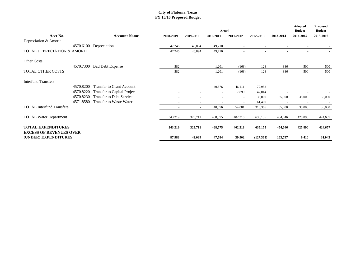|                                                             |           |                                  | <b>Actual</b> |           |                          |                          |            |                          |                            | <b>Proposed</b><br><b>Budget</b> |  |
|-------------------------------------------------------------|-----------|----------------------------------|---------------|-----------|--------------------------|--------------------------|------------|--------------------------|----------------------------|----------------------------------|--|
| Acct No.                                                    |           | <b>Account Name</b>              | 2008-2009     | 2009-2010 | 2010-2011                | 2011-2012                | 2012-2013  | 2013-2014                | <b>Budget</b><br>2014-2015 | 2015-2016                        |  |
| Depreciation & Amorit                                       |           |                                  |               |           |                          |                          |            |                          |                            |                                  |  |
|                                                             | 4570.6100 | Depreciation                     | 47,246        | 46,894    | 49,710                   |                          |            |                          |                            |                                  |  |
| TOTAL DEPRECIATION & AMORIT                                 |           |                                  | 47,246        | 46,894    | 49,710                   |                          |            |                          |                            |                                  |  |
| Other Costs                                                 |           |                                  |               |           |                          |                          |            |                          |                            |                                  |  |
|                                                             | 4570.7300 | <b>Bad Debt Expense</b>          | 582           | $\sim$    | 1,201                    | (163)                    | 128        | 386                      | 500                        | 500                              |  |
| <b>TOTAL OTHER COSTS</b>                                    |           |                                  | 582           | $\sim$    | 1,201                    | (163)                    | 128        | 386                      | 500                        | 500                              |  |
| <b>Interfund Transfers</b>                                  |           |                                  |               |           |                          |                          |            |                          |                            |                                  |  |
|                                                             | 4570.8200 | <b>Transfer to Grant Account</b> |               |           | 40,676                   | 46,111                   | 72,952     |                          |                            |                                  |  |
|                                                             | 4570.8220 | Transfer to Capital Project      |               |           | $\overline{\phantom{a}}$ | 7,890                    | 47,014     |                          |                            |                                  |  |
|                                                             | 4570.8230 | <b>Transfer to Debt Service</b>  |               |           |                          | $\sim$                   | 35,000     | 35,000                   | 35,000                     | 35,000                           |  |
|                                                             | 4571.8580 | Transfer to Waste Water          |               | $\sim$    | $\overline{\phantom{a}}$ | $\overline{\phantom{a}}$ | 161,400    | $\overline{\phantom{a}}$ | $\overline{\phantom{a}}$   | $\overline{\phantom{a}}$         |  |
| <b>TOTAL Interfund Transfers</b>                            |           |                                  |               | $\sim$    | 40,676                   | 54,001                   | 316,366    | 35,000                   | 35,000                     | 35,000                           |  |
| <b>TOTAL Water Department</b>                               |           |                                  | 343,219       | 323,711   | 468,575                  | 402,318                  | 635,155    | 454,046                  | 425,890                    | 424,657                          |  |
| <b>TOTAL EXPENDITURES</b><br><b>EXCESS OF REVENUES OVER</b> |           |                                  | 343,219       | 323,711   | 468,575                  | 402,318                  | 635,155    | 454,046                  | 425,890                    | 424,657                          |  |
| (UNDER) EXPENDITURES                                        |           |                                  | 87,983        | 42,039    | 47,584                   | 39,902                   | (127, 362) | 163,797                  | 9,410                      | 31,043                           |  |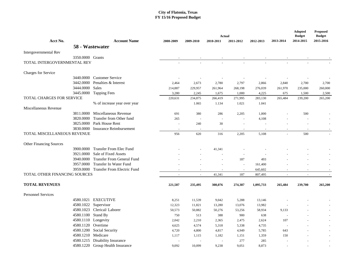|                                      |                    |                                       |                          | Actual           |                 |                 |                  |                          |                            |                            |
|--------------------------------------|--------------------|---------------------------------------|--------------------------|------------------|-----------------|-----------------|------------------|--------------------------|----------------------------|----------------------------|
| Acct No.                             |                    | <b>Account Name</b>                   | 2008-2009                | 2009-2010        | 2010-2011       | 2011-2012       | 2012-2013        | 2013-2014                | <b>Budget</b><br>2014-2015 | <b>Budget</b><br>2015-2016 |
|                                      |                    | 58 - Wastewater                       |                          |                  |                 |                 |                  |                          |                            |                            |
| Intergovernmental Rev                |                    |                                       |                          |                  |                 |                 |                  |                          |                            |                            |
|                                      | 3350,0000 Grants   |                                       |                          |                  |                 |                 |                  |                          |                            |                            |
| TOTAL INTERGOVERNMENTAL REV          |                    |                                       |                          |                  |                 |                 |                  |                          |                            |                            |
|                                      |                    |                                       |                          |                  |                 |                 |                  |                          |                            |                            |
| Charges for Service                  |                    |                                       |                          |                  |                 |                 |                  |                          |                            |                            |
|                                      | 3440.0000          | <b>Customer Service</b>               |                          |                  |                 |                 |                  |                          |                            |                            |
|                                      | 3442,0000          | Penalties & Interest                  | 2,464                    | 2,673            | 2,780           | 2,797           | 2,866            | 2,840                    | 2,700                      | 2,700                      |
|                                      | 3444.0000          | Sales                                 | 214,887                  | 229,957          | 261,964         | 268,198         | 276,039          | 261,970                  | 235,000                    | 260,000                    |
|                                      | 3445.0000          | <b>Tapping Fees</b>                   | 3,280                    | 2,245            | 1,675           | 1,000           | 4,225            | 675                      | 1,500                      | 2,500                      |
| TOTAL CHARGES FOR SERVICE            |                    |                                       | 220,631                  | 234,875          | 266,419         | 271,995         | 283,130          | 265,484                  | 239,200                    | 265,200                    |
|                                      |                    | % of increase year over year          |                          | 1.065            | 1.134           | 1.021           | 1.041            |                          |                            |                            |
| Miscellaneous Revenue                |                    |                                       |                          |                  |                 |                 |                  |                          |                            |                            |
|                                      |                    | 3811.0000 Miscellaneous Revenue       | 691                      | 380              | 286             | 2,205           | 1,000            |                          | 500                        |                            |
|                                      | 3820,0000          | Transfer from Other fund              | 265                      |                  |                 | $\sim$          | 4,108            |                          |                            |                            |
|                                      |                    | 3825.0000 Park House Rent             | $\overline{\phantom{a}}$ | 240              | 30              |                 |                  |                          |                            |                            |
|                                      | 3830.0000          | Insurance Reimbursement               | $\sim$                   | $\sim$           | $\sim$          | $\sim$          | $\sim$           | $\sim$                   |                            |                            |
| <b>TOTAL MISCELLANEOUS REVENUE</b>   |                    |                                       | 956                      | 620              | 316             | 2,205           | 5,108            | $\overline{a}$           | 500                        |                            |
|                                      |                    |                                       |                          |                  |                 |                 |                  |                          |                            |                            |
| Other Financing Sources              |                    |                                       |                          |                  |                 |                 |                  |                          |                            |                            |
|                                      | 3900.0000          | <b>Transfer From Elec Fund</b>        |                          |                  | 41,341          |                 |                  |                          |                            |                            |
|                                      |                    | 3921.0000 Sale of Fixed Assets        |                          |                  |                 |                 |                  |                          |                            |                            |
|                                      |                    | 3940.0000 Transfer From General Fund  |                          |                  |                 | 187             | 493              |                          |                            |                            |
|                                      | 3957.0000          | <b>Transfer In Water Fund</b>         |                          |                  |                 |                 | 161,400          |                          |                            |                            |
|                                      |                    | 3959.0000 Transfer From Electric Fund |                          |                  |                 | $\sim$          | 645,602          |                          |                            |                            |
| <b>TOTAL OTHER FINANCING SOURCES</b> |                    |                                       | $\sim$                   | $\omega$         | 41,341          | 187             | 807,495          | $\overline{\phantom{a}}$ | $\sim$                     |                            |
|                                      |                    |                                       |                          |                  |                 |                 |                  |                          |                            |                            |
| <b>TOTAL REVENUES</b>                |                    |                                       | 221,587                  | 235,495          | 308,076         | 274,387         | 1,095,733        | 265,484                  | 239,700                    | 265,200                    |
| <b>Personnel Services</b>            |                    |                                       |                          |                  |                 |                 |                  |                          |                            |                            |
|                                      |                    | 4580.1021 EXECUTIVE                   |                          |                  |                 |                 |                  |                          |                            |                            |
|                                      |                    | 4580.1022 Supervisor                  | 8,251<br>12,323          | 11,539<br>11,821 | 9,042<br>13,280 | 5,288<br>13,076 | 13,146<br>13,982 |                          |                            |                            |
|                                      |                    | 4580.1023 Clerical/Laborer            | 50,573                   | 50,882           | 50,276          | 53,256          | 58,934           | 9,133                    |                            |                            |
|                                      | 4580.1100 Stand By |                                       | 750                      | 513              | 388             | 900             |                  | <b>Section</b>           |                            |                            |
|                                      |                    | 4580.1110 Longevity                   | 2,042                    | 2,210            | 2,365           | 2,475           | 638<br>2,624     | 107                      |                            |                            |
|                                      | 4580.1120 Overtime |                                       |                          |                  |                 |                 |                  | <b>.</b>                 |                            |                            |
|                                      |                    | 4580.1200 Social Security             | 4,625                    | 4,574            | 5,318<br>4,817  | 5,338           | 4,735            | 643                      |                            |                            |
|                                      | 4580.1210 Medicare |                                       | 4,720                    | 4,800            |                 | 4,949           | 5,785            |                          |                            |                            |
|                                      |                    | 4580.1215 Disability Insurance        | 1,117                    | 1,115            | 1,182           | 1,151           | 1,359            | 150                      |                            |                            |
|                                      |                    | 4580.1220 Group Health Insurance      |                          |                  |                 | 277             | 285              |                          |                            |                            |
|                                      |                    |                                       | 9,092                    | 10,099           | 9,238           | 9,051           | 8,873            |                          |                            |                            |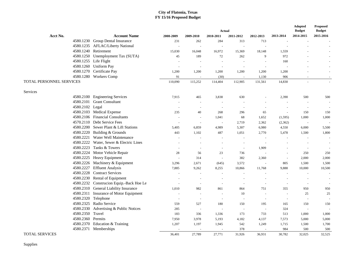|                          |                                       |                          |                |                            |                  |           |           | Adopted<br><b>Budget</b> | <b>Proposed</b><br><b>Budget</b> |
|--------------------------|---------------------------------------|--------------------------|----------------|----------------------------|------------------|-----------|-----------|--------------------------|----------------------------------|
| Acct No.                 | <b>Account Name</b>                   | 2008-2009                | 2009-2010      | <b>Actual</b><br>2010-2011 | 2011-2012        | 2012-2013 | 2013-2014 | 2014-2015                | 2015-2016                        |
|                          | 4580.1230 Group Dental Insurance      | 231                      | 262            | 284                        | 313              | 713       |           |                          |                                  |
|                          | 4580.1235 AFLAC/Liberty National      | $\sim$                   | $\sim$         |                            | $\sim$           |           |           |                          |                                  |
|                          | 4580.1240 Retirement                  | 15,030                   | 16,048         | 16,972                     | 15,369           | 18,148    | 1,559     |                          |                                  |
|                          | 4580.1250 Unemployment Tax (SUTA)     | 45                       | 189            | 72                         | 262              | 9         | 972       |                          |                                  |
|                          | 4580.1255 Life Flight                 |                          |                |                            |                  |           | 160       |                          |                                  |
|                          | 4580.1260 Uniform Pay                 |                          | $\sim$         |                            | $\sim$<br>$\sim$ |           |           |                          |                                  |
|                          | 4580.1270 Certificate Pay             |                          |                |                            |                  |           |           |                          |                                  |
|                          | 4580.1280 Workers Comp                | 1,200                    | 1,200          | 1,200                      | 1,200            | 1,200     | 1,200     |                          | $\sim$                           |
|                          |                                       | 91                       |                | (30)                       | $\sim$           | 1,130     | 906       |                          | $\sim$                           |
| TOTAL PERSONNEL SERVICES |                                       | 110,090                  | 115,252        | 114,404                    | 112,905          | 131,561   | 14,830    |                          |                                  |
| Services                 |                                       |                          |                |                            |                  |           |           |                          |                                  |
|                          | 4580.2100 Engineering Services        | 7,915                    | 465            | 3,838                      | 630              |           | 2,390     | 500                      | 500                              |
| 4580.2101                | <b>Grant Consultant</b>               |                          | $\sim$         | $\sim$                     | $\sim$           |           |           | $\sim$                   |                                  |
| 4580.2102 Legal          |                                       |                          | $\sim$         | $\sim$                     | $\sim$           |           |           | $\sim$                   |                                  |
|                          | 4580.2103 Medical Expense             | 235                      | 40             | 268                        | 296              | 65        | $\sim$    | 150                      | 150                              |
|                          | 4580.2106 Financial Consultants       | $\sim$                   | $\sim$         | 1,041                      | 68               | 1,652     | (1, 595)  | 1,000                    | 1,000                            |
|                          | 4570.2110 Debt Service Fees           |                          | $\sim$         |                            | 2,719            | 2,362     | (2, 362)  | $\sim$                   |                                  |
|                          | 4580.2200 Sewer Plant & Lift Stations | 5,405                    | 6,859          | 4,989                      | 5,307            | 6,980     | 4,550     | 6,000                    | 5,500                            |
|                          | 4580.2220 Building & Grounds          | 443                      | 1,102          | 487                        | 1,051            | 2,770     | 5,478     | 1,500                    | 1,800                            |
| 4580.2221                | Water Well Maintenance                |                          |                |                            |                  |           |           |                          | $\sim$                           |
| 4580.2222                | Water, Sewer & Electric Lines         |                          | $\sim$         | $\sim$                     | $\sim$           |           |           | $\sim$                   | $\overline{\phantom{a}}$         |
| 4580.2223                | Tanks & Towers                        |                          | $\sim$         | $\sim$                     | $\sim$           | 1,909     |           | $\sim$                   | $\blacksquare$                   |
|                          | 4580.2224 Motor Vehicle Repair        | 28                       | 56             | 23                         | 736              |           |           | 250                      | 250                              |
| 4580.2225                | Heavy Equipment                       |                          | 314            | $\omega$                   | 382              | 2,360     |           | 2,000                    | 2,000                            |
|                          | 4580.2226 Machinery & Equipment       | 3,296                    | 2,671          | (645)                      | 3,572            | $\sim$    | 805       | 1,500                    | 1,500                            |
| 4580.2227                | <b>Effluent Analysis</b>              | 7,885                    | 9,262          | 8,255                      | 10,866           | 11,768    | 9,888     | 10,000                   | 10,500                           |
| 4580.2228                | <b>Contract Services</b>              |                          | $\sim$         |                            |                  |           |           |                          | $\sim$                           |
|                          | 4580.2230 Rental of Equipment         | $\overline{\phantom{a}}$ | $\sim$         | $\overline{\phantom{a}}$   | $\sim$           |           |           | $\sim$                   | $\overline{\phantom{a}}$         |
| 4580.2232                | Construcion Equip.-Back Hoe Le        |                          | $\sim$         | $\sim$                     | $\sim$           |           |           | $\sim$                   |                                  |
|                          | 4580.2310 General Liability Insurance | 1,010                    | 982            | 861                        | 864              | 751       | 355       | 950                      | 950                              |
| 4580.2311                | Insurance of Motor Equipment          |                          | $\sim$         | $\blacksquare$             | 10               | $\sim$    |           | 25                       | 25                               |
| 4580.2320                | Telephone                             | $\sim$                   | $\sim$         | $\overline{\phantom{a}}$   | $\sim$           | $\sim$    | $\sim$    | $\sim$                   |                                  |
| 4580.2325                | Radio Service                         | 559                      | 527            | 180                        | 150              | 195       | 165       | 150                      | 150                              |
| 4580.2330                | Advertising & Public Notices          | 285                      | $\blacksquare$ |                            | $\sim$           | $\sim$    | 324       | $\sim$                   |                                  |
| 4580.2350                | Travel                                | 183                      | 336            | 1,336                      | 173              | 733       | 513       | 1,000                    | 1,000                            |
| 4580.2360                | Permits                               | 7,950                    | 3,978          | 5,193                      | 4,182            | 4,137     | 7,573     | 5,000                    | 5,000                            |
|                          | 4580.2370 Education & Training        | 1,207                    | 1,197          | 1,945                      | 542              | 1,249     | 1,715     | 1,500                    | 1,700                            |
|                          | 4580.2371 Memberships                 |                          |                |                            | 378              |           | 984       | 500                      | 500                              |
| <b>TOTAL SERVICES</b>    |                                       | 36.401                   | 27,789         | 27,771                     | 31,926           | 36,931    | 30,782    | 32,025                   | 32,525                           |

Supplies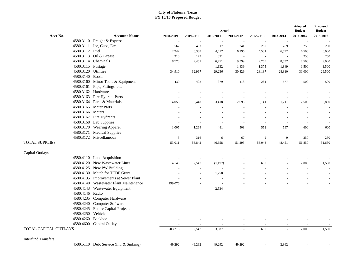|                            |                                         |           |           | Actual    |                     |                          | <b>Adopted</b><br><b>Budget</b> | <b>Proposed</b><br><b>Budget</b> |           |
|----------------------------|-----------------------------------------|-----------|-----------|-----------|---------------------|--------------------------|---------------------------------|----------------------------------|-----------|
| Acct No.                   | <b>Account Name</b>                     | 2008-2009 | 2009-2010 | 2010-2011 | 2011-2012           | 2012-2013                | 2013-2014                       | 2014-2015                        | 2015-2016 |
|                            | 4580.3110 Freight & Express             | $\sim$    |           |           | $\sim$              |                          | $\overline{\phantom{a}}$        | $\sim$                           |           |
|                            | 4580.3111 Ice, Cups, Etc.               | 567       | 433       | 317       | 241                 | 259                      | 269                             | 250                              | 250       |
| 4580.3112 Fuel             |                                         | 2,942     | 6,388     | 4,617     | 6,296               | 4,531                    | 6,592                           | 6,500                            | 6,000     |
|                            | 4580.3113 Oil & Grease                  | 310       | 173       | 321       | $\sim$              | $\overline{\phantom{a}}$ | $\overline{a}$                  | 250                              | 250       |
|                            | 4580.3114 Chemicals                     | 8,778     | 9,451     | 6,751     | 9,399               | 9,765                    | 8,537                           | 8,500                            | 9,000     |
|                            | 4580.3115 Postage                       |           | $\sim$    | 1,132     | 1,439               | 1,375                    | 1,849                           | 1,500                            | 1,500     |
|                            | 4580.3120 Utilities                     | 34,910    | 32,967    | 29,236    | 30,829              | 28,137                   | 28,310                          | 31,000                           | 29,500    |
|                            | 4580.3140 Books                         | $\sim$    |           | $\sim$    | $\sim$              | $\sim$                   | $\sim$                          | $\sim$                           |           |
| 4580.3160                  | Minor Tools & Equipment                 | 439       | 402       | 379       | 418                 | 281                      | 577                             | 500                              | 500       |
| 4580.3161                  | Pipe, Fittings, etc.                    | $\sim$    | $\sim$    | $\sim$    | $\bar{\phantom{a}}$ | $\sim$                   | $\overline{a}$                  | $\sim$                           |           |
|                            | 4580.3162 Hardware                      |           |           |           | $\overline{a}$      |                          |                                 |                                  |           |
|                            | 4580.3163 Fire Hydrant Parts            |           |           | $\sim$    | $\sim$              | ÷,                       | ÷,                              |                                  |           |
|                            | 4580.3164 Parts & Materials             | 4,055     | 2,448     | 3,418     | 2,098               | 8,141                    | 1,711                           | 7,500                            | 3,800     |
|                            | 4580.3165 Meter Parts                   |           |           |           |                     |                          |                                 |                                  |           |
|                            | 4580.3166 Meters                        |           |           |           |                     |                          |                                 |                                  |           |
|                            | 4580.3167 Fire Hydrants                 |           |           |           |                     |                          |                                 |                                  |           |
|                            | 4580.3168 Lab Supplies                  | $\sim$    |           | $\sim$    | $\sim$              | $\sim$                   | $\overline{a}$                  | $\sim$                           |           |
|                            | 4580.3170 Wearing Apparel               | 1,005     | 1,264     | 481       | 508                 | 552                      | 597                             | 600                              | 600       |
| 4580.3171                  | <b>Medical Supplies</b>                 |           |           |           | $\overline{a}$      | $\overline{a}$           |                                 | $\sim$                           |           |
|                            | 4580.3172 Miscellaneous                 | 5         | 316       | 6         | 67                  | $\overline{2}$           | 9                               | 250                              | 250       |
| <b>TOTAL SUPPLIES</b>      |                                         | 53,011    | 53,842    | 46,658    | 51,295              | 53,043                   | 48,451                          | 56,850                           | 51,650    |
|                            |                                         |           |           |           |                     |                          |                                 |                                  |           |
| Capital Outlays            |                                         |           |           |           |                     |                          |                                 |                                  |           |
|                            | 4580.4110 Land Acquisition              | $\sim$    |           |           |                     | $\sim$                   |                                 |                                  |           |
|                            | 4580.4120 New Wastewater Lines          | 4,140     | 2,547     | (1, 197)  |                     | 630                      |                                 | 2,000                            | 1,500     |
|                            | 4580.4125 New PW Building               |           |           |           |                     |                          |                                 |                                  |           |
|                            | 4580.4130 Match for TCDP Grant          |           |           | 1,750     |                     |                          |                                 |                                  |           |
|                            | 4580.4135 Improvements at Sewer Plant   |           |           |           |                     |                          |                                 |                                  |           |
|                            | 4580.4140 Wastewater Plant Maintenance  | 199,076   |           |           |                     |                          |                                 |                                  |           |
| 4580.4143                  | Wastewater Equipment                    |           |           | 2,534     |                     |                          |                                 |                                  |           |
|                            | 4580.4146 Radio                         |           |           |           |                     |                          |                                 |                                  |           |
| 4580.4235                  | Computer Hardware                       |           |           |           |                     |                          |                                 |                                  |           |
| 4580.4240                  | Computer Software                       |           |           |           |                     |                          |                                 |                                  |           |
| 4580.4245                  | <b>Future Capital Projects</b>          |           |           |           |                     |                          |                                 |                                  |           |
|                            | 4580.4250 Vehicle                       |           |           |           |                     |                          |                                 |                                  |           |
| 4580.4260                  | Backhoe                                 |           |           |           |                     |                          |                                 |                                  |           |
|                            | 4580.4600 Capital Outlay                |           |           |           | $\sim$              |                          |                                 |                                  |           |
| TOTAL CAPITAL OUTLAYS      |                                         | 203,216   | 2,547     | 3,087     |                     | 630                      |                                 | 2,000                            | 1,500     |
|                            |                                         |           |           |           |                     |                          |                                 |                                  |           |
| <b>Interfund Transfers</b> |                                         |           |           |           |                     |                          |                                 |                                  |           |
|                            | 4580.5110 Debt Service (Int. & Sinking) | 49,292    | 49,292    | 49,292    | 49,292              | $\sim$                   | 2,362                           |                                  |           |
|                            |                                         |           |           |           |                     |                          |                                 |                                  |           |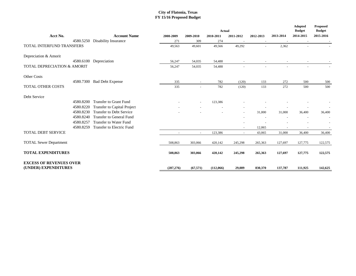|                                                        |                                 |            |           | Actual    |           |                          |                          | Adopted<br><b>Budget</b> | <b>Proposed</b><br><b>Budget</b> |
|--------------------------------------------------------|---------------------------------|------------|-----------|-----------|-----------|--------------------------|--------------------------|--------------------------|----------------------------------|
| Acct No.                                               | <b>Account Name</b>             | 2008-2009  | 2009-2010 | 2010-2011 | 2011-2012 | 2012-2013                | 2013-2014                | 2014-2015                | 2015-2016                        |
| 4580.5250                                              | Disability Insurance            | 271        | 309       | 274       | $\sim$    | $\overline{\phantom{a}}$ | $\overline{\phantom{a}}$ |                          |                                  |
| <b>TOTAL INTERFUND TRANSFERS</b>                       |                                 | 49,563     | 49,601    | 49,566    | 49,292    | $\sim$                   | 2,362                    |                          |                                  |
| Depreciation & Amorit                                  |                                 |            |           |           |           |                          |                          |                          |                                  |
| 4580.6100                                              | Depreciation                    | 56,247     | 54,035    | 54,488    |           |                          |                          |                          |                                  |
| TOTAL DEPRECIATION & AMORIT                            |                                 | 56,247     | 54,035    | 54,488    |           |                          |                          |                          |                                  |
| Other Costs                                            |                                 |            |           |           |           |                          |                          |                          |                                  |
|                                                        | 4580.7300 Bad Debt Expense      | 335        |           | 782       | (120)     | 133                      | 272                      | 500                      | 500                              |
| <b>TOTAL OTHER COSTS</b>                               |                                 | 335        | $\omega$  | 782       | (120)     | 133                      | 272                      | 500                      | 500                              |
| Debt Service                                           |                                 |            |           |           |           |                          |                          |                          |                                  |
| 4580.8200                                              | <b>Transfer to Grant Fund</b>   |            |           | 123,386   |           |                          |                          |                          |                                  |
| 4580.8220                                              | Transfer to Capital Project     |            |           |           |           |                          |                          |                          |                                  |
| 4580.8230                                              | <b>Transfer to Debt Service</b> |            |           |           | $\sim$    | 31,000                   | 31,000                   | 36,400                   | 36,400                           |
| 4580.8240                                              | <b>Transfer to General Fund</b> |            |           |           |           |                          |                          |                          |                                  |
| 4580.8257                                              | <b>Transfer to Water Fund</b>   |            |           |           |           |                          |                          |                          |                                  |
| 4580.8259                                              | Transfer to Electric Fund       |            |           |           |           | 12,065                   |                          |                          |                                  |
| <b>TOTAL DEBT SERVICE</b>                              |                                 |            | $\sim$    | 123,386   | $\omega$  | 43,065                   | 31,000                   | 36,400                   | 36,400                           |
| <b>TOTAL Sewer Department</b>                          |                                 | 508,863    | 303,066   | 420,142   | 245,298   | 265,363                  | 127,697                  | 127,775                  | 122,575                          |
| <b>TOTAL EXPENDITURES</b>                              |                                 | 508,863    | 303,066   | 420,142   | 245,298   | 265,363                  | 127,697                  | 127,775                  | 122,575                          |
| <b>EXCESS OF REVENUES OVER</b><br>(UNDER) EXPENDITURES |                                 |            |           |           |           |                          |                          |                          |                                  |
|                                                        |                                 | (287, 276) | (67, 571) | (112,066) | 29,089    | 830,370                  | 137,787                  | 111,925                  | 142,625                          |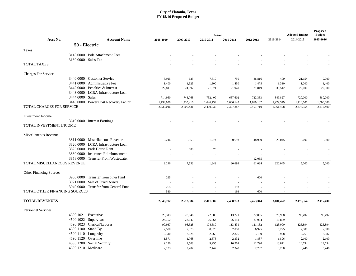|                                  |                                      |           |           | Actual    |           |           |           | <b>Adopted Budget</b> | <b>Proposed</b><br><b>Budget</b> |
|----------------------------------|--------------------------------------|-----------|-----------|-----------|-----------|-----------|-----------|-----------------------|----------------------------------|
| Acct No.                         | <b>Account Name</b>                  | 2008-2009 | 2009-2010 | 2010-2011 | 2011-2012 | 2012-2013 | 2013-2014 | 2014-2015             | 2015-2016                        |
|                                  | 59 - Electric                        |           |           |           |           |           |           |                       |                                  |
| Taxes                            |                                      |           |           |           |           |           |           |                       |                                  |
|                                  | 3118.0000 Pole Attachment Fees       |           |           |           |           |           |           |                       |                                  |
|                                  | 3130,0000 Sales Tax                  |           |           |           |           |           |           |                       |                                  |
| <b>TOTAL TAXES</b>               |                                      |           |           |           |           |           |           |                       |                                  |
| <b>Charges For Service</b>       |                                      |           |           |           |           |           |           |                       |                                  |
|                                  | 3440.0000 Customer Service           | 3,925     | 625       | 7,819     | 750       | 36,816    | 400       | 21,154                | 9,000                            |
|                                  | 3441.0000 Administrative Fee         | 1,400     | 1,525     | 1,300     | 1,450     | 1,475     | 1,310     | 1,200                 | 1,400                            |
| 3442.0000                        | Penalties & Interest                 | 22,811    | 24,097    | 21,571    | 21,940    | 21,849    | 30,512    | 22,000                | 22,000                           |
|                                  | 3443.0000 LCRA Infrastructure Loan   | ÷.        | ×,        | ÷,        |           | ٠.        | ÷.        |                       |                                  |
| 3444.0000 Sales                  |                                      | 714,950   | 743,768   | 732,409   | 687,602   | 722,383   | 849,827   | 720,000               | 880,000                          |
|                                  | 3445.0000 Power Cost Recovery Factor | 1,794,930 | 1,735,416 | 1,646,734 | 1,666,145 | 1,619,187 | 1,979,379 | 1,710,000             | 1,500,000                        |
| <b>TOTAL CHARGES FOR SERVICE</b> |                                      | 2,538,016 | 2,505,431 | 2,409,833 | 2,377,887 | 2,401,710 | 2,861,428 | 2,474,354             | 2,412,400                        |
| <b>Investment</b> Income         |                                      |           |           |           |           |           |           |                       |                                  |
|                                  | 3610.0000 Interest Earnings          |           |           |           |           |           |           |                       |                                  |
| <b>TOTAL INVESTMENT INCOME</b>   |                                      |           |           |           |           |           |           |                       |                                  |
| Miscellaneous Revenue            |                                      |           |           |           |           |           |           |                       |                                  |
|                                  | 3811.0000 Miscellaneous Revenue      | 2.246     | 6,953     | 1,774     | 80,693    | 48,969    | 320,045   | 5,000                 | 5,000                            |
|                                  | 3820.0000 LCRA Infrastructure Loan   |           | $\sim$    |           |           |           |           |                       |                                  |
|                                  | 3825,0000 Park House Rent            |           | 600       | 75        |           |           |           |                       |                                  |
|                                  | 3830.0000 Insurance Reimbursement    |           |           |           |           |           |           |                       |                                  |
| 3858.0000                        | <b>Transfer From Wastewater</b>      |           |           |           |           | 12,065    |           |                       |                                  |
| TOTAL MISCELLANEOUS REVENUE      |                                      | 2,246     | 7,553     | 1,849     | 80,693    | 61,034    | 320,045   | 5,000                 | 5,000                            |
| <b>Other Financing Sources</b>   |                                      |           |           |           |           |           |           |                       |                                  |
|                                  | 3900.0000 Transfer from other fund   | 265       |           |           |           | 600       |           |                       |                                  |
|                                  | 3921,0000 Sale of Fixed Assets       |           |           |           |           |           |           |                       |                                  |
|                                  | 3940.0000 Transfer from General Fund | 265       | ٠         | $\sim$    | 193       | ٠.        | $\sim$    |                       |                                  |
| TOTAL OTHER FINANCING SOURCES    |                                      | 530       | ×,        | ÷.        | 193       | 600       | ÷.        | ÷,                    | $\sim$                           |
| <b>TOTAL REVENUES</b>            |                                      | 2,540,792 | 2,512,984 | 2,411,682 | 2,458,773 | 2,463,344 | 3,181,472 | 2,479,354             | 2,417,400                        |
| <b>Personnel Services</b>        |                                      |           |           |           |           |           |           |                       |                                  |
|                                  | 4590.1021 Executive                  | 25,313    | 28,846    | 22,605    | 13,221    | 32,865    | 76,988    | 98,492                | 98,492                           |
|                                  | 4590.1022 Supervisor                 | 24,752    | 23,642    | 26,364    | 26,151    | 27,964    | 16,809    |                       |                                  |
|                                  | 4590.1023 Clerical/Laborer           | 90,937    | 98,528    | 104,589   | 113,431   | 121,132   | 123,000   | 125,894               | 125,894                          |
|                                  | 4590.1100 Stand By                   | 7,500     | 7,375     | 8,325     | 7,050     | 6,925     | 6,275     | 7,500                 | 7,500                            |
|                                  | 4590.1110 Longevity                  | 2,310     | 2,628     | 2,768     | 2,876     | 3,199     | 3,998     | 2,761                 | 2,887                            |
|                                  | 4590.1120 Overtime                   | 1,571     | 1,768     | 2,575     | 2,332     | 1,887     | 1,896     | 2,100                 | 2,100                            |
|                                  | 4590.1200 Social Security            | 9,230     | 9,508     | 9,955     | 10,209    | 11,790    | 13,811    | 14,734                | 14,734                           |
|                                  | 4590.1210 Medicare                   | 2,123     | 2,207     | 2,447     | 2,348     | 2,797     | 3,230     | 3,446                 | 3,446                            |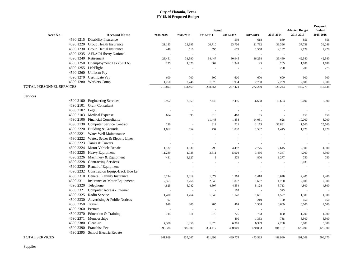|                          |                                          |                          |           |                     | <b>Adopted Budget</b>    | Proposed<br><b>Budget</b> |           |           |                          |
|--------------------------|------------------------------------------|--------------------------|-----------|---------------------|--------------------------|---------------------------|-----------|-----------|--------------------------|
| Acct No.                 | <b>Account Name</b>                      | 2008-2009                | 2009-2010 | Actual<br>2010-2011 | 2011-2012                | 2012-2013                 | 2013-2014 | 2014-2015 | 2015-2016                |
|                          | 4590.1215 Disability Insurance           |                          | $\sim$    |                     | 593                      | 618                       | 889       | 856       | 856                      |
|                          | 4590.1220 Group Health Insurance         | 21,183                   | 23,395    | 20,710              | 23,706                   | 21,782                    | 36,396    | 37,738    | 36,246                   |
|                          | 4590.1230 Group Dental Insurance         | 448                      | 516       | 595                 | 679                      | 1,558                     | 2,137     | 2,129     | 2,278                    |
|                          | 4590.1235 AFLAC/Liberty National         |                          | ×.        | ÷.                  | $\sim$                   |                           |           |           |                          |
|                          | 4590.1240 Retirement                     | 28,451                   | 31,590    | 34,447              | 30,945                   | 36,258                    | 39,460    | 42,540    | 42,540                   |
|                          | 4590.1250 Unemployment Tax (SUTA)        | 225                      | 1,020     | 604                 | 1,349                    | 45                        | 265       | 1,188     | 1,188                    |
| 4590.1255 LifeFlight     |                                          |                          | ÷.        |                     |                          |                           | 220       | 200       | 275                      |
|                          | 4590.1260 Uniform Pay                    |                          | $\sim$    | ×.                  | $\overline{\phantom{a}}$ |                           |           |           |                          |
|                          | 4590.1270 Certificate Pay                | 600                      | 700       | 600                 | 600                      | 600                       | 600       | 900       | 900                      |
|                          | 4590.1280 Workers Comp                   | 1,250                    | 2,746     | 1,870               | 1,934                    | 2,780                     | 2,269     | 2,800     | 2,800                    |
| TOTAL PERSONNEL SERVICES |                                          | 215,893                  | 234,469   | 238,454             | 237,424                  | 272,200                   | 328,243   | 343,279   | 342,138                  |
|                          |                                          |                          |           |                     |                          |                           |           |           |                          |
| Services                 |                                          |                          |           |                     |                          |                           |           |           |                          |
|                          | 4590.2100 Engineering Services           | 9,952                    | 7,559     | 7,443               | 7,495                    | 6,698                     | 16,663    | 8,000     | 8,000                    |
|                          | 4590.2101 Grant Consultant               |                          | $\sim$    | $\sim$              | $\sim$                   |                           |           |           |                          |
| 4590.2102 Legal          |                                          | $\sim$                   | $\sim$    | $\sim$              | $\overline{\phantom{a}}$ |                           |           | $\sim$    |                          |
|                          | 4590.2103 Medical Expense                | 654                      | 395       | 618                 | 463                      | 65                        | $\sim$    | 150       | 150                      |
|                          | 4590.2106 Financial Consultants          | $\sim$                   | $\sim$    | 11,448              | 1,858                    | 14,031                    | 628       | 10,000    | 8,000                    |
|                          | 4590.2130 Computer Service Contract      | 220                      | $\sim$    | 812                 | 721                      | 1,173                     | 36,881    | 1,500     | 25,500                   |
|                          | 4590.2220 Building & Grounds             | 1,862                    | 654       | 434                 | 1,032                    | 1,507                     | 1,445     | 1,720     | 1,720                    |
|                          | 4590.2221 Water Well Maintenance         |                          |           |                     |                          |                           |           |           |                          |
|                          | 4590.2222 Water, Sewer & Electric Lines  | ÷.                       | ×.        | ×.                  | $\sim$                   | $\sim$                    | $\sim$    | $\sim$    | $\sim$                   |
|                          | 4590.2223 Tanks & Towers                 | ÷,                       | ×.        | $\sim$              | $\sim$                   | $\sim$                    | $\sim$    | $\sim$    |                          |
|                          | 4590.2224 Motor Vehicle Repair           | 1,137                    | 1,630     | 796                 | 4,492                    | 2,776                     | 2,645     | 2,500     | 4,500                    |
|                          | 4590.2225 Heavy Equipment                | 11,289                   | 1,938     | 3,511               | 5,904                    | 3,466                     | 4,347     | 4,000     | 4,500                    |
|                          | 4590.2226 Machinery & Equipment          | 431                      | 3,627     | $\overline{3}$      | 579                      | 800                       | 1,277     | 750       | 750                      |
| 4590.2228                | <b>Contracting Services</b>              |                          | ÷         | $\sim$              | $\sim$                   |                           |           | 8,039     | $\sim$                   |
|                          | 4590.2230 Rental of Equipment            |                          | ×.        | $\sim$              | $\sim$                   |                           |           | $\sim$    | $\sim$                   |
|                          | 4590.2232 Construcion Equip.-Back Hoe Le | ÷.                       | $\sim$    | ÷.                  | ×.                       |                           | $\sim$    | $\sim$    |                          |
|                          | 4590.2310 General Liability Insurance    | 3,294                    | 2,819     | 1,879               | 1,569                    | 2,418                     | 3,048     | 2,400     | 2,400                    |
|                          | 4590.2311 Insurance of Motor Equipment   | 2,351                    | 2,266     | 2,046               | 1,872                    | 1,667                     | 1,730     | 2,000     | 2,000                    |
|                          | 4590.2320 Telephone                      | 4,825                    | 5,042     | 4,607               | 4,554                    | 5,128                     | 5,713     | 4,800     | 4,800                    |
|                          | 4590.2321 Computer Access - Internet     |                          |           | $\sim$              | 102                      |                           | 323       |           |                          |
|                          | 4590.2325 Radio Service                  | 1,490                    | 1,764     | 1,545               | 1,147                    | 1,661                     | 1,527     | 1,500     | 1,500                    |
| 4590.2330                | Advertising & Public Notices             | 97                       | $\sim$    | ÷,                  | $\overline{\phantom{a}}$ | 219                       | 180       | 150       | 150                      |
| 4590.2350 Travel         |                                          | 910                      | 206       | 285                 | 469                      | 2,568                     | 3,669     | 6,000     | 4,500                    |
| 4590.2360 Permits        |                                          | $\overline{\phantom{a}}$ | ×.        | $\sim$              | $\sim$                   | $\sim$                    |           | $\sim$    |                          |
|                          | 4590.2370 Education & Training           | 715                      | 811       | 676                 | 726                      | 763                       | 800       | 1,200     | 1,200                    |
|                          | 4590.2371 Memberships                    |                          | ×.        | $\sim$              | 490                      | 1,363                     | 738       | 6,500     | 6,500                    |
| 4590.2380 Clean-up       |                                          | 4,308                    | 6,356     | 1,378               | 6,301                    | 6,399                     | 4,200     | 5,000     | 5,000                    |
|                          | 4590.2390 Franchise Fee                  | 298,334                  | 300,000   | 394,417             | 400,000                  | 420,833                   | 404,167   | 425,000   | 425,000                  |
|                          | 4590.2395 School Electric Rebate         |                          | ×.        | $\sim$              | $\sim$                   |                           |           |           | $\overline{\phantom{a}}$ |
| <b>TOTAL SERVICES</b>    |                                          | 341,869                  | 335,067   | 431.898             | 439,774                  | 473,535                   | 489,980   | 491.209   | 506,170                  |

Supplies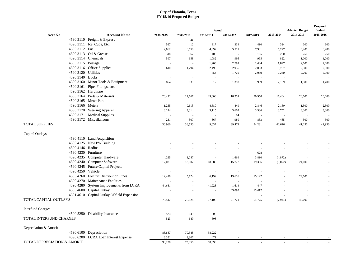|                                        |                                             |                |           | Actual    |                          |           |                          | <b>Adopted Budget</b> | Proposed<br><b>Budget</b> |
|----------------------------------------|---------------------------------------------|----------------|-----------|-----------|--------------------------|-----------|--------------------------|-----------------------|---------------------------|
| Acct No.                               | <b>Account Name</b>                         | 2008-2009      | 2009-2010 | 2010-2011 | 2011-2012                | 2012-2013 | 2013-2014                | 2014-2015             | 2015-2016                 |
|                                        | 4590.3110 Freight & Express                 |                | 21        |           |                          |           |                          |                       |                           |
|                                        | 4590.3111 Ice, Cups, Etc.                   | 567            | 412       | 317       | 334                      | 410       | 324                      | 300                   | 300                       |
| 4590.3112 Fuel                         |                                             | 2,862          | 6,558     | 4,092     | 5,511                    | 7,981     | 5,227                    | 6,200                 | 6,200                     |
|                                        | 4590.3113 Oil & Grease                      | 318            | 567       | 405       | $\sim$                   | 105       | 290                      | 250                   | 250                       |
|                                        | 4590.3114 Chemicals                         | 597            | 658       | 1,082     | 995                      | 995       | 822                      | 1,000                 | 1,000                     |
| 4590.3115 Postage                      |                                             |                |           | 1,203     | 2,799                    | 1,484     | 1,897                    | 2,000                 | 2,000                     |
|                                        | 4590.3116 Office Supplies                   | 610            | 1,794     | 2,498     | 2,936                    | 2,093     | 5,797                    | 2,500                 | 2,500                     |
| 4590.3120 Utilities                    |                                             | $\overline{a}$ | $\sim$    | 854       | 1,720                    | 2,039     | 2,240                    | 2,200                 | 2,000                     |
| 4590.3140 Books                        |                                             |                |           |           |                          |           |                          |                       |                           |
|                                        | 4590.3160 Minor Tools & Equipment           | 854            | 839       | 812       | 1,398                    | 959       | 2,139                    | 1,500                 | 1,400                     |
|                                        | 4590.3161 Pipe, Fittings, etc.              |                | $\sim$    | ÷.        | $\overline{\phantom{a}}$ | ÷,        | ÷,                       |                       |                           |
|                                        | 4590.3162 Hardware                          |                |           |           | $\sim$                   |           | ÷                        |                       | $\sim$                    |
|                                        | 4590.3164 Parts & Materials                 | 20,422         | 12,767    | 29,603    | 18,259                   | 70,950    | 17,484                   | 20,000                | 20,000                    |
|                                        | 4590.3165 Meter Parts                       |                |           |           |                          |           | J.                       | ÷,                    |                           |
| 4590.3166 Meters                       |                                             | 1,255          | 9,613     | 4,689     | 849                      | 2,846     | 2,160                    | 1,500                 | 2,500                     |
|                                        | 4590.3170 Wearing Apparel                   | 3,244          | 3,014     | 3,115     | 3,607                    | 3,586     | 3,752                    | 3,300                 | 3,300                     |
|                                        | 4590.3171 Medical Supplies                  | $\sim$         |           |           | 84                       |           | $\overline{\phantom{a}}$ |                       |                           |
|                                        | 4590.3172 Miscellaneous                     | 231            | 307       | 367       | 980                      | 833       | 485                      | 500                   | 500                       |
| <b>TOTAL SUPPLIES</b>                  |                                             | 30,960         | 36,550    | 49,037    | 39,472                   | 94,281    | 42,616                   | 41,250                | 41,950                    |
| Capital Outlays                        |                                             |                |           |           |                          |           |                          |                       |                           |
|                                        | 4590.4110 Land Acquisition                  |                |           |           |                          |           |                          |                       |                           |
|                                        | 4590.4125 New PW Building                   |                |           |           |                          |           |                          |                       | $\sim$                    |
| 4590.4146 Radios                       |                                             |                |           |           |                          |           |                          |                       |                           |
|                                        | 4590.4230 Furniture                         |                |           |           | $\sim$                   | 628       |                          |                       |                           |
|                                        | 4590.4235 Computer Hardware                 | 4,265          | 3,047     |           | 1,669                    | 3,810     | (4,872)                  |                       |                           |
|                                        | 4590.4240 Computer Software                 | 17,081         | 18,007    | 18,983    | 15,727                   | 19,356    | (3,072)                  | 24,000                |                           |
|                                        | 4590.4245 Future Capital Projects           | $\overline{a}$ | $\sim$    |           | $\overline{a}$           |           | ÷.                       |                       |                           |
| 4590.4250 Vehicle                      |                                             |                |           |           |                          |           |                          |                       |                           |
|                                        | 4590.4260 Electric Distribution Lines       | 12,490         | 5,774     | 6,199     | 19,616                   | 15,122    | ×,                       | 24,000                |                           |
|                                        | 4590.4270 Maintenance Facilities            |                |           |           | ÷.                       |           |                          |                       |                           |
|                                        | 4590.4280 System Improvements from LCRA     | 44,681         |           | 41,923    | 1,614                    | 447       |                          |                       |                           |
|                                        | 4590.4600 Capital Outlay                    |                |           |           | 33,095                   | 15,412    |                          |                       | $\sim$                    |
|                                        | 4591.4610 Capital Outlay Oilfield Expansion |                |           |           |                          |           |                          |                       |                           |
| TOTAL CAPITAL OUTLAYS                  |                                             | 78,517         | 26,828    | 67,105    | 71,721                   | 54,775    | (7,944)                  | 48,000                |                           |
| <b>Interfund Charges</b>               |                                             |                |           |           |                          |           |                          |                       |                           |
|                                        | 4590.5250 Disability Insurance              | 523            | 649       | 603       |                          |           |                          |                       |                           |
| TOTAL INTERFUND CHARGES                |                                             | 523            | 649       | 603       |                          |           |                          |                       |                           |
| Depreciation & Amorit                  |                                             |                |           |           |                          |           |                          |                       |                           |
|                                        | 4590.6100 Depreciation                      | 83,887         | 70,548    | 58,222    |                          |           |                          |                       |                           |
|                                        | 4590.6200 LCRA Loan Interest Expense        | 6,351          | 3,307     | 471       |                          |           |                          |                       |                           |
| <b>TOTAL DEPRECIATION &amp; AMORIT</b> |                                             | 90,238         | 73,855    | 58,693    | ×.                       | ×.        | ×,                       | $\sim$                |                           |
|                                        |                                             |                |           |           |                          |           |                          |                       |                           |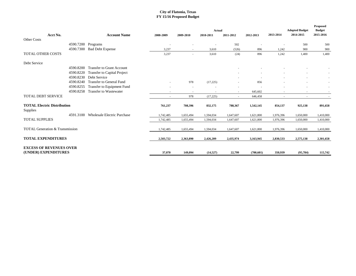|                                                        |                    |                                       |           |           | Actual    |           |            |                          | <b>Adopted Budget</b> | Proposed<br><b>Budget</b> |
|--------------------------------------------------------|--------------------|---------------------------------------|-----------|-----------|-----------|-----------|------------|--------------------------|-----------------------|---------------------------|
| Acct No.                                               |                    | <b>Account Name</b>                   | 2008-2009 | 2009-2010 | 2010-2011 | 2011-2012 | 2012-2013  | 2013-2014                | 2014-2015             | 2015-2016                 |
| <b>Other Costs</b>                                     |                    |                                       |           |           |           |           |            |                          |                       |                           |
|                                                        | 4590.7200 Programs |                                       |           |           |           | 502       |            |                          | 500                   | 500                       |
|                                                        |                    | 4590.7300 Bad Debt Expense            | 3,237     | $\sim$    | 3,610     | (526)     | 896        | 1,242                    | 900                   | 900                       |
| <b>TOTAL OTHER COSTS</b>                               |                    |                                       | 3,237     | $\sim$    | 3,610     | (24)      | 896        | 1,242                    | 1,400                 | 1,400                     |
| Debt Service                                           |                    |                                       |           |           |           |           |            |                          |                       |                           |
|                                                        | 4590.8200          | <b>Transfer to Grant Account</b>      |           |           |           |           |            |                          |                       |                           |
|                                                        | 4590.8220          | Transfer to Capital Project           |           |           |           |           |            |                          |                       |                           |
|                                                        |                    | 4590.8230 Debt Service                |           |           |           |           |            | $\overline{\phantom{a}}$ | ٠                     |                           |
|                                                        | 4590.8240          | <b>Transfer to General Fund</b>       |           | 978       | (17,225)  | ٠         | 856        |                          |                       |                           |
|                                                        | 4590.8255          | Transfer to Equipment Fund            |           | $\sim$    |           |           | ٠.         |                          |                       |                           |
|                                                        | 4590.8258          | Transfer to Wastewater                |           | $\sim$    |           | $\sim$    | 645,602    | ٠                        |                       |                           |
| <b>TOTAL DEBT SERVICE</b>                              |                    |                                       | $\sim$    | 978       | (17,225)  | $\sim$    | 646,458    | $\sim$                   | $\sim$                | $\sim$                    |
| <b>TOTAL Electric Distribution</b><br>Supplies         |                    |                                       | 761,237   | 708,396   | 832,175   | 788,367   | 1,542,145  | 854,137                  | 925,138               | 891,658                   |
|                                                        |                    | 4591.3100 Wholesale Electric Purchase | 1,742,485 | 1,655,494 | 1,594,034 | 1,647,607 | 1,621,800  | 1,976,396                | 1,650,000             | 1,410,000                 |
| <b>TOTAL SUPPLIES</b>                                  |                    |                                       | 1,742,485 | 1,655,494 | 1,594,034 | 1,647,607 | 1,621,800  | 1,976,396                | 1,650,000             | 1,410,000                 |
| TOTAL Generation & Transmission                        |                    |                                       | 1,742,485 | 1,655,494 | 1,594,034 | 1,647,607 | 1,621,800  | 1,976,396                | 1,650,000             | 1,410,000                 |
| <b>TOTAL EXPENDITURES</b>                              |                    |                                       | 2,503,722 | 2,363,890 | 2,426,209 | 2,435,974 | 3,163,945  | 2,830,533                | 2,575,138             | 2,301,658                 |
| <b>EXCESS OF REVENUES OVER</b><br>(UNDER) EXPENDITURES |                    |                                       | 37,070    | 149,094   | (14, 527) | 22,799    | (700, 601) | 350,939                  | (95, 784)             | 115,742                   |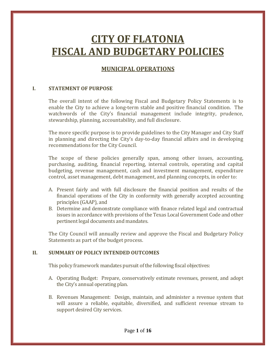# **CITY OF FLATONIA FISCAL AND BUDGETARY POLICIES**

# **MUNICIPAL OPERATIONS**

# **I. STATEMENT OF PURPOSE**

The overall intent of the following Fiscal and Budgetary Policy Statements is to enable the City to achieve a long-term stable and positive financial condition. The watchwords of the City's financial management include integrity, prudence, stewardship, planning, accountability, and full disclosure.

The more specific purpose is to provide guidelines to the City Manager and City Staff in planning and directing the City's day-to-day financial affairs and in developing recommendations for the City Council.

The scope of these policies generally span, among other issues, accounting, purchasing, auditing, financial reporting, internal controls, operating and capital budgeting, revenue management, cash and investment management, expenditure control, asset management, debt management, and planning concepts, in order to:

- A. Present fairly and with full disclosure the financial position and results of the financial operations of the City in conformity with generally accepted accounting principles (GAAP), and
- B. Determine and demonstrate compliance with finance related legal and contractual issues in accordance with provisions of the Texas Local Government Code and other pertinent legal documents and mandates.

The City Council will annually review and approve the Fiscal and Budgetary Policy Statements as part of the budget process.

# **II. SUMMARY OF POLICY INTENDED OUTCOMES**

This policy framework mandates pursuit of the following fiscal objectives:

- A. Operating Budget: Prepare, conservatively estimate revenues, present, and adopt the City's annual operating plan.
- B. Revenues Management: Design, maintain, and administer a revenue system that will assure a reliable, equitable, diversified, and sufficient revenue stream to support desired City services.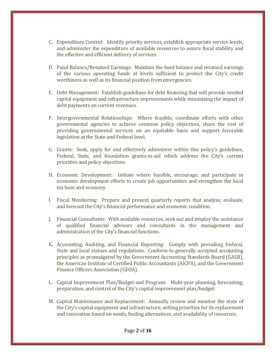- C. Expenditure Control: Identify priority services, establish appropriate service levels, and administer the expenditure of available resources to assure fiscal stability and the effective and efficient delivery of services.
- D. Fund Balance/Retained Earnings: Maintain the fund balance and retained earnings of the various operating funds at levels sufficient to protect the City's credit worthiness as well as its financial position from emergencies.
- E. Debt Management: Establish guidelines for debt financing that will provide needed capital equipment and infrastructure improvements while minimizing the impact of debt payments on current revenues.
- F. Intergovernmental Relationships: Where feasible, coordinate efforts with other governmental agencies to achieve common policy objectives, share the cost of providing governmental services on an equitable basis and support favorable legislation at the State and Federal level.
- G. Grants: Seek, apply for and effectively administer within this policy's guidelines, Federal, State, and foundation grants-in-aid which address the City's current priorities and policy objectives.
- H. Economic Development: Initiate where feasible, encourage, and participate in economic development efforts to create job opportunities and strengthen the local tax base and economy
- I. Fiscal Monitoring: Prepare and present quarterly reports that analyze, evaluate, and forecast the City's financial performance and economic condition.
- J. Financial Consultants: With available resources, seek out and employ the assistance of qualified financial advisors and consultants in the management and administration of the City's financial functions.
- K. Accounting, Auditing, and Financial Reporting: Comply with prevailing Federal, State and local statues and regulations. Conform to generally accepted accounting principles as promulgated by the Government Accounting Standards Board (GASB), the American Institute of Certified Public Accountants (AICPA), and the Government Finance Officers Association (GFOA).
- L. Capital Improvement Plan/Budget and Program: Multi-year planning, forecasting, preparation, and control of the City's capital improvement plan/budget.
- M. Capital Maintenance and Replacement: Annually review and monitor the state of the City's capital equipment and infrastructure, setting priorities for its replacement and renovation based on needs, finding alternatives, and availability of resources.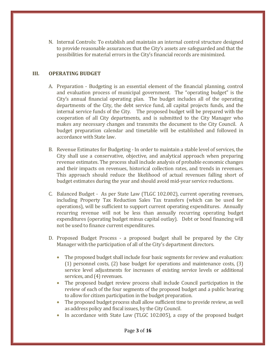N. Internal Controls: To establish and maintain an internal control structure designed to provide reasonable assurances that the City's assets are safeguarded and that the possibilities for material errors in the City's financial records are minimized.

# **III. OPERATING BUDGET**

- A. Preparation Budgeting is an essential element of the financial planning, control and evaluation process of municipal government. The "operating budget" is the City's annual financial operating plan. The budget includes all of the operating departments of the City, the debt service fund, all capital projects funds, and the internal service funds of the City. The proposed budget will be prepared with the cooperation of all City departments, and is submitted to the City Manager who makes any necessary changes and transmits the document to the City Council. A budget preparation calendar and timetable will be established and followed in accordance with State law.
- B. Revenue Estimates for Budgeting In order to maintain a stable level of services, the City shall use a conservative, objective, and analytical approach when preparing revenue estimates. The process shall include analysis of probable economic changes and their impacts on revenues, historical collection rates, and trends in revenues. This approach should reduce the likelihood of actual revenues falling short of budget estimates during the year and should avoid mid-year service reductions.
- C. Balanced Budget As per State Law (TLGC 102.002), current operating revenues, including Property Tax Reduction Sales Tax transfers (which can be used for operations), will be sufficient to support current operating expenditures. Annually recurring revenue will not be less than annually recurring operating budget expenditures (operating budget minus capital outlay). Debt or bond financing will not be used to finance current expenditures.
- D. Proposed Budget Process a proposed budget shall be prepared by the City Manager with the participation of all of the City's department directors.
	- The proposed budget shall include four basic segments for review and evaluation: (1) personnel costs, (2) base budget for operations and maintenance costs, (3) service level adjustments for increases of existing service levels or additional services, and (4) revenues.
	- The proposed budget review process shall include Council participation in the review of each of the four segments of the proposed budget and a public hearing to allow for citizen participation in the budget preparation.
	- The proposed budget process shall allow sufficient time to provide review, as well as address policy and fiscal issues, by the City Council.
	- In accordance with State Law (TLGC 102.005), a copy of the proposed budget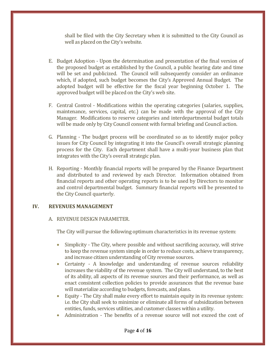shall be filed with the City Secretary when it is submitted to the City Council as well as placed on the City's website.

- E. Budget Adoption Upon the determination and presentation of the final version of the proposed budget as established by the Council, a public hearing date and time will be set and publicized. The Council will subsequently consider an ordinance which, if adopted, such budget becomes the City's Approved Annual Budget. The adopted budget will be effective for the fiscal year beginning October 1. The approved budget will be placed on the City's web site.
- F. Central Control Modifications within the operating categories (salaries, supplies, maintenance, services, capital, etc.) can be made with the approval of the City Manager. Modifications to reserve categories and interdepartmental budget totals will be made only by City Council consent with formal briefing and Council action.
- G. Planning The budget process will be coordinated so as to identify major policy issues for City Council by integrating it into the Council's overall strategic planning process for the City. Each department shall have a multi-year business plan that integrates with the City's overall strategic plan.
- H. Reporting Monthly financial reports will be prepared by the Finance Department and distributed to and reviewed by each Director. Information obtained from financial reports and other operating reports is to be used by Directors to monitor and control departmental budget. Summary financial reports will be presented to the City Council quarterly.

# **IV. REVENUES MANAGEMENT**

# A. REVENUE DESIGN PARAMETER.

The City will pursue the following optimum characteristics in its revenue system:

- Simplicity The City, where possible and without sacrificing accuracy, will strive to keep the revenue system simple in order to reduce costs, achieve transparency, and increase citizen understanding of City revenue sources.
- Certainty A knowledge and understanding of revenue sources reliability increases the viability of the revenue system. The City will understand, to the best of its ability, all aspects of its revenue sources and their performance, as well as enact consistent collection policies to provide assurances that the revenue base will materialize according to budgets, forecasts, and plans.
- Equity The City shall make every effort to maintain equity in its revenue system: i.e. the City shall seek to minimize or eliminate all forms of subsidization between entities, funds, services utilities, and customer classes within a utility.
- Administration The benefits of a revenue source will not exceed the cost of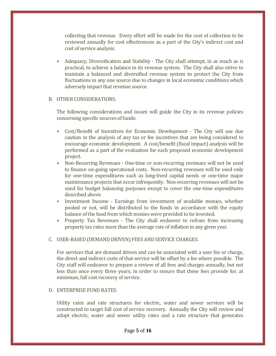collecting that revenue. Every effort will be made for the cost of collection to be reviewed annually for cost effectiveness as a part of the City's indirect cost and cost of service analysis.

• Adequacy, Diversification and Stability - The City shall attempt, in as much as is practical, to achieve a balance in its revenue system. The City shall also strive to maintain a balanced and diversified revenue system to protect the City from fluctuations in any one source due to changes in local economic conditions which adversely impact that revenue source.

# B. OTHER CONSIDERATIONS.

The following considerations and issues will guide the City in its revenue policies concerning specific sources of funds:

- Cost/Benefit of Incentives for Economic Development The City will use due caution in the analysis of any tax or fee incentives that are being considered to encourage economic development. A cost/benefit (fiscal impact) analysis will be performed as a part of the evaluation for each proposed economic development project.
- Non-Recurring Revenues One-time or non-recurring revenues will not be used to finance on-going operational costs. Non-recurring revenues will be used only for one-time expenditures such as long-lived capital needs or one-time major maintenance projects that occur infrequently. Non-recurring revenues will not be used for budget balancing purposes except to cover the one-time expenditures described above.
- Investment Income Earnings from investment of available monies, whether pooled or not, will be distributed to the funds in accordance with the equity balance of the fund from which monies were provided to be invested.
- Property Tax Revenues The City shall endeavor to refrain from increasing property tax rates more than the average rate of inflation in any given year.

# C. USER-BASED (DEMAND DRIVEN) FEES AND SERVICE CHARGES.

For services that are demand driven and can be associated with a user fee or charge, the direct and indirect costs of that service will be offset by a fee where possible. The City staff will endeavor to prepare a review of all fees and charges annually, but not less than once every three years, in order to ensure that these fees provide for, at minimum, full cost recovery of service.

# D. ENTERPRISE FUND RATES.

Utility rates and rate structures for electric, water and sewer services will be constructed to target full cost of service recovery. Annually the City will review and adopt electric, water and sewer utility rates and a rate structure that generates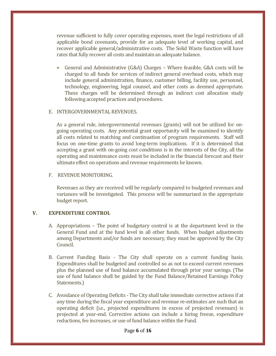revenue sufficient to fully cover operating expenses, meet the legal restrictions of all applicable bond covenants, provide for an adequate level of working capital, and recover applicable general/administrative costs. The Solid Waste function will have rates that fully recover all costs and maintain an adequate balance.

• General and Administrative (G&A) Charges – Where feasible, G&A costs will be charged to all funds for services of indirect general overhead costs, which may include general administration, finance, customer billing, facility use, personnel, technology, engineering, legal counsel, and other costs as deemed appropriate. These charges will be determined through an indirect cost allocation study following accepted practices and procedures.

### E. INTERGOVERNMENTAL REVENUES.

As a general rule, intergovernmental revenues (grants) will not be utilized for ongoing operating costs. Any potential grant opportunity will be examined to identify all costs related to matching and continuation of program requirements. Staff will focus on one-time grants to avoid long-term implications. If it is determined that accepting a grant with on-going cost conditions is in the interests of the City, all the operating and maintenance costs must be included in the financial forecast and their ultimate effect on operations and revenue requirements be known.

#### F. REVENUE MONITORING.

Revenues as they are received will be regularly compared to budgeted revenues and variances will be investigated. This process will be summarized in the appropriate budget report.

### **V. EXPENDITURE CONTROL**

- A. Appropriations The point of budgetary control is at the department level in the General Fund and at the fund level in all other funds. When budget adjustments among Departments and/or funds are necessary, they must be approved by the City Council.
- B. Current Funding Basis The City shall operate on a current funding basis. Expenditures shall be budgeted and controlled so as not to exceed current revenues plus the planned use of fund balance accumulated through prior year savings. (The use of fund balance shall be guided by the Fund Balance/Retained Earnings Policy Statements.)
- C. Avoidance of Operating Deficits The City shall take immediate corrective actions if at any time during the fiscal year expenditure and revenue re-estimates are such that an operating deficit (i.e., projected expenditures in excess of projected revenues) is projected at year-end. Corrective actions can include a hiring freeze, expenditure reductions, fee increases, or use of fund balance within the Fund.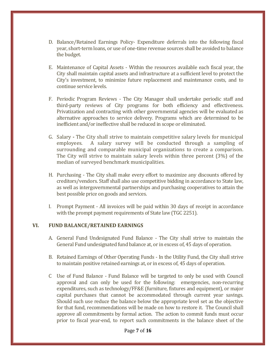- D. Balance/Retained Earnings Policy- Expenditure deferrals into the following fiscal year, short-term loans, or use of one-time revenue sources shall be avoided to balance the budget.
- E. Maintenance of Capital Assets Within the resources available each fiscal year, the City shall maintain capital assets and infrastructure at a sufficient level to protect the City's investment, to minimize future replacement and maintenance costs, and to continue service levels.
- F. Periodic Program Reviews The City Manager shall undertake periodic staff and third-party reviews of City programs for both efficiency and effectiveness. Privatization and contracting with other governmental agencies will be evaluated as alternative approaches to service delivery. Programs which are determined to be inefficient and/or ineffective shall be reduced in scope or eliminated.
- G. Salary **-** The City shall strive to maintain competitive salary levels for municipal A salary survey will be conducted through a sampling of surrounding and comparable municipal organizations to create a comparison. The City will strive to maintain salary levels within three percent (3%) of the median of surveyed benchmark municipalities.
- H. Purchasing The City shall make every effort to maximize any discounts offered by creditors/vendors. Staff shall also use competitive bidding in accordance to State law, as well as intergovernmental partnerships and purchasing cooperatives to attain the best possible price on goods and services.
- I. Prompt Payment All invoices will be paid within 30 days of receipt in accordance with the prompt payment requirements of State law (TGC 2251).

# **VI. FUND BALANCE/RETAINED EARNINGS**

- A. General Fund Undesignated Fund Balance The City shall strive to maintain the General Fund undesignated fund balance at, or in excess of, 45 days of operation.
- B. Retained Earnings of Other Operating Funds In the Utility Fund, the City shall strive to maintain positive retained earnings at, or in excess of, 45 days of operation.
- C Use of Fund Balance Fund Balance will be targeted to only be used with Council approval and can only be used for the following: emergencies, non-recurring expenditures, such as technology/FF&E (furniture, fixtures and equipment), or major capital purchases that cannot be accommodated through current year savings. Should such use reduce the balance below the appropriate level set as the objective for that fund, recommendations will be made on how to restore it. The Council shall approve all commitments by formal action. The action to commit funds must occur prior to fiscal year-end, to report such commitments in the balance sheet of the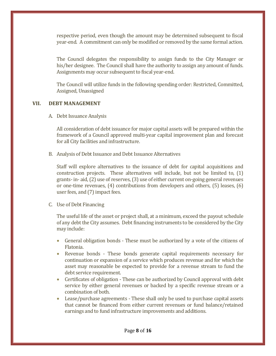respective period, even though the amount may be determined subsequent to fiscal year-end. A commitment can only be modified or removed by the same formal action.

The Council delegates the responsibility to assign funds to the City Manager or his/her designee. The Council shall have the authority to assign any amount of funds. Assignments may occur subsequent to fiscal year-end.

The Council will utilize funds in the following spending order: Restricted, Committed, Assigned, Unassigned

#### **VII. DEBT MANAGEMENT**

A. Debt Issuance Analysis

All consideration of debt issuance for major capital assets will be prepared within the framework of a Council approved multi-year capital improvement plan and forecast for all City facilities and infrastructure.

B. Analysis of Debt Issuance and Debt Issuance Alternatives

Staff will explore alternatives to the issuance of debt for capital acquisitions and construction projects. These alternatives will include, but not be limited to, (1) grants- in- aid, (2) use of reserves, (3) use of either current on-going general revenues or one-time revenues, (4) contributions from developers and others, (5) leases, (6) user fees, and (7) impact fees.

C. Use of Debt Financing

The useful life of the asset or project shall, at a minimum, exceed the payout schedule of any debt the City assumes. Debt financing instruments to be considered by the City may include:

- General obligation bonds These must be authorized by a vote of the citizens of Flatonia.
- Revenue bonds These bonds generate capital requirements necessary for continuation or expansion of a service which produces revenue and for which the asset may reasonable be expected to provide for a revenue stream to fund the debt service requirement.
- Certificates of obligation These can be authorized by Council approval with debt service by either general revenues or backed by a specific revenue stream or a combination of both.
- Lease/purchase agreements These shall only be used to purchase capital assets that cannot be financed from either current revenues or fund balance/retained earnings and to fund infrastructure improvements and additions.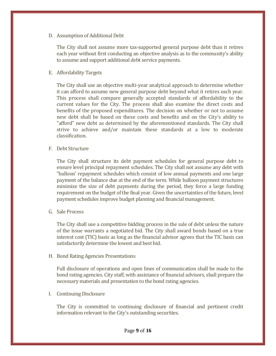# D. Assumption of Additional Debt

The City shall not assume more tax-supported general purpose debt than it retires each year without first conducting an objective analysis as to the community's ability to assume and support additional debt service payments.

# E. Affordability Targets

The City shall use an objective multi-year analytical approach to determine whether it can afford to assume new general purpose debt beyond what it retires each year. This process shall compare generally accepted standards of affordability to the current values for the City. The process shall also examine the direct costs and benefits of the proposed expenditures. The decision on whether or not to assume new debt shall be based on these costs and benefits and on the City's ability to "afford" new debt as determined by the aforementioned standards. The City shall strive to achieve and/or maintain these standards at a low to moderate classification.

# F. Debt Structure

The City shall structure its debt payment schedules for general purpose debt to ensure level principal repayment schedules. The City shall not assume any debt with "balloon' repayment schedules which consist of low annual payments and one large payment of the balance due at the end of the term. While balloon payment structures minimize the size of debt payments during the period, they force a large funding requirement on the budget of the final year. Given the uncertainties of the future, level payment schedules improve budget planning and financial management.

### G. Sale Process

The City shall use a competitive bidding process in the sale of debt unless the nature of the issue warrants a negotiated bid. The City shall award bonds based on a true interest cost (TIC) basis as long as the financial advisor agrees that the TIC basis can satisfactorily determine the lowest and best bid.

### H. Bond Rating Agencies Presentations

Full disclosure of operations and open lines of communication shall be made to the bond rating agencies. City staff, with assistance of financial advisors, shall prepare the necessary materials and presentation to the bond rating agencies.

# I. Continuing Disclosure

The City is committed to continuing disclosure of financial and pertinent credit information relevant to the City's outstanding securities.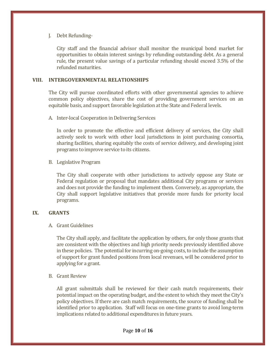# J. Debt Refunding-

City staff and the financial advisor shall monitor the municipal bond market for opportunities to obtain interest savings by refunding outstanding debt. As a general rule, the present value savings of a particular refunding should exceed 3.5% of the refunded maturities.

### **VIII. INTERGOVERNMENTAL RELATIONSHIPS**

The City will pursue coordinated efforts with other governmental agencies to achieve common policy objectives, share the cost of providing government services on an equitable basis, and support favorable legislation at the State and Federal levels.

A. Inter-local Cooperation in Delivering Services

In order to promote the effective and efficient delivery of services, the City shall actively seek to work with other local jurisdictions in joint purchasing consortia, sharing facilities, sharing equitably the costs of service delivery, and developing joint programs to improve service to its citizens.

B. Legislative Program

The City shall cooperate with other jurisdictions to actively oppose any State or Federal regulation or proposal that mandates additional City programs or services and does not provide the funding to implement them. Conversely, as appropriate, the City shall support legislative initiatives that provide more funds for priority local programs.

# **IX. GRANTS**

A. Grant Guidelines

The City shall apply, and facilitate the application by others, for only those grants that are consistent with the objectives and high priority needs previously identified above in these policies. The potential for incurring on-going costs, to include the assumption of support for grant funded positions from local revenues, will be considered prior to applying for a grant.

B. Grant Review

All grant submittals shall be reviewed for their cash match requirements, their potential impact on the operating budget, and the extent to which they meet the City's policy objectives. If there are cash match requirements, the source of funding shall be identified prior to application. Staff will focus on one-time grants to avoid long-term implications related to additional expenditures in future years.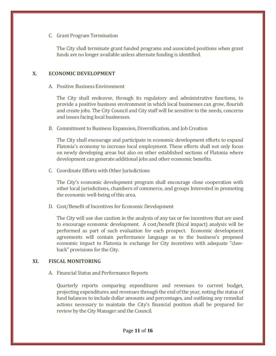# C. Grant Program Termination

The City shall terminate grant funded programs and associated positions when grant funds are no longer available unless alternate funding is identified.

# **X. ECONOMIC DEVELOPMENT**

### A. Positive Business Environment

The City shall endeavor, through its regulatory and administrative functions, to provide a positive business environment in which local businesses can grow, flourish and create jobs. The City Council and City staff will be sensitive to the needs, concerns and issues facing local businesses.

B. Commitment to Business Expansion, Diversification, and Job Creation

The City shall encourage and participate in economic development efforts to expand Flatonia's economy to increase local employment. These efforts shall not only focus on newly developing areas but also on other established sections of Flatonia where development can generate additional jobs and other economic benefits.

C. Coordinate Efforts with Other Jurisdictions

The City's economic development program shall encourage close cooperation with other local jurisdictions, chambers of commerce, and groups Interested in promoting the economic well-being of this area.

D. Cost/Benefit of Incentives for Economic Development

The City will use due caution in the analysis of any tax or fee incentives that are used to encourage economic development. A cost/benefit (fiscal impact) analysis will be performed as part of such evaluation for each prospect. Economic development agreements will contain performance language as to the business's proposed economic impact to Flatonia in exchange for City incentives with adequate "clawback" provisions for the City.

# **XI. FISCAL MONITORING**

A. Financial Status and Performance Reports

Quarterly reports comparing expenditures and revenues to current budget, projecting expenditures and revenues through the end of the year, noting the status of fund balances to include dollar amounts and percentages, and outlining any remedial actions necessary to maintain the City's financial position shall be prepared for review by the City Manager and the Council.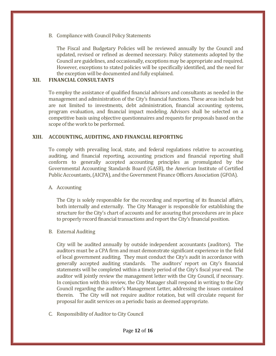B. Compliance with Council Policy Statements

The Fiscal and Budgetary Policies will be reviewed annually by the Council and updated, revised or refined as deemed necessary. Policy statements adopted by the Council are guidelines, and occasionally, exceptions may be appropriate and required. However, exceptions to stated policies will be specifically identified, and the need for the exception will be documented and fully explained.

# **XII. FINANCIAL CONSULTANTS**

To employ the assistance of qualified financial advisors and consultants as needed in the management and administration of the City's financial functions. These areas include but are not limited to investments, debt administration, financial accounting systems, program evaluation, and financial impact modeling. Advisors shall be selected on a competitive basis using objective questionnaires and requests for proposals based on the scope of the work to be performed.

### **XIII. ACCOUNTING, AUDITING, AND FINANCIAL REPORTING**

To comply with prevailing local, state, and federal regulations relative to accounting, auditing, and financial reporting, accounting practices and financial reporting shall conform to generally accepted accounting principles as promulgated by the Governmental Accounting Standards Board (GASB), the American Institute of Certified Public Accountants, (AICPA), and the Government Finance Officers Association (GFOA).

### A. Accounting

The City is solely responsible for the recording and reporting of its financial affairs, both internally and externally. The City Manager is responsible for establishing the structure for the City's chart of accounts and for assuring that procedures are in place to properly record financial transactions and report the City's financial position.

### B. External Auditing

City will be audited annually by outside independent accountants (auditors). The auditors must be a CPA firm and must demonstrate significant experience in the field of local government auditing. They must conduct the City's audit in accordance with generally accepted auditing standards. The auditors' report on City's financial statements will be completed within a timely period of the City's fiscal year-end. The auditor will jointly review the management letter with the City Council, if necessary. In conjunction with this review, the City Manager shall respond in writing to the City Council regarding the auditor's Management Letter, addressing the issues contained therein. The City will not require auditor rotation, but will circulate request for proposal for audit services on a periodic basis as deemed appropriate.

C. Responsibility of Auditor to City Council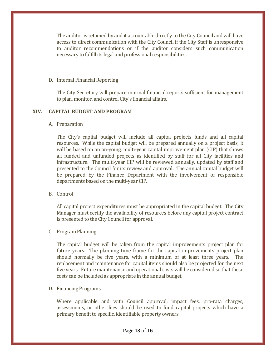The auditor is retained by and it accountable directly to the City Council and will have access to direct communication with the City Council if the City Staff is unresponsive to auditor recommendations or if the auditor considers such communication necessary to fulfill its legal and professional responsibilities.

#### D. Internal Financial Reporting

The City Secretary will prepare internal financial reports sufficient for management to plan, monitor, and control City's financial affairs.

# **XIV. CAPITAL BUDGET AND PROGRAM**

A. Preparation

The City's capital budget will include all capital projects funds and all capital resources. While the capital budget will be prepared annually on a project basis, it will be based on an on-going, multi-year capital improvement plan (CIP) that shows all funded and unfunded projects as identified by staff for all City facilities and infrastructure. The multi-year CIP will be reviewed annually, updated by staff and presented to the Council for its review and approval. The annual capital budget will be prepared by the Finance Department with the involvement of responsible departments based on the multi-year CIP.

B. Control

All capital project expenditures must be appropriated in the capital budget. The City Manager must certify the availability of resources before any capital project contract is presented to the City Council for approval.

### C. Program Planning

The capital budget will be taken from the capital improvements project plan for future years. The planning time frame for the capital improvements project plan should normally be five years, with a minimum of at least three years. The replacement and maintenance for capital items should also be projected for the next five years. Future maintenance and operational costs will be considered so that these costs can be included as appropriate in the annual budget.

### D. Financing Programs

Where applicable and with Council approval, impact fees, pro-rata charges, assessments, or other fees should be used to fund capital projects which have a primary benefit to specific, identifiable property owners.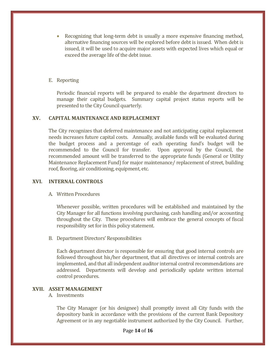• Recognizing that long-term debt is usually a more expensive financing method, alternative financing sources will be explored before debt is issued. When debt is issued, it will be used to acquire major assets with expected lives which equal or exceed the average life of the debt issue.

### E. Reporting

Periodic financial reports will be prepared to enable the department directors to manage their capital budgets. Summary capital project status reports will be presented to the City Council quarterly.

### **XV. CAPITAL MAINTENANCE AND REPLACEMENT**

The City recognizes that deferred maintenance and not anticipating capital replacement needs increases future capital costs. Annually, available funds will be evaluated during the budget process and a percentage of each operating fund's budget will be recommended to the Council for transfer. Upon approval by the Council, the recommended amount will be transferred to the appropriate funds (General or Utility Maintenance Replacement Fund) for major maintenance/ replacement of street, building roof, flooring, air conditioning, equipment, etc.

#### **XVI. INTERNAL CONTROLS**

A. Written Procedures

Whenever possible, written procedures will be established and maintained by the City Manager for all functions involving purchasing, cash handling and/or accounting throughout the City. These procedures will embrace the general concepts of fiscal responsibility set for in this policy statement.

B. Department Directors' Responsibilities

Each department director is responsible for ensuring that good internal controls are followed throughout his/her department, that all directives or internal controls are implemented, and that all independent auditor internal control recommendations are addressed. Departments will develop and periodically update written internal control procedures.

#### **XVII. ASSET MANAGEMENT**

#### A. Investments

The City Manager (or his designee) shall promptly invest all City funds with the depository bank in accordance with the provisions of the current Bank Depository Agreement or in any negotiable instrument authorized by the City Council. Further,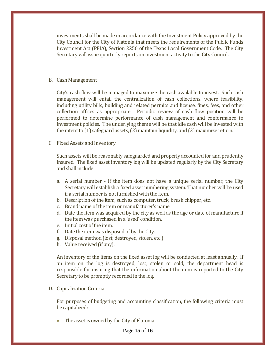investments shall be made in accordance with the Investment Policy approved by the City Council for the City of Flatonia that meets the requirements of the Public Funds Investment Act (PFIA), Section 2256 of the Texas Local Government Code. The City Secretary will issue quarterly reports on investment activity to the City Council.

#### B. Cash Management

City's cash flow will be managed to maximize the cash available to invest. Such cash management will entail the centralization of cash collections, where feasibility, including utility bills, building and related permits and license, fines, fees, and other collection offices as appropriate. Periodic review of cash flow position will be performed to determine performance of cash management and conformance to investment policies. The underlying theme will be that idle cash will be invested with the intent to (1) safeguard assets, (2) maintain liquidity, and (3) maximize return.

### C. Fixed Assets and Inventory

Such assets will be reasonably safeguarded and properly accounted for and prudently insured. The fixed asset inventory log will be updated regularly by the City Secretary and shall include:

- a. A serial number If the item does not have a unique serial number, the City Secretary will establish a fixed asset numbering system. That number will be used if a serial number is not furnished with the item.
- b. Description of the item, such as computer, truck, brush chipper, etc.
- c. Brand name of the item or manufacturer's name.
- d. Date the item was acquired by the city as well as the age or date of manufacture if the item was purchased in a 'used' condition.
- e. Initial cost of the item.
- f. Date the item was disposed of by the City.
- g. Disposal method (lost, destroyed, stolen, etc.)
- h. Value received (if any).

An inventory of the items on the fixed asset log will be conducted at least annually. If an item on the log is destroyed, lost, stolen or sold, the department head is responsible for insuring that the information about the item is reported to the City Secretary to be promptly recorded in the log.

D. Capitalization Criteria

For purposes of budgeting and accounting classification, the following criteria must be capitalized:

The asset is owned by the City of Flatonia